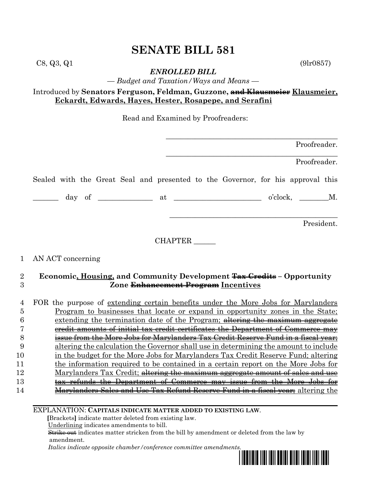$C8, Q3, Q1$  (9lr0857)

*ENROLLED BILL*

*— Budget and Taxation/Ways and Means —*

# Introduced by **Senators Ferguson, Feldman, Guzzone, and Klausmeier Klausmeier, Eckardt, Edwards, Hayes, Hester, Rosapepe, and Serafini**

Read and Examined by Proofreaders:

|                     | Proofreader.                                                                                                                                                                                                                                                                                                                                                                                         |
|---------------------|------------------------------------------------------------------------------------------------------------------------------------------------------------------------------------------------------------------------------------------------------------------------------------------------------------------------------------------------------------------------------------------------------|
|                     | Proofreader.                                                                                                                                                                                                                                                                                                                                                                                         |
|                     | Sealed with the Great Seal and presented to the Governor, for his approval this                                                                                                                                                                                                                                                                                                                      |
|                     | $\frac{1}{\sqrt{1-\frac{1}{2}}}\int_0^1 f(x) \, dx$ at $\frac{1}{\sqrt{1-\frac{1}{2}}}\int_0^1 f(x) \, dx$ o'clock, $\frac{1}{\sqrt{1-\frac{1}{2}}}\int_0^1 f(x) \, dx$                                                                                                                                                                                                                              |
|                     | President.                                                                                                                                                                                                                                                                                                                                                                                           |
|                     | CHAPTER                                                                                                                                                                                                                                                                                                                                                                                              |
| 1                   | AN ACT concerning                                                                                                                                                                                                                                                                                                                                                                                    |
| $\overline{2}$<br>3 | Economic, Housing, and Community Development Tax Credits - Opportunity<br>Zone Enhancement Program Incentives                                                                                                                                                                                                                                                                                        |
| 4                   | FOR the purpose of <u>extending certain benefits under the More Jobs for Marylanders</u>                                                                                                                                                                                                                                                                                                             |
| 5<br>6              | <u>Program to businesses that locate or expand in opportunity zones in the State</u> ;<br>extending the termination date of the Program; altering the maximum aggregate                                                                                                                                                                                                                              |
| 7                   | eredit amounts of initial tax credit certificates the Department of Commerce may                                                                                                                                                                                                                                                                                                                     |
| 8                   | issue from the More Jobs for Marylanders Tax Credit Reserve Fund in a fiscal year;                                                                                                                                                                                                                                                                                                                   |
| 9                   | altering the calculation the Governor shall use in determining the amount to include                                                                                                                                                                                                                                                                                                                 |
| 10                  | in the budget for the More Jobs for Marylanders Tax Credit Reserve Fund; altering                                                                                                                                                                                                                                                                                                                    |
| 11                  | the information required to be contained in a certain report on the More Jobs for                                                                                                                                                                                                                                                                                                                    |
| 12                  | Marylanders Tax Credit; altering the maximum aggregate amount of sales and use                                                                                                                                                                                                                                                                                                                       |
| 13                  | tax refunds the Department of Commerce may issue from the More Jobs for                                                                                                                                                                                                                                                                                                                              |
| $-1$                | $\overline{a}$ $\overline{b}$ $\overline{c}$ $\overline{d}$ $\overline{d}$ $\overline{d}$ $\overline{d}$ $\overline{d}$ $\overline{d}$ $\overline{d}$ $\overline{d}$ $\overline{d}$ $\overline{d}$ $\overline{d}$ $\overline{d}$ $\overline{d}$ $\overline{d}$ $\overline{d}$ $\overline{d}$ $\overline{d}$ $\overline{d}$ $\overline{d}$ $\overline{d}$ $\overline{d}$ $\overline{$<br>$\mathbf{m}$ |

14 **Marylanders Sales and Use Tax Refund Reserve Fund in a fiscal year;** altering the

EXPLANATION: **CAPITALS INDICATE MATTER ADDED TO EXISTING LAW**.

 **[**Brackets**]** indicate matter deleted from existing law.

Underlining indicates amendments to bill.

 Strike out indicates matter stricken from the bill by amendment or deleted from the law by amendment.

 *Italics indicate opposite chamber/conference committee amendments.*

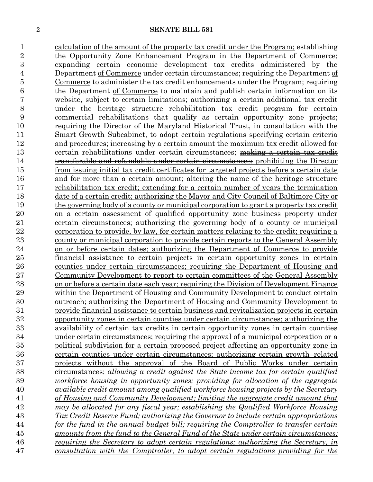calculation of the amount of the property tax credit under the Program; establishing the Opportunity Zone Enhancement Program in the Department of Commerce; expanding certain economic development tax credits administered by the Department of Commerce under certain circumstances; requiring the Department of Commerce to administer the tax credit enhancements under the Program; requiring the Department of Commerce to maintain and publish certain information on its website, subject to certain limitations; authorizing a certain additional tax credit under the heritage structure rehabilitation tax credit program for certain commercial rehabilitations that qualify as certain opportunity zone projects; requiring the Director of the Maryland Historical Trust, in consultation with the Smart Growth Subcabinet, to adopt certain regulations specifying certain criteria and procedures; increasing by a certain amount the maximum tax credit allowed for 13 certain rehabilitations under certain circumstances; making a certain tax credit **transferable and refundable under certain circumstances**; prohibiting the Director from issuing initial tax credit certificates for targeted projects before a certain date and for more than a certain amount; altering the name of the heritage structure 17 rehabilitation tax credit; extending for a certain number of years the termination date of a certain credit; authorizing the Mayor and City Council of Baltimore City or the governing body of a county or municipal corporation to grant a property tax credit on a certain assessment of qualified opportunity zone business property under certain circumstances; authorizing the governing body of a county or municipal 22 corporation to provide, by law, for certain matters relating to the credit; requiring a county or municipal corporation to provide certain reports to the General Assembly on or before certain dates; authorizing the Department of Commerce to provide financial assistance to certain projects in certain opportunity zones in certain counties under certain circumstances; requiring the Department of Housing and Community Development to report to certain committees of the General Assembly 28 on or before a certain date each year; requiring the Division of Development Finance within the Department of Housing and Community Development to conduct certain outreach; authorizing the Department of Housing and Community Development to provide financial assistance to certain business and revitalization projects in certain opportunity zones in certain counties under certain circumstances; authorizing the availability of certain tax credits in certain opportunity zones in certain counties under certain circumstances; requiring the approval of a municipal corporation or a political subdivision for a certain proposed project affecting an opportunity zone in certain counties under certain circumstances; authorizing certain growth–related projects without the approval of the Board of Public Works under certain circumstances; *allowing a credit against the State income tax for certain qualified workforce housing in opportunity zones; providing for allocation of the aggregate available credit amount among qualified workforce housing projects by the Secretary of Housing and Community Development; limiting the aggregate credit amount that may be allocated for any fiscal year; establishing the Qualified Workforce Housing Tax Credit Reserve Fund; authorizing the Governor to include certain appropriations for the fund in the annual budget bill; requiring the Comptroller to transfer certain amounts from the fund to the General Fund of the State under certain circumstances; requiring the Secretary to adopt certain regulations; authorizing the Secretary, in consultation with the Comptroller, to adopt certain regulations providing for the*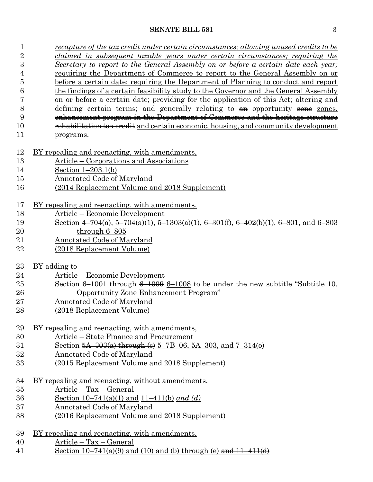| 1              | <u>recapture of the tax credit under certain circumstances; allowing unused credits to be</u> |  |  |  |
|----------------|-----------------------------------------------------------------------------------------------|--|--|--|
| $\overline{2}$ | claimed in subsequent taxable years under certain circumstances; requiring the                |  |  |  |
| $\overline{3}$ | Secretary to report to the General Assembly on or before a certain date each year;            |  |  |  |
| 4              | requiring the Department of Commerce to report to the General Assembly on or                  |  |  |  |
| 5              | before a certain date; requiring the Department of Planning to conduct and report             |  |  |  |
| 6              | the findings of a certain feasibility study to the Governor and the General Assembly          |  |  |  |
| 7              | on or before a certain date; providing for the application of this Act; altering and          |  |  |  |
| 8              | defining certain terms; and generally relating to $a_n$ opportunity $\frac{1}{2}$ zones.      |  |  |  |
| 9              | enhancement program in the Department of Commerce and the heritage structure                  |  |  |  |
| 10             | rehabilitation tax credit and certain economic, housing, and community development            |  |  |  |
| 11             | programs.                                                                                     |  |  |  |
| 12             | <u>BY repealing and reenacting, with amendments,</u>                                          |  |  |  |
| 13             | Article – Corporations and Associations                                                       |  |  |  |
| 14             | Section $1-203.1(b)$                                                                          |  |  |  |
| 15             | <b>Annotated Code of Maryland</b>                                                             |  |  |  |
| 16             | (2014 Replacement Volume and 2018 Supplement)                                                 |  |  |  |
|                |                                                                                               |  |  |  |
| 17             | <u>BY repealing and reenacting, with amendments,</u>                                          |  |  |  |
| 18             | Article - Economic Development                                                                |  |  |  |
| 19             | Section 4-704(a), 5-704(a)(1), 5-1303(a)(1), 6-301(f), 6-402(b)(1), 6-801, and 6-803          |  |  |  |
| 20             | through $6 - 805$                                                                             |  |  |  |
| 21             | <b>Annotated Code of Maryland</b>                                                             |  |  |  |
| 22             | (2018 Replacement Volume)                                                                     |  |  |  |
| 23             | BY adding to                                                                                  |  |  |  |
| 24             | Article – Economic Development                                                                |  |  |  |
| 25             | Section 6–1001 through $6-1008$ to be under the new subtitle "Subtitle 10.                    |  |  |  |
|                |                                                                                               |  |  |  |
| 26             | Opportunity Zone Enhancement Program"                                                         |  |  |  |
| 27             | Annotated Code of Maryland                                                                    |  |  |  |
| 28             | (2018 Replacement Volume)                                                                     |  |  |  |
| 29             | BY repealing and reenacting, with amendments,                                                 |  |  |  |
| 30             | Article – State Finance and Procurement                                                       |  |  |  |
| 31             | Section $5A-303(a)$ through (e) $5-7B-06$ , $5A-303$ , and $7-314(o)$                         |  |  |  |
| 32             | Annotated Code of Maryland                                                                    |  |  |  |
| 33             | (2015 Replacement Volume and 2018 Supplement)                                                 |  |  |  |
| 34             | BY repealing and reenacting, without amendments,                                              |  |  |  |
| 35             | Article - Tax - General                                                                       |  |  |  |
| 36             | Section 10–741(a)(1) and $11-411(b)$ and (d)                                                  |  |  |  |
| 37             | <b>Annotated Code of Maryland</b>                                                             |  |  |  |
| 38             | (2016 Replacement Volume and 2018 Supplement)                                                 |  |  |  |
|                |                                                                                               |  |  |  |
| 39             | BY repealing and reenacting, with amendments,                                                 |  |  |  |
| 40             | $Article - Tax - General$                                                                     |  |  |  |
| 41             | Section $10-741(a)(9)$ and (10) and (b) through (e) and $11-411(d)$                           |  |  |  |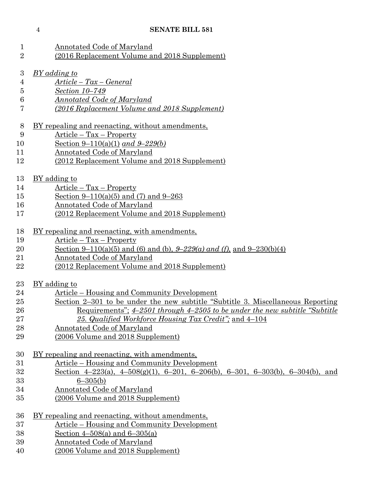| $\mathbf{1}$   | <b>Annotated Code of Maryland</b>                                                    |
|----------------|--------------------------------------------------------------------------------------|
| $\overline{2}$ | (2016 Replacement Volume and 2018 Supplement)                                        |
| 3              | BY adding to                                                                         |
| $\overline{4}$ | $Article - Tax - General$                                                            |
| 5              | Section 10-749                                                                       |
| 6              | Annotated Code of Maryland                                                           |
| 7              | (2016 Replacement Volume and 2018 Supplement)                                        |
| 8              | BY repealing and reenacting, without amendments,                                     |
| 9              | Article - Tax - Property                                                             |
| 10             | Section 9–110(a)(1) and 9–229(b)                                                     |
| 11             | Annotated Code of Maryland                                                           |
| 12             | (2012 Replacement Volume and 2018 Supplement)                                        |
| 13             | BY adding to                                                                         |
| 14             | $Article - Tax - Property$                                                           |
| 15             | Section 9–110(a)(5) and (7) and 9–263                                                |
| 16             | Annotated Code of Maryland                                                           |
| 17             | (2012 Replacement Volume and 2018 Supplement)                                        |
|                |                                                                                      |
| 18             | BY repealing and reenacting, with amendments,                                        |
| 19             | Article – Tax – Property                                                             |
| 20             | Section 9–110(a)(5) and (6) and (b), $9-229(a)$ and (f), and $9-230(b)(4)$           |
| 21             | Annotated Code of Maryland                                                           |
| 22             | (2012 Replacement Volume and 2018 Supplement)                                        |
| 23             | BY adding to                                                                         |
| 24             | Article – Housing and Community Development                                          |
| 25             | Section 2-301 to be under the new subtitle "Subtitle 3. Miscellaneous Reporting"     |
| 26             | <u>Requirements"; 4–2501 through 4–2505 to be under the new subtitle "Subtitle</u> " |
| 27             | 25. Qualified Workforce Housing Tax Credit"; and 4-104                               |
| 28             | Annotated Code of Maryland                                                           |
| 29             | (2006 Volume and 2018 Supplement)                                                    |
| 30             | <u>BY repealing and reenacting, with amendments,</u>                                 |
| 31             | Article – Housing and Community Development                                          |
| 32             | Section 4-223(a), 4-508(g)(1), 6-201, 6-206(b), 6-301, 6-303(b), 6-304(b), and       |
| 33             | $6 - 305(b)$                                                                         |
| 34             | <b>Annotated Code of Maryland</b>                                                    |
| 35             | (2006 Volume and 2018 Supplement)                                                    |
|                |                                                                                      |
| 36             | BY repealing and reenacting, without amendments,                                     |
| 37             | <u><b>Article</b></u> – Housing and Community Development                            |
| 38             | Section $4-508(a)$ and $6-305(a)$                                                    |
| 39             | Annotated Code of Maryland                                                           |

(2006 Volume and 2018 Supplement)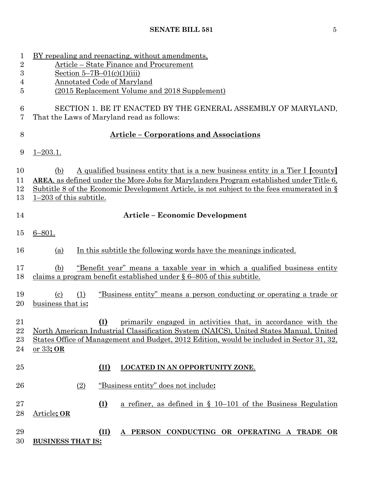| 1<br>$\overline{2}$       | BY repealing and reenacting, without amendments,<br>Article – State Finance and Procurement                                                                                                                                                                                                                            |  |  |  |
|---------------------------|------------------------------------------------------------------------------------------------------------------------------------------------------------------------------------------------------------------------------------------------------------------------------------------------------------------------|--|--|--|
| 3                         | Section $5 - 7B - 01(c)(1)(iii)$                                                                                                                                                                                                                                                                                       |  |  |  |
| $\overline{4}$            | <b>Annotated Code of Maryland</b>                                                                                                                                                                                                                                                                                      |  |  |  |
| 5                         | (2015 Replacement Volume and 2018 Supplement)                                                                                                                                                                                                                                                                          |  |  |  |
| 6<br>7                    | SECTION 1. BE IT ENACTED BY THE GENERAL ASSEMBLY OF MARYLAND,<br>That the Laws of Maryland read as follows:                                                                                                                                                                                                            |  |  |  |
| 8                         | <b>Article - Corporations and Associations</b>                                                                                                                                                                                                                                                                         |  |  |  |
| 9                         | $1 - 203.1.$                                                                                                                                                                                                                                                                                                           |  |  |  |
| 10<br>11<br>12<br>13      | A qualified business entity that is a new business entity in a Tier I [county]<br>(b)<br><b>AREA</b> , as defined under the More Jobs for Marylanders Program established under Title 6,<br>Subtitle 8 of the Economic Development Article, is not subject to the fees enumerated in $\S$<br>$1-203$ of this subtitle. |  |  |  |
| 14                        | <b>Article - Economic Development</b>                                                                                                                                                                                                                                                                                  |  |  |  |
| 15                        | $6 - 801.$                                                                                                                                                                                                                                                                                                             |  |  |  |
| 16                        | In this subtitle the following words have the meanings indicated.<br>(a)                                                                                                                                                                                                                                               |  |  |  |
| 17<br>18                  | <u>"Benefit year" means a taxable year in which a qualified business entity</u><br>(b)<br>claims a program benefit established under § 6–805 of this subtitle.                                                                                                                                                         |  |  |  |
| 19<br>20                  | "Business entity" means a person conducting or operating a trade or<br>$\left( \mathrm{c}\right)$<br>(1)<br>business that is:                                                                                                                                                                                          |  |  |  |
| 21<br>22<br>$^{23}$<br>24 | (I) primarily engaged in activities that, in accordance with the<br>North American Industrial Classification System (NAICS), United States Manual, United<br>States Office of Management and Budget, 2012 Edition, would be included in Sector 31, 32,<br><u>or 33; OR</u>                                             |  |  |  |
| 25                        | (II)<br>LOCATED IN AN OPPORTUNITY ZONE.                                                                                                                                                                                                                                                                                |  |  |  |
| 26                        | "Business entity" does not include:<br>(2)                                                                                                                                                                                                                                                                             |  |  |  |
| $27\,$<br>28              | $\Omega$<br>a refiner, as defined in $\S$ 10–101 of the Business Regulation<br>Article; OR                                                                                                                                                                                                                             |  |  |  |
| 29<br>30                  | A PERSON CONDUCTING OR OPERATING A TRADE OR<br>(II)<br><b>BUSINESS THAT IS:</b>                                                                                                                                                                                                                                        |  |  |  |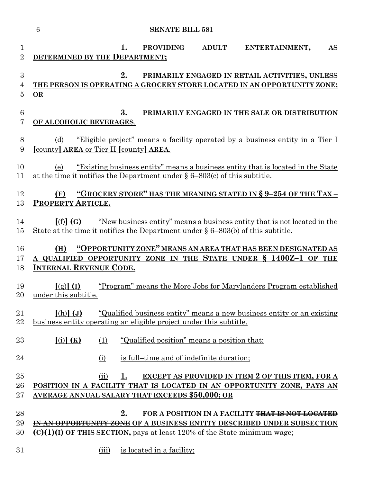|                                | $\boldsymbol{6}$<br><b>SENATE BILL 581</b>                                                                                                                                                                     |
|--------------------------------|----------------------------------------------------------------------------------------------------------------------------------------------------------------------------------------------------------------|
| $\mathbf{1}$<br>$\overline{2}$ | <b>PROVIDING</b><br><b>ADULT</b><br>ENTERTAINMENT,<br><u>1.</u><br>AS<br>DETERMINED BY THE DEPARTMENT;                                                                                                         |
| 3<br>4<br>$\overline{5}$       | 2.<br>PRIMARILY ENGAGED IN RETAIL ACTIVITIES, UNLESS<br>THE PERSON IS OPERATING A GROCERY STORE LOCATED IN AN OPPORTUNITY ZONE;<br>OR                                                                          |
| $6\phantom{.}6$<br>7           | 3.<br>PRIMARILY ENGAGED IN THE SALE OR DISTRIBUTION<br>OF ALCOHOLIC BEVERAGES.                                                                                                                                 |
| 8<br>9                         | <u>"Eligible project" means a facility operated by a business entity in a Tier I</u><br>(d)<br>[county] AREA or Tier II [county] AREA.                                                                         |
| 10<br>11                       | "Existing business entity" means a business entity that is located in the State<br>(e)<br>at the time it notifies the Department under $\S 6-803(c)$ of this subtitle.                                         |
| 12<br>13                       | "GROCERY STORE" HAS THE MEANING STATED IN § 9-254 OF THE TAX-<br>(F)<br>PROPERTY ARTICLE.                                                                                                                      |
| 14<br>15                       | [(f)](G)<br><u>"New business entity" means a business entity that is not located in the</u><br>State at the time it notifies the Department under $\S 6-803(b)$ of this subtitle.                              |
| 16<br>17<br>18                 | "OPPORTUNITY ZONE" MEANS AN AREA THAT HAS BEEN DESIGNATED AS<br>(H)<br>A QUALIFIED OPPORTUNITY ZONE IN THE STATE UNDER § 1400Z-1 OF THE<br><b>INTERNAL REVENUE CODE.</b>                                       |
| 19<br>20                       | "Program" means the More Jobs for Marylanders Program established<br>$[(g)]$ (I)<br>under this subtitle                                                                                                        |
| 21<br>22                       | $[(h)]$ $(J)$<br>"Qualified business entity" means a new business entity or an existing<br>business entity operating an eligible project under this subtitle.                                                  |
| 23                             | $(i)$ $(K)$<br>(1)<br>"Qualified position" means a position that:                                                                                                                                              |
| 24                             | is full-time and of indefinite duration;<br>(i)                                                                                                                                                                |
| 25<br>26<br>$27\,$             | EXCEPT AS PROVIDED IN ITEM 2 OF THIS ITEM, FOR A<br>(ii)<br>1.<br>POSITION IN A FACILITY THAT IS LOCATED IN AN OPPORTUNITY ZONE, PAYS AN<br><b>AVERAGE ANNUAL SALARY THAT EXCEEDS \$50,000; OR</b>             |
| 28<br>29<br>30                 | 2.<br>FOR A POSITION IN A FACILITY THAT IS NOT LOCATED<br>IN AN OPPORTUNITY ZONE OF A BUSINESS ENTITY DESCRIBED UNDER SUBSECTION<br>$(C)(1)(I)$ OF THIS SECTION, pays at least 120% of the State minimum wage: |
| $31\,$                         | (iii)<br>is located in a facility;                                                                                                                                                                             |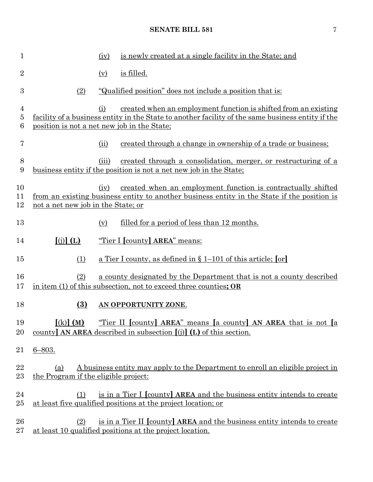| $\mathbf{1}$   |                                             | (iv)  | is newly created at a single facility in the State; and                                                                                                              |
|----------------|---------------------------------------------|-------|----------------------------------------------------------------------------------------------------------------------------------------------------------------------|
| $\overline{2}$ |                                             | (y)   | is filled.                                                                                                                                                           |
| 3              | (2)                                         |       | <u>"Qualified position" does not include a position that is:</u>                                                                                                     |
| 4<br>5<br>6    | position is not a net new job in the State; | (i)   | created when an employment function is shifted from an existing<br>facility of a business entity in the State to another facility of the same business entity if the |
| 7              |                                             | (ii)  | created through a change in ownership of a trade or business;                                                                                                        |
| $8\,$<br>9     |                                             | (iii) | created through a consolidation, merger, or restructuring of a<br>business entity if the position is not a net new job in the State;                                 |
| 10<br>11<br>12 | not a net new job in the State; or          | (iv)  | created when an employment function is contractually shifted<br>from an existing business entity to another business entity in the State if the position is          |
| 13             |                                             | (v)   | <u>filled for a period of less than 12 months.</u>                                                                                                                   |
| 14             | $(i)$ $(L)$                                 |       | "Tier I [county] AREA" means:                                                                                                                                        |
| 15             | (1)                                         |       | <u>a Tier I county, as defined in § 1–101 of this article; [or]</u>                                                                                                  |
| 16<br>17       | (2)                                         |       | a county designated by the Department that is not a county described<br>in item (1) of this subsection, not to exceed three counties; OR                             |
| 18             | $\overline{(3)}$                            |       | AN OPPORTUNITY ZONE.                                                                                                                                                 |
| 19<br>20       | $(k)$ $(M)$                                 |       | "Tier II [county] AREA" means [a county] AN AREA that is not [a<br>county <b>AN AREA</b> described in subsection $[(i)]$ (L) of this section.                        |
| 21             | $6 - 803.$                                  |       |                                                                                                                                                                      |
| 22<br>23       | (a)<br>the Program if the eligible project: |       | A business entity may apply to the Department to enroll an eligible project in                                                                                       |
| 24<br>$25\,$   | (1)                                         |       | is in a Tier I [county] AREA and the business entity intends to create<br>at least five qualified positions at the project location; or                              |
| 26<br>$27\,$   | (2)                                         |       | is in a Tier II [county] AREA and the business entity intends to create<br>at least 10 qualified positions at the project location.                                  |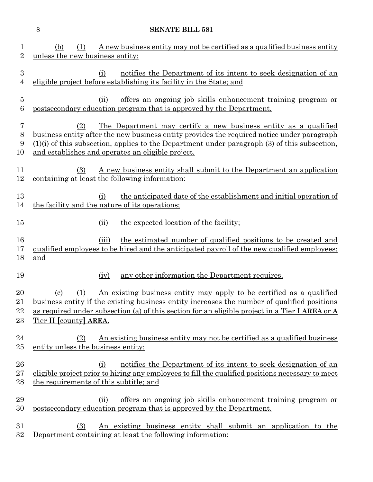|                                    | 8<br><b>SENATE BILL 581</b>                                                                                                                                                                                                                                                                                                   |  |  |
|------------------------------------|-------------------------------------------------------------------------------------------------------------------------------------------------------------------------------------------------------------------------------------------------------------------------------------------------------------------------------|--|--|
| $\mathbf{1}$<br>$\overline{2}$     | A new business entity may not be certified as a qualified business entity<br>(1)<br>(b)<br>unless the new business entity:                                                                                                                                                                                                    |  |  |
| $\sqrt{3}$<br>$\overline{4}$       | notifies the Department of its intent to seek designation of an<br>(i)<br>eligible project before establishing its facility in the State; and                                                                                                                                                                                 |  |  |
| $\bf 5$<br>$\,6$                   | <u>offers an ongoing job skills enhancement training program or</u><br>(ii)<br>postsecondary education program that is approved by the Department.                                                                                                                                                                            |  |  |
| $\overline{7}$<br>$8\,$<br>9<br>10 | The Department may certify a new business entity as a qualified<br>(2)<br>business entity after the new business entity provides the required notice under paragraph<br>$(1)(i)$ of this subsection, applies to the Department under paragraph $(3)$ of this subsection.<br>and establishes and operates an eligible project. |  |  |
| 11<br>12                           | A new business entity shall submit to the Department an application<br>(3)<br>containing at least the following information:                                                                                                                                                                                                  |  |  |
| 13<br>14                           | the anticipated date of the establishment and initial operation of<br>(i)<br>the facility and the nature of its operations;                                                                                                                                                                                                   |  |  |
| 15                                 | the expected location of the facility;<br>(ii)                                                                                                                                                                                                                                                                                |  |  |
| 16<br>17<br>18                     | the estimated number of qualified positions to be created and<br>(iii)<br>qualified employees to be hired and the anticipated payroll of the new qualified employees;<br>and                                                                                                                                                  |  |  |
| 19                                 | any other information the Department requires.<br>(iv)                                                                                                                                                                                                                                                                        |  |  |
| 20<br>21<br>22<br>23               | An existing business entity may apply to be certified as a qualified<br><u>(c)</u><br>(1)<br><u>business entity if the existing business entity increases the number of qualified positions</u><br>as required under subsection (a) of this section for an eligible project in a Tier I AREA or A<br>Tier II [county] AREA.   |  |  |
| 24<br>25                           | An existing business entity may not be certified as a qualified business<br>(2)<br>entity unless the business entity:                                                                                                                                                                                                         |  |  |
| 26<br>27<br>28                     | notifies the Department of its intent to seek designation of an<br>(i)<br>eligible project prior to hiring any employees to fill the qualified positions necessary to meet<br>the requirements of this subtitle; and                                                                                                          |  |  |
| 29<br>30                           | offers an ongoing job skills enhancement training program or<br>(ii)<br>postsecondary education program that is approved by the Department.                                                                                                                                                                                   |  |  |
| 31<br>32                           | An existing business entity shall submit an application to the<br>(3)<br>Department containing at least the following information:                                                                                                                                                                                            |  |  |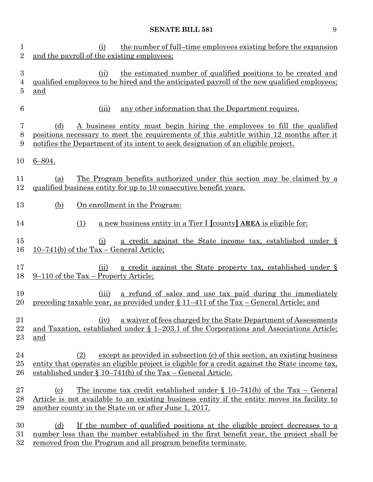| $\mathbf 1$<br>$\overline{2}$ | the number of full-time employees existing before the expansion<br>(i)<br>and the payroll of the existing employees;                                                                                                                                                                |
|-------------------------------|-------------------------------------------------------------------------------------------------------------------------------------------------------------------------------------------------------------------------------------------------------------------------------------|
| $\boldsymbol{3}$<br>4<br>5    | the estimated number of qualified positions to be created and<br>(ii)<br>qualified employees to be hired and the anticipated payroll of the new qualified employees;<br>and                                                                                                         |
| 6                             | (iii)<br>any other information that the Department requires.                                                                                                                                                                                                                        |
| 7<br>8<br>9                   | A business entity must begin hiring the employees to fill the qualified<br>(d)<br>positions necessary to meet the requirements of this subtitle within 12 months after it<br>notifies the Department of its intent to seek designation of an eligible project.                      |
| 10                            | $6 - 804.$                                                                                                                                                                                                                                                                          |
| 11<br>12                      | The Program benefits authorized under this section may be claimed by a<br>(a)<br>qualified business entity for up to 10 consecutive benefit years.                                                                                                                                  |
| 13                            | (b)<br>On enrollment in the Program:                                                                                                                                                                                                                                                |
| 14                            | a new business entity in a Tier I [county] AREA is eligible for:<br>(1)                                                                                                                                                                                                             |
| 15<br>16                      | a credit against the State income tax, established under §<br>(i)<br>$10-741(b)$ of the Tax – General Article;                                                                                                                                                                      |
| 17<br>18                      | <u>a credit against the State property tax, established under §</u><br>(ii)<br>9–110 of the Tax – Property Article;                                                                                                                                                                 |
| 19<br>20                      | a refund of sales and use tax paid during the immediately<br>(iii)<br><u>preceding taxable year, as provided under § 11–411 of the Tax – General Article; and</u>                                                                                                                   |
| 21<br>22<br>23                | a waiver of fees charged by the State Department of Assessments<br>(iv)<br>and Taxation, established under $\S$ 1-203.1 of the Corporations and Associations Article;<br>and                                                                                                        |
| 24<br>25<br>26                | except as provided in subsection (c) of this section, an existing business<br>(2)<br>entity that operates an eligible project is eligible for a credit against the State income tax,<br>established under $\S 10-741(b)$ of the Tax – General Article.                              |
| 27<br>28<br>29                | <u>The income tax credit established under <math>\S</math> 10–741(b)</u> of the Tax – General<br>$\left( \mathrm{c}\right)$<br>Article is not available to an existing business entity if the entity moves its facility to<br>another county in the State on or after June 1, 2017. |
| 30<br>31                      | If the number of qualified positions at the eligible project decreases to a<br>(d)<br>number less than the number established in the first benefit year, the project shall be                                                                                                       |

32 removed from the Program and all program benefits terminate.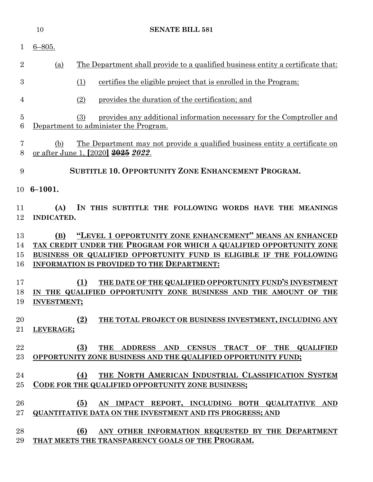|                      | 10                       | <b>SENATE BILL 581</b>                                                                                                                                                                                                                                      |
|----------------------|--------------------------|-------------------------------------------------------------------------------------------------------------------------------------------------------------------------------------------------------------------------------------------------------------|
| 1                    | $6 - 805.$               |                                                                                                                                                                                                                                                             |
| $\overline{2}$       | (a)                      | The Department shall provide to a qualified business entity a certificate that:                                                                                                                                                                             |
| 3                    |                          | (1)<br>certifies the eligible project that is enrolled in the Program;                                                                                                                                                                                      |
| 4                    |                          | (2)<br>provides the duration of the certification; and                                                                                                                                                                                                      |
| 5<br>6               |                          | provides any additional information necessary for the Comptroller and<br>(3)<br>Department to administer the Program.                                                                                                                                       |
| 7<br>8               | (b)                      | <u>The Department may not provide a qualified business entity a certificate on</u><br>or after June 1, [2020] 2025 2022.                                                                                                                                    |
| 9                    |                          | <b>SUBTITLE 10. OPPORTUNITY ZONE ENHANCEMENT PROGRAM.</b>                                                                                                                                                                                                   |
| 10                   | $6 - 1001.$              |                                                                                                                                                                                                                                                             |
| 11<br>12             | (A)<br><b>INDICATED.</b> | IN THIS SUBTITLE THE FOLLOWING WORDS HAVE THE MEANINGS                                                                                                                                                                                                      |
| 13<br>14<br>15<br>16 | (B)                      | "LEVEL 1 OPPORTUNITY ZONE ENHANCEMENT" MEANS AN ENHANCED<br>TAX CREDIT UNDER THE PROGRAM FOR WHICH A QUALIFIED OPPORTUNITY ZONE<br>BUSINESS OR QUALIFIED OPPORTUNITY FUND IS ELIGIBLE IF THE FOLLOWING<br><b>INFORMATION IS PROVIDED TO THE DEPARTMENT:</b> |
| 17<br>18<br>19       | <b>INVESTMENT;</b>       | (1)<br>THE DATE OF THE QUALIFIED OPPORTUNITY FUND'S INVESTMENT<br>IN THE QUALIFIED OPPORTUNITY ZONE BUSINESS AND THE AMOUNT OF THE                                                                                                                          |
| 20<br>21             | LEVERAGE;                | (2)<br>THE TOTAL PROJECT OR BUSINESS INVESTMENT, INCLUDING ANY                                                                                                                                                                                              |
| 22<br>$23\,$         |                          | (3)<br>THE ADDRESS AND CENSUS TRACT OF THE QUALIFIED<br>OPPORTUNITY ZONE BUSINESS AND THE QUALIFIED OPPORTUNITY FUND;                                                                                                                                       |
| 24<br>25             |                          | THE NORTH AMERICAN INDUSTRIAL CLASSIFICATION SYSTEM<br>(4)<br>CODE FOR THE QUALIFIED OPPORTUNITY ZONE BUSINESS;                                                                                                                                             |
| 26<br>$27\,$         |                          | (5)<br>AN IMPACT REPORT, INCLUDING BOTH QUALITATIVE AND<br><b>QUANTITATIVE DATA ON THE INVESTMENT AND ITS PROGRESS; AND</b>                                                                                                                                 |
| 28<br>29             |                          | (6)<br>ANY OTHER INFORMATION REQUESTED BY THE DEPARTMENT<br>THAT MEETS THE TRANSPARENCY GOALS OF THE PROGRAM.                                                                                                                                               |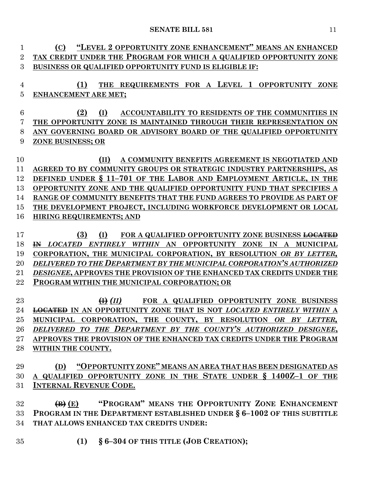| 1                    | "LEVEL 2 OPPORTUNITY ZONE ENHANCEMENT" MEANS AN ENHANCED<br>(C)                                                                                                               |  |  |
|----------------------|-------------------------------------------------------------------------------------------------------------------------------------------------------------------------------|--|--|
| $\overline{2}$       | TAX CREDIT UNDER THE PROGRAM FOR WHICH A QUALIFIED OPPORTUNITY ZONE                                                                                                           |  |  |
| 3                    | BUSINESS OR QUALIFIED OPPORTUNITY FUND IS ELIGIBLE IF:                                                                                                                        |  |  |
|                      |                                                                                                                                                                               |  |  |
| 4                    | (1)<br>THE REQUIREMENTS FOR A LEVEL 1 OPPORTUNITY ZONE                                                                                                                        |  |  |
| 5                    | <b>ENHANCEMENT ARE MET;</b>                                                                                                                                                   |  |  |
|                      |                                                                                                                                                                               |  |  |
| $6\phantom{.}6$<br>7 | (2)<br>(I)<br>ACCOUNTABILITY TO RESIDENTS OF THE COMMUNITIES IN<br>THE OPPORTUNITY ZONE IS MAINTAINED THROUGH THEIR REPRESENTATION ON                                         |  |  |
| 8                    | ANY GOVERNING BOARD OR ADVISORY BOARD OF THE QUALIFIED OPPORTUNITY                                                                                                            |  |  |
| 9                    | ZONE BUSINESS; OR                                                                                                                                                             |  |  |
|                      |                                                                                                                                                                               |  |  |
| 10                   | A COMMUNITY BENEFITS AGREEMENT IS NEGOTIATED AND<br>(II)                                                                                                                      |  |  |
| 11                   | AGREED TO BY COMMUNITY GROUPS OR STRATEGIC INDUSTRY PARTNERSHIPS, AS                                                                                                          |  |  |
| 12                   | DEFINED UNDER § 11-701 OF THE LABOR AND EMPLOYMENT ARTICLE, IN THE                                                                                                            |  |  |
| 13                   | OPPORTUNITY ZONE AND THE QUALIFIED OPPORTUNITY FUND THAT SPECIFIES A                                                                                                          |  |  |
| 14                   | RANGE OF COMMUNITY BENEFITS THAT THE FUND AGREES TO PROVIDE AS PART OF                                                                                                        |  |  |
| 15                   | THE DEVELOPMENT PROJECT, INCLUDING WORKFORCE DEVELOPMENT OR LOCAL                                                                                                             |  |  |
| 16                   | <b>HIRING REQUIREMENTS; AND</b>                                                                                                                                               |  |  |
|                      |                                                                                                                                                                               |  |  |
| 17<br>18             | (3)<br>(I)<br>FOR A QUALIFIED OPPORTUNITY ZONE BUSINESS <del>LOCATED</del><br><b>IN LOCATED ENTIRELY WITHIN AN OPPORTUNITY ZONE</b><br>IN<br>$\mathbf{A}$<br><b>MUNICIPAL</b> |  |  |
| 19                   | CORPORATION, THE MUNICIPAL CORPORATION, BY RESOLUTION OR BY LETTER,                                                                                                           |  |  |
| 20                   | DELIVERED TO THE DEPARTMENT BY THE MUNICIPAL CORPORATION'S AUTHORIZED                                                                                                         |  |  |
| 21                   | DESIGNEE, APPROVES THE PROVISION OF THE ENHANCED TAX CREDITS UNDER THE                                                                                                        |  |  |
| 22                   | PROGRAM WITHIN THE MUNICIPAL CORPORATION; OR                                                                                                                                  |  |  |
|                      |                                                                                                                                                                               |  |  |
| 23                   | $\bigoplus$ (II)<br>FOR A QUALIFIED OPPORTUNITY ZONE BUSINESS                                                                                                                 |  |  |
| 24                   | <b>LOCATED IN AN OPPORTUNITY ZONE THAT IS NOT LOCATED ENTIRELY WITHIN A</b>                                                                                                   |  |  |
| 25                   | MUNICIPAL CORPORATION, THE COUNTY, BY RESOLUTION OR BY LETTER,                                                                                                                |  |  |
| 26                   | DELIVERED TO THE DEPARTMENT BY THE COUNTY'S AUTHORIZED DESIGNEE,                                                                                                              |  |  |
| $27\,$               | APPROVES THE PROVISION OF THE ENHANCED TAX CREDITS UNDER THE PROGRAM                                                                                                          |  |  |
| 28                   | WITHIN THE COUNTY.                                                                                                                                                            |  |  |
|                      |                                                                                                                                                                               |  |  |
| 29<br>30             | (D) "OPPORTUNITY ZONE" MEANS AN AREA THAT HAS BEEN DESIGNATED AS<br>A QUALIFIED OPPORTUNITY ZONE IN THE STATE UNDER § 1400Z-1 OF THE                                          |  |  |
| 31                   | <b>INTERNAL REVENUE CODE.</b>                                                                                                                                                 |  |  |
|                      |                                                                                                                                                                               |  |  |
| 32                   | "PROGRAM" MEANS THE OPPORTUNITY ZONE ENHANCEMENT<br>$\left( \mathbf{B}\right)$ $\left( \mathbf{E}\right)$                                                                     |  |  |
| 33                   | PROGRAM IN THE DEPARTMENT ESTABLISHED UNDER § 6-1002 OF THIS SUBTITLE                                                                                                         |  |  |
| 34                   | THAT ALLOWS ENHANCED TAX CREDITS UNDER:                                                                                                                                       |  |  |
|                      |                                                                                                                                                                               |  |  |
| 35                   | § 6-304 OF THIS TITLE (JOB CREATION);<br>(1)                                                                                                                                  |  |  |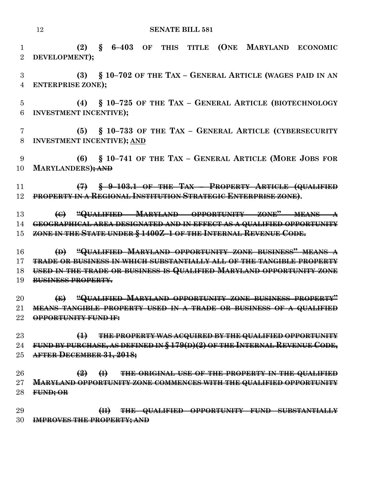**(2) § 6–403 OF THIS TITLE (ONE MARYLAND ECONOMIC DEVELOPMENT); (3) § 10–702 OF THE TAX – GENERAL ARTICLE (WAGES PAID IN AN ENTERPRISE ZONE); (4) § 10–725 OF THE TAX – GENERAL ARTICLE (BIOTECHNOLOGY INVESTMENT INCENTIVE); (5) § 10–733 OF THE TAX – GENERAL ARTICLE (CYBERSECURITY INVESTMENT INCENTIVE); AND (6) § 10–741 OF THE TAX – GENERAL ARTICLE (MORE JOBS FOR MARYLANDERS); AND (7) § 9–103.1 OF THE TAX – PROPERTY ARTICLE (QUALIFIED PROPERTY IN A REGIONAL INSTITUTION STRATEGIC ENTERPRISE ZONE). (C) "QUALIFIED MARYLAND OPPORTUNITY ZONE" MEANS A GEOGRAPHICAL AREA DESIGNATED AND IN EFFECT AS A QUALIFIED OPPORTUNITY ZONE IN THE STATE UNDER § 1400Z–1 OF THE INTERNAL REVENUE CODE. (D) "QUALIFIED MARYLAND OPPORTUNITY ZONE BUSINESS" MEANS A TRADE OR BUSINESS IN WHICH SUBSTANTIALLY ALL OF THE TANGIBLE PROPERTY USED IN THE TRADE OR BUSINESS IS QUALIFIED MARYLAND OPPORTUNITY ZONE BUSINESS PROPERTY. (E) "QUALIFIED MARYLAND OPPORTUNITY ZONE BUSINESS PROPERTY" MEANS TANGIBLE PROPERTY USED IN A TRADE OR BUSINESS OF A QUALIFIED OPPORTUNITY FUND IF: (1) THE PROPERTY WAS ACQUIRED BY THE QUALIFIED OPPORTUNITY FUND BY PURCHASE, AS DEFINED IN § 179(D)(2) OF THE INTERNAL REVENUE CODE, AFTER DECEMBER 31, 2018; (2) (I) THE ORIGINAL USE OF THE PROPERTY IN THE QUALIFIED MARYLAND OPPORTUNITY ZONE COMMENCES WITH THE QUALIFIED OPPORTUNITY FUND; OR (II) THE QUALIFIED OPPORTUNITY FUND SUBSTANTIALLY IMPROVES THE PROPERTY; AND**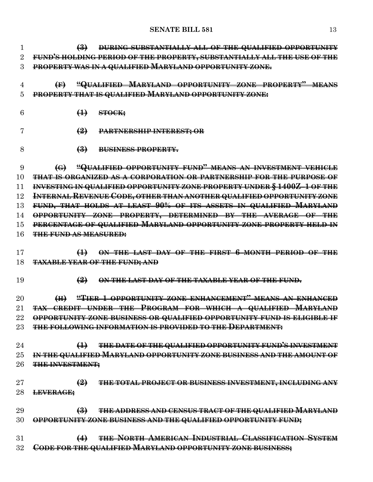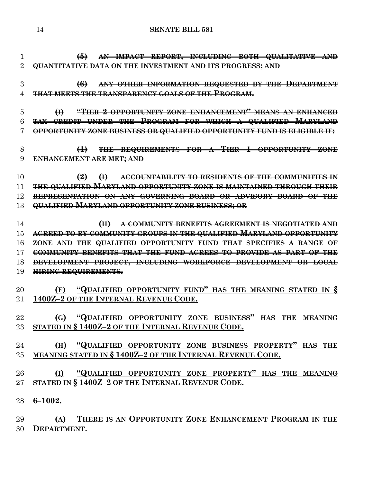**(5) AN IMPACT REPORT, INCLUDING BOTH QUALITATIVE AND QUANTITATIVE DATA ON THE INVESTMENT AND ITS PROGRESS; AND** 

 **(6) ANY OTHER INFORMATION REQUESTED BY THE DEPARTMENT THAT MEETS THE TRANSPARENCY GOALS OF THE PROGRAM.**

 **(I) "TIER 2 OPPORTUNITY ZONE ENHANCEMENT" MEANS AN ENHANCED TAX CREDIT UNDER THE PROGRAM FOR WHICH A QUALIFIED MARYLAND OPPORTUNITY ZONE BUSINESS OR QUALIFIED OPPORTUNITY FUND IS ELIGIBLE IF:**

 **(1) THE REQUIREMENTS FOR A TIER 1 OPPORTUNITY ZONE ENHANCEMENT ARE MET; AND**

 **(2) (I) ACCOUNTABILITY TO RESIDENTS OF THE COMMUNITIES IN THE QUALIFIED MARYLAND OPPORTUNITY ZONE IS MAINTAINED THROUGH THEIR REPRESENTATION ON ANY GOVERNING BOARD OR ADVISORY BOARD OF THE QUALIFIED MARYLAND OPPORTUNITY ZONE BUSINESS; OR**

 **(II) A COMMUNITY BENEFITS AGREEMENT IS NEGOTIATED AND AGREED TO BY COMMUNITY GROUPS IN THE QUALIFIED MARYLAND OPPORTUNITY ZONE AND THE QUALIFIED OPPORTUNITY FUND THAT SPECIFIES A RANGE OF COMMUNITY BENEFITS THAT THE FUND AGREES TO PROVIDE AS PART OF THE DEVELOPMENT PROJECT, INCLUDING WORKFORCE DEVELOPMENT OR LOCAL HIRING REQUIREMENTS.**

 **(F) "QUALIFIED OPPORTUNITY FUND" HAS THE MEANING STATED IN § 1400Z–2 OF THE INTERNAL REVENUE CODE.**

 **(G) "QUALIFIED OPPORTUNITY ZONE BUSINESS" HAS THE MEANING STATED IN § 1400Z–2 OF THE INTERNAL REVENUE CODE.**

 **(H) "QUALIFIED OPPORTUNITY ZONE BUSINESS PROPERTY" HAS THE MEANING STATED IN § 1400Z–2 OF THE INTERNAL REVENUE CODE.**

 **(I) "QUALIFIED OPPORTUNITY ZONE PROPERTY" HAS THE MEANING STATED IN § 1400Z–2 OF THE INTERNAL REVENUE CODE.**

**6–1002.**

 **(A) THERE IS AN OPPORTUNITY ZONE ENHANCEMENT PROGRAM IN THE DEPARTMENT.**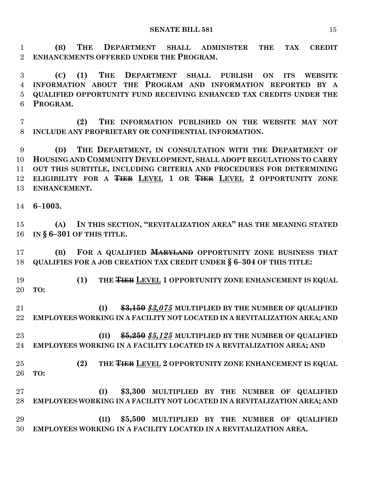**(B) THE DEPARTMENT SHALL ADMINISTER THE TAX CREDIT ENHANCEMENTS OFFERED UNDER THE PROGRAM.**

 **(C) (1) THE DEPARTMENT SHALL PUBLISH ON ITS WEBSITE INFORMATION ABOUT THE PROGRAM AND INFORMATION REPORTED BY A QUALIFIED OPPORTUNITY FUND RECEIVING ENHANCED TAX CREDITS UNDER THE PROGRAM.**

 **(2) THE INFORMATION PUBLISHED ON THE WEBSITE MAY NOT INCLUDE ANY PROPRIETARY OR CONFIDENTIAL INFORMATION.**

 **(D) THE DEPARTMENT, IN CONSULTATION WITH THE DEPARTMENT OF HOUSING AND COMMUNITY DEVELOPMENT, SHALL ADOPT REGULATIONS TO CARRY OUT THIS SUBTITLE, INCLUDING CRITERIA AND PROCEDURES FOR DETERMINING ELIGIBILITY FOR A TIER LEVEL 1 OR TIER LEVEL 2 OPPORTUNITY ZONE ENHANCEMENT.**

**6–1003.**

 **(A) IN THIS SECTION, "REVITALIZATION AREA" HAS THE MEANING STATED IN § 6–301 OF THIS TITLE.**

 **(B) FOR A QUALIFIED MARYLAND OPPORTUNITY ZONE BUSINESS THAT QUALIFIES FOR A JOB CREATION TAX CREDIT UNDER § 6–304 OF THIS TITLE:**

**(1)** THE **THER** LEVEL 1 OPPORTUNITY ZONE ENHANCEMENT IS EQUAL **TO:**

 **(I) \$3,150** *\$3,075* **MULTIPLIED BY THE NUMBER OF QUALIFIED EMPLOYEES WORKING IN A FACILITY NOT LOCATED IN A REVITALIZATION AREA; AND**

 **(II) \$5,250** *\$5,125* **MULTIPLIED BY THE NUMBER OF QUALIFIED EMPLOYEES WORKING IN A FACILITY LOCATED IN A REVITALIZATION AREA; AND**

# 25 **(2) THE <del>TIER</del> LEVEL 2 OPPORTUNITY ZONE ENHANCEMENT IS EQUAL</del> TO:**

- **(I) \$3,300 MULTIPLIED BY THE NUMBER OF QUALIFIED EMPLOYEES WORKING IN A FACILITY NOT LOCATED IN A REVITALIZATION AREA; AND**
- **(II) \$5,500 MULTIPLIED BY THE NUMBER OF QUALIFIED EMPLOYEES WORKING IN A FACILITY LOCATED IN A REVITALIZATION AREA.**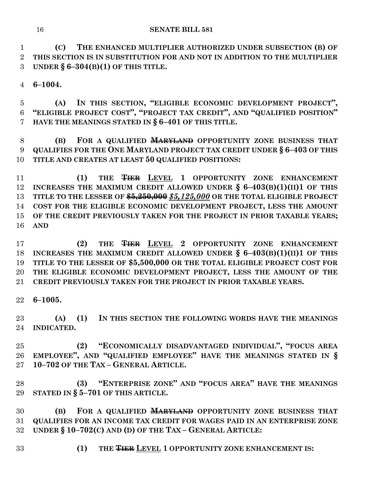**(C) THE ENHANCED MULTIPLIER AUTHORIZED UNDER SUBSECTION (B) OF THIS SECTION IS IN SUBSTITUTION FOR AND NOT IN ADDITION TO THE MULTIPLIER UNDER § 6–304(B)(1) OF THIS TITLE.**

**6–1004.**

 **(A) IN THIS SECTION, "ELIGIBLE ECONOMIC DEVELOPMENT PROJECT", "ELIGIBLE PROJECT COST", "PROJECT TAX CREDIT", AND "QUALIFIED POSITION" HAVE THE MEANINGS STATED IN § 6–401 OF THIS TITLE.**

 **(B) FOR A QUALIFIED MARYLAND OPPORTUNITY ZONE BUSINESS THAT QUALIFIES FOR THE ONE MARYLAND PROJECT TAX CREDIT UNDER § 6–403 OF THIS TITLE AND CREATES AT LEAST 50 QUALIFIED POSITIONS:**

**(1) THE <del>TIER</del> LEVEL 1 OPPORTUNITY ZONE ENHANCEMENT</del> INCREASES THE MAXIMUM CREDIT ALLOWED UNDER § 6–403(B)(1)(II)1 OF THIS TITLE TO THE LESSER OF \$5,250,000** *\$5,125,000* **OR THE TOTAL ELIGIBLE PROJECT COST FOR THE ELIGIBLE ECONOMIC DEVELOPMENT PROJECT, LESS THE AMOUNT OF THE CREDIT PREVIOUSLY TAKEN FOR THE PROJECT IN PRIOR TAXABLE YEARS; AND**

17 (2) THE THER LEVEL 2 OPPORTUNITY ZONE ENHANCEMENT **INCREASES THE MAXIMUM CREDIT ALLOWED UNDER § 6–403(B)(1)(II)1 OF THIS TITLE TO THE LESSER OF \$5,500,000 OR THE TOTAL ELIGIBLE PROJECT COST FOR THE ELIGIBLE ECONOMIC DEVELOPMENT PROJECT, LESS THE AMOUNT OF THE CREDIT PREVIOUSLY TAKEN FOR THE PROJECT IN PRIOR TAXABLE YEARS.**

**6–1005.**

 **(A) (1) IN THIS SECTION THE FOLLOWING WORDS HAVE THE MEANINGS INDICATED.**

 **(2) "ECONOMICALLY DISADVANTAGED INDIVIDUAL", "FOCUS AREA EMPLOYEE", AND "QUALIFIED EMPLOYEE" HAVE THE MEANINGS STATED IN § 10–702 OF THE TAX – GENERAL ARTICLE.**

 **(3) "ENTERPRISE ZONE" AND "FOCUS AREA" HAVE THE MEANINGS STATED IN § 5–701 OF THIS ARTICLE.**

 **(B) FOR A QUALIFIED MARYLAND OPPORTUNITY ZONE BUSINESS THAT QUALIFIES FOR AN INCOME TAX CREDIT FOR WAGES PAID IN AN ENTERPRISE ZONE UNDER § 10–702(C) AND (D) OF THE TAX – GENERAL ARTICLE:**

33 **(1) THE <del>TIER</del> LEVEL 1 OPPORTUNITY ZONE ENHANCEMENT IS:**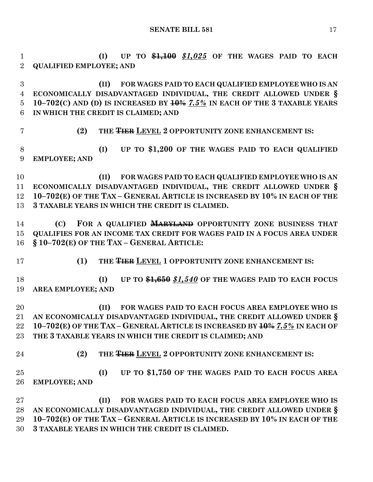**(I) UP TO \$1,100** *\$1,025* **OF THE WAGES PAID TO EACH QUALIFIED EMPLOYEE; AND**

 **(II) FOR WAGES PAID TO EACH QUALIFIED EMPLOYEE WHO IS AN ECONOMICALLY DISADVANTAGED INDIVIDUAL, THE CREDIT ALLOWED UNDER § 10–702(C) AND (D) IS INCREASED BY 10%** *7.5%* **IN EACH OF THE 3 TAXABLE YEARS IN WHICH THE CREDIT IS CLAIMED; AND**

7 (2) THE  $\overline{$ **THER** LEVEL 2 OPPORTUNITY ZONE ENHANCEMENT IS:

 **(I) UP TO \$1,200 OF THE WAGES PAID TO EACH QUALIFIED EMPLOYEE; AND**

 **(II) FOR WAGES PAID TO EACH QUALIFIED EMPLOYEE WHO IS AN ECONOMICALLY DISADVANTAGED INDIVIDUAL, THE CREDIT ALLOWED UNDER § 10–702(E) OF THE TAX – GENERAL ARTICLE IS INCREASED BY 10% IN EACH OF THE 3 TAXABLE YEARS IN WHICH THE CREDIT IS CLAIMED.**

 **(C) FOR A QUALIFIED MARYLAND OPPORTUNITY ZONE BUSINESS THAT QUALIFIES FOR AN INCOME TAX CREDIT FOR WAGES PAID IN A FOCUS AREA UNDER § 10–702(E) OF THE TAX – GENERAL ARTICLE:**

17 (1) THE **THER** LEVEL 1 OPPORTUNITY ZONE ENHANCEMENT IS:

 **(I) UP TO \$1,650** *\$1,540* **OF THE WAGES PAID TO EACH FOCUS AREA EMPLOYEE; AND**

 **(II) FOR WAGES PAID TO EACH FOCUS AREA EMPLOYEE WHO IS AN ECONOMICALLY DISADVANTAGED INDIVIDUAL, THE CREDIT ALLOWED UNDER § 10–702(E) OF THE TAX – GENERAL ARTICLE IS INCREASED BY 10%** *7.5%* **IN EACH OF THE 3 TAXABLE YEARS IN WHICH THE CREDIT IS CLAIMED; AND**

24 **(2) THE <del>TIER</del> LEVEL 2 OPPORTUNITY ZONE ENHANCEMENT IS:** 

 **(I) UP TO \$1,750 OF THE WAGES PAID TO EACH FOCUS AREA EMPLOYEE; AND**

 **(II) FOR WAGES PAID TO EACH FOCUS AREA EMPLOYEE WHO IS AN ECONOMICALLY DISADVANTAGED INDIVIDUAL, THE CREDIT ALLOWED UNDER § 10–702(E) OF THE TAX – GENERAL ARTICLE IS INCREASED BY 10% IN EACH OF THE 3 TAXABLE YEARS IN WHICH THE CREDIT IS CLAIMED.**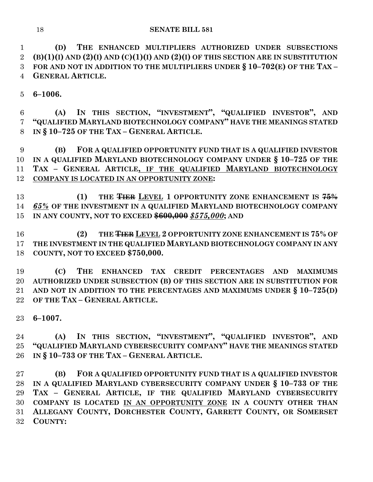**(D) THE ENHANCED MULTIPLIERS AUTHORIZED UNDER SUBSECTIONS (B)(1)(I) AND (2)(I) AND (C)(1)(I) AND (2)(I) OF THIS SECTION ARE IN SUBSTITUTION FOR AND NOT IN ADDITION TO THE MULTIPLIERS UNDER § 10–702(E) OF THE TAX – GENERAL ARTICLE.**

**6–1006.**

 **(A) IN THIS SECTION, "INVESTMENT", "QUALIFIED INVESTOR", AND "QUALIFIED MARYLAND BIOTECHNOLOGY COMPANY" HAVE THE MEANINGS STATED IN § 10–725 OF THE TAX – GENERAL ARTICLE.**

 **(B) FOR A QUALIFIED OPPORTUNITY FUND THAT IS A QUALIFIED INVESTOR IN A QUALIFIED MARYLAND BIOTECHNOLOGY COMPANY UNDER § 10–725 OF THE TAX – GENERAL ARTICLE, IF THE QUALIFIED MARYLAND BIOTECHNOLOGY COMPANY IS LOCATED IN AN OPPORTUNITY ZONE:**

 **(1) THE TIER LEVEL 1 OPPORTUNITY ZONE ENHANCEMENT IS 75%** *65%* **OF THE INVESTMENT IN A QUALIFIED MARYLAND BIOTECHNOLOGY COMPANY IN ANY COUNTY, NOT TO EXCEED \$600,000** *\$575,000***; AND**

 **(2) THE TIER LEVEL 2 OPPORTUNITY ZONE ENHANCEMENT IS 75% OF THE INVESTMENT IN THE QUALIFIED MARYLAND BIOTECHNOLOGY COMPANY IN ANY COUNTY, NOT TO EXCEED \$750,000.**

 **(C) THE ENHANCED TAX CREDIT PERCENTAGES AND MAXIMUMS AUTHORIZED UNDER SUBSECTION (B) OF THIS SECTION ARE IN SUBSTITUTION FOR AND NOT IN ADDITION TO THE PERCENTAGES AND MAXIMUMS UNDER § 10–725(D) OF THE TAX – GENERAL ARTICLE.**

**6–1007.**

 **(A) IN THIS SECTION, "INVESTMENT", "QUALIFIED INVESTOR", AND "QUALIFIED MARYLAND CYBERSECURITY COMPANY" HAVE THE MEANINGS STATED IN § 10–733 OF THE TAX – GENERAL ARTICLE.**

 **(B) FOR A QUALIFIED OPPORTUNITY FUND THAT IS A QUALIFIED INVESTOR IN A QUALIFIED MARYLAND CYBERSECURITY COMPANY UNDER § 10–733 OF THE TAX – GENERAL ARTICLE, IF THE QUALIFIED MARYLAND CYBERSECURITY COMPANY IS LOCATED IN AN OPPORTUNITY ZONE IN A COUNTY OTHER THAN ALLEGANY COUNTY, DORCHESTER COUNTY, GARRETT COUNTY, OR SOMERSET COUNTY:**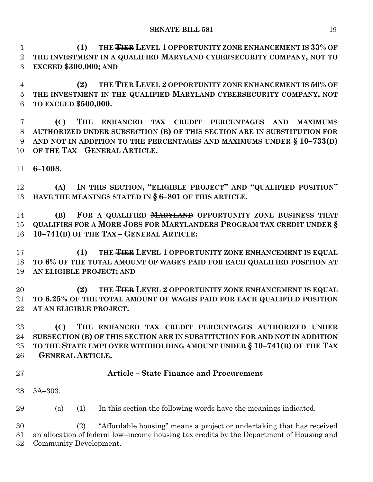**(1) THE TIER LEVEL 1 OPPORTUNITY ZONE ENHANCEMENT IS 33% OF THE INVESTMENT IN A QUALIFIED MARYLAND CYBERSECURITY COMPANY, NOT TO EXCEED \$300,000; AND**

 **(2) THE TIER LEVEL 2 OPPORTUNITY ZONE ENHANCEMENT IS 50% OF THE INVESTMENT IN THE QUALIFIED MARYLAND CYBERSECURITY COMPANY, NOT TO EXCEED \$500,000.**

 **(C) THE ENHANCED TAX CREDIT PERCENTAGES AND MAXIMUMS AUTHORIZED UNDER SUBSECTION (B) OF THIS SECTION ARE IN SUBSTITUTION FOR AND NOT IN ADDITION TO THE PERCENTAGES AND MAXIMUMS UNDER § 10–733(D) OF THE TAX – GENERAL ARTICLE.**

**6–1008.**

 **(A) IN THIS SECTION, "ELIGIBLE PROJECT" AND "QUALIFIED POSITION" HAVE THE MEANINGS STATED IN § 6–801 OF THIS ARTICLE.**

 **(B) FOR A QUALIFIED MARYLAND OPPORTUNITY ZONE BUSINESS THAT QUALIFIES FOR A MORE JOBS FOR MARYLANDERS PROGRAM TAX CREDIT UNDER § 10–741(B) OF THE TAX – GENERAL ARTICLE:**

17 (1) THE **THER** LEVEL 1 OPPORTUNITY ZONE ENHANCEMENT IS EQUAL **TO 6% OF THE TOTAL AMOUNT OF WAGES PAID FOR EACH QUALIFIED POSITION AT AN ELIGIBLE PROJECT; AND**

20 **(2) THE <del>TIER</del> LEVEL 2 OPPORTUNITY ZONE ENHANCEMENT IS EQUAL</del> TO 6.25% OF THE TOTAL AMOUNT OF WAGES PAID FOR EACH QUALIFIED POSITION AT AN ELIGIBLE PROJECT.**

 **(C) THE ENHANCED TAX CREDIT PERCENTAGES AUTHORIZED UNDER SUBSECTION (B) OF THIS SECTION ARE IN SUBSTITUTION FOR AND NOT IN ADDITION TO THE STATE EMPLOYER WITHHOLDING AMOUNT UNDER § 10–741(B) OF THE TAX – GENERAL ARTICLE.**

# **Article – State Finance and Procurement**

5A–303.

(a) (1) In this section the following words have the meanings indicated.

 (2) "Affordable housing" means a project or undertaking that has received an allocation of federal low–income housing tax credits by the Department of Housing and Community Development.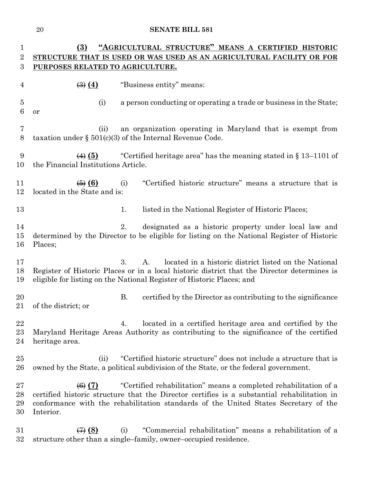| 1                       | "AGRICULTURAL STRUCTURE" MEANS A CERTIFIED HISTORIC<br>(3)            |                                                                                                                                                                                                                                                        |  |
|-------------------------|-----------------------------------------------------------------------|--------------------------------------------------------------------------------------------------------------------------------------------------------------------------------------------------------------------------------------------------------|--|
| $\overline{\mathbf{2}}$ | STRUCTURE THAT IS USED OR WAS USED AS AN AGRICULTURAL FACILITY OR FOR |                                                                                                                                                                                                                                                        |  |
| 3                       | PURPOSES RELATED TO AGRICULTURE.                                      |                                                                                                                                                                                                                                                        |  |
| 4                       | $\left(\frac{3}{2}\right)$ $\left(4\right)$                           | "Business entity" means:                                                                                                                                                                                                                               |  |
| $\overline{5}$<br>6     | (i)<br>or                                                             | a person conducting or operating a trade or business in the State;                                                                                                                                                                                     |  |
| 7<br>8                  | (ii)                                                                  | an organization operating in Maryland that is exempt from<br>taxation under $\S 501(c)(3)$ of the Internal Revenue Code.                                                                                                                               |  |
| 9<br>10                 | $\leftrightarrow$ (5)<br>the Financial Institutions Article.          | "Certified heritage area" has the meaning stated in $\S 13-1101$ of                                                                                                                                                                                    |  |
| 11<br>12                | $\left( 6\right)$ $\left( 6\right)$<br>located in the State and is:   | "Certified historic structure" means a structure that is<br>(i)                                                                                                                                                                                        |  |
| 13                      |                                                                       | listed in the National Register of Historic Places;<br>1.                                                                                                                                                                                              |  |
| 14<br>15<br>16          | Places;                                                               | designated as a historic property under local law and<br>2.<br>determined by the Director to be eligible for listing on the National Register of Historic                                                                                              |  |
| 17<br>18<br>19          |                                                                       | 3.<br>located in a historic district listed on the National<br>A.<br>Register of Historic Places or in a local historic district that the Director determines is<br>eligible for listing on the National Register of Historic Places; and              |  |
| 20<br>21                | of the district; or                                                   | В.<br>certified by the Director as contributing to the significance                                                                                                                                                                                    |  |
| $\bf 22$<br>23<br>24    | heritage area.                                                        | located in a certified heritage area and certified by the<br>4.<br>Maryland Heritage Areas Authority as contributing to the significance of the certified                                                                                              |  |
| 25<br>26                | (ii)                                                                  | "Certified historic structure" does not include a structure that is<br>owned by the State, a political subdivision of the State, or the federal government.                                                                                            |  |
| 27<br>28<br>29<br>30    | $\left(6\right)$ (7)<br>Interior.                                     | "Certified rehabilitation" means a completed rehabilitation of a<br>certified historic structure that the Director certifies is a substantial rehabilitation in<br>conformance with the rehabilitation standards of the United States Secretary of the |  |
| 31<br>32                | $\leftrightarrow$ (8)                                                 | "Commercial rehabilitation" means a rehabilitation of a<br>(i)<br>structure other than a single-family, owner-occupied residence.                                                                                                                      |  |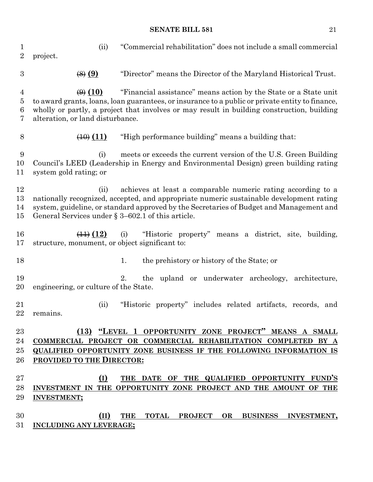| 1<br>$\overline{2}$                        | (ii)<br>project.                                                                                                                                                                                                                                                                                                                    | "Commercial rehabilitation" does not include a small commercial                                                                                                                                                                                    |  |
|--------------------------------------------|-------------------------------------------------------------------------------------------------------------------------------------------------------------------------------------------------------------------------------------------------------------------------------------------------------------------------------------|----------------------------------------------------------------------------------------------------------------------------------------------------------------------------------------------------------------------------------------------------|--|
| $\boldsymbol{3}$                           | $\left(\frac{8}{2}\right)$ $\left(\frac{9}{2}\right)$                                                                                                                                                                                                                                                                               | "Director" means the Director of the Maryland Historical Trust.                                                                                                                                                                                    |  |
| $\overline{4}$<br>$\overline{5}$<br>6<br>7 | "Financial assistance" means action by the State or a State unit<br>$\left(\theta\right)$ (10)<br>to award grants, loans, loan guarantees, or insurance to a public or private entity to finance,<br>wholly or partly, a project that involves or may result in building construction, building<br>alteration, or land disturbance. |                                                                                                                                                                                                                                                    |  |
| $8\,$                                      | $\left(\frac{10}{2}\right)$ $\left(11\right)$                                                                                                                                                                                                                                                                                       | "High performance building" means a building that:                                                                                                                                                                                                 |  |
| 9<br>10<br>11                              | (i)<br>system gold rating; or                                                                                                                                                                                                                                                                                                       | meets or exceeds the current version of the U.S. Green Building<br>Council's LEED (Leadership in Energy and Environmental Design) green building rating                                                                                            |  |
| 12<br>13<br>14<br>15                       | (ii)<br>General Services under $\S 3-602.1$ of this article.                                                                                                                                                                                                                                                                        | achieves at least a comparable numeric rating according to a<br>nationally recognized, accepted, and appropriate numeric sustainable development rating<br>system, guideline, or standard approved by the Secretaries of Budget and Management and |  |
| 16<br>17                                   | $\left(\frac{11}{2}\right)$ (12)<br>structure, monument, or object significant to:                                                                                                                                                                                                                                                  | (i)<br>"Historic property" means a district, site, building,                                                                                                                                                                                       |  |
| 18                                         |                                                                                                                                                                                                                                                                                                                                     | 1.<br>the prehistory or history of the State; or                                                                                                                                                                                                   |  |
| 19<br>20                                   | engineering, or culture of the State.                                                                                                                                                                                                                                                                                               | the upland or underwater archeology, architecture,<br>2.                                                                                                                                                                                           |  |
| 21<br>$22\,$                               | (ii)<br>remains                                                                                                                                                                                                                                                                                                                     | "Historic property" includes related artifacts, records, and                                                                                                                                                                                       |  |
| $23\,$<br>24<br>$25\,$<br>$26\,$           | PROVIDED TO THE DIRECTOR:                                                                                                                                                                                                                                                                                                           | (13) "LEVEL 1 OPPORTUNITY ZONE PROJECT" MEANS A SMALL<br>COMMERCIAL PROJECT OR COMMERCIAL REHABILITATION COMPLETED BY A<br>QUALIFIED OPPORTUNITY ZONE BUSINESS IF THE FOLLOWING INFORMATION IS                                                     |  |
| $27\,$<br>28<br>29                         | (I)<br><b>INVESTMENT;</b>                                                                                                                                                                                                                                                                                                           | THE DATE OF THE QUALIFIED OPPORTUNITY FUND'S<br>INVESTMENT IN THE OPPORTUNITY ZONE PROJECT AND THE AMOUNT OF THE                                                                                                                                   |  |
| 30<br>31                                   | (II)<br>INCLUDING ANY LEVERAGE;                                                                                                                                                                                                                                                                                                     | THE TOTAL PROJECT OR BUSINESS INVESTMENT,                                                                                                                                                                                                          |  |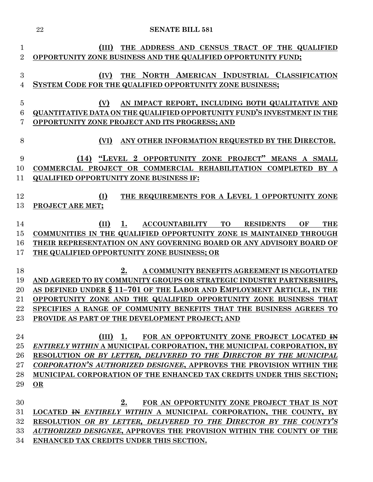|                                  | 22<br><b>SENATE BILL 581</b>                                                                                                                                                                                                                                                                                                                                                                        |
|----------------------------------|-----------------------------------------------------------------------------------------------------------------------------------------------------------------------------------------------------------------------------------------------------------------------------------------------------------------------------------------------------------------------------------------------------|
| $\mathbf{1}$<br>$\overline{2}$   | THE ADDRESS AND CENSUS TRACT OF THE QUALIFIED<br>(III)<br>OPPORTUNITY ZONE BUSINESS AND THE QUALIFIED OPPORTUNITY FUND;                                                                                                                                                                                                                                                                             |
| 3<br>4                           | THE NORTH AMERICAN INDUSTRIAL CLASSIFICATION<br>(IV)<br>SYSTEM CODE FOR THE QUALIFIED OPPORTUNITY ZONE BUSINESS;                                                                                                                                                                                                                                                                                    |
| $\overline{5}$<br>6<br>7         | AN IMPACT REPORT, INCLUDING BOTH QUALITATIVE AND<br>(V)<br><b>QUANTITATIVE DATA ON THE QUALIFIED OPPORTUNITY FUND'S INVESTMENT IN THE</b><br>OPPORTUNITY ZONE PROJECT AND ITS PROGRESS; AND                                                                                                                                                                                                         |
| 8                                | ANY OTHER INFORMATION REQUESTED BY THE DIRECTOR.<br>(VI)                                                                                                                                                                                                                                                                                                                                            |
| 9<br>10<br>11                    | "LEVEL 2 OPPORTUNITY ZONE PROJECT" MEANS A SMALL<br>(14)<br>COMMERCIAL PROJECT OR COMMERCIAL REHABILITATION COMPLETED BY A<br><b>QUALIFIED OPPORTUNITY ZONE BUSINESS IF:</b>                                                                                                                                                                                                                        |
| 12<br>13                         | THE REQUIREMENTS FOR A LEVEL 1 OPPORTUNITY ZONE<br>(I)<br><b>PROJECT ARE MET;</b>                                                                                                                                                                                                                                                                                                                   |
| 14<br>15<br>16<br>17             | <b>ACCOUNTABILITY</b><br><b>TO</b><br><b>THE</b><br>(II)<br>1.<br><b>RESIDENTS</b><br>OF<br>COMMUNITIES IN THE QUALIFIED OPPORTUNITY ZONE IS MAINTAINED THROUGH<br>THEIR REPRESENTATION ON ANY GOVERNING BOARD OR ANY ADVISORY BOARD OF<br>THE QUALIFIED OPPORTUNITY ZONE BUSINESS; OR                                                                                                              |
| 18<br>19<br>20<br>21<br>22<br>23 | 2.<br>A COMMUNITY BENEFITS AGREEMENT IS NEGOTIATED<br>AND AGREED TO BY COMMUNITY GROUPS OR STRATEGIC INDUSTRY PARTNERSHIPS,<br>AS DEFINED UNDER § 11-701 OF THE LABOR AND EMPLOYMENT ARTICLE, IN THE<br>OPPORTUNITY ZONE AND THE QUALIFIED OPPORTUNITY ZONE BUSINESS THAT<br>SPECIFIES A RANGE OF COMMUNITY BENEFITS THAT THE BUSINESS AGREES TO<br>PROVIDE AS PART OF THE DEVELOPMENT PROJECT; AND |
| 24<br>25<br>26<br>27<br>28<br>29 | $(III)$ 1.<br>FOR AN OPPORTUNITY ZONE PROJECT LOCATED IN<br>ENTIRELY WITHIN A MUNICIPAL CORPORATION, THE MUNICIPAL CORPORATION, BY<br>RESOLUTION OR BY LETTER, DELIVERED TO THE DIRECTOR BY THE MUNICIPAL<br>CORPORATION'S AUTHORIZED DESIGNEE, APPROVES THE PROVISION WITHIN THE<br>MUNICIPAL CORPORATION OF THE ENHANCED TAX CREDITS UNDER THIS SECTION;<br>OR                                    |
| 30<br>31<br>32<br>33             | 2.<br>FOR AN OPPORTUNITY ZONE PROJECT THAT IS NOT<br>LOCATED <del>IN</del> ENTIRELY WITHIN A MUNICIPAL CORPORATION, THE COUNTY, BY<br>RESOLUTION OR BY LETTER, DELIVERED TO THE DIRECTOR BY THE COUNTY'S<br>AUTHORIZED DESIGNEE, APPROVES THE PROVISION WITHIN THE COUNTY OF THE                                                                                                                    |

**ENHANCED TAX CREDITS UNDER THIS SECTION.**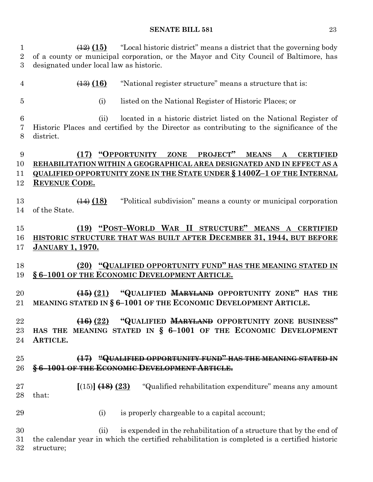(12) **(15)** "Local historic district" means a district that the governing body of a county or municipal corporation, or the Mayor and City Council of Baltimore, has designated under local law as historic.

(13) **(16)** "National register structure" means a structure that is:

- 
- (i) listed on the National Register of Historic Places; or

 (ii) located in a historic district listed on the National Register of Historic Places and certified by the Director as contributing to the significance of the district.

# **(17) "OPPORTUNITY ZONE PROJECT" MEANS A CERTIFIED REHABILITATION WITHIN A GEOGRAPHICAL AREA DESIGNATED AND IN EFFECT AS A QUALIFIED OPPORTUNITY ZONE IN THE STATE UNDER § 1400Z–1 OF THE INTERNAL REVENUE CODE.**

 (14) **(18)** "Political subdivision" means a county or municipal corporation of the State.

# **(19) "POST–WORLD WAR II STRUCTURE" MEANS A CERTIFIED HISTORIC STRUCTURE THAT WAS BUILT AFTER DECEMBER 31, 1944, BUT BEFORE JANUARY 1, 1970.**

# **(20) "QUALIFIED OPPORTUNITY FUND" HAS THE MEANING STATED IN § 6–1001 OF THE ECONOMIC DEVELOPMENT ARTICLE.**

 **(15) (21) "QUALIFIED MARYLAND OPPORTUNITY ZONE" HAS THE MEANING STATED IN § 6–1001 OF THE ECONOMIC DEVELOPMENT ARTICLE.**

 **(16) (22) "QUALIFIED MARYLAND OPPORTUNITY ZONE BUSINESS" HAS THE MEANING STATED IN § 6–1001 OF THE ECONOMIC DEVELOPMENT ARTICLE.**

# **(17) "QUALIFIED OPPORTUNITY FUND" HAS THE MEANING STATED IN § 6–1001 OF THE ECONOMIC DEVELOPMENT ARTICLE.**

 **[**(15)**] (18) (23)** "Qualified rehabilitation expenditure" means any amount that:

- 
- (i) is properly chargeable to a capital account;

30 (ii) is expended in the rehabilitation of a structure that by the end of the calendar year in which the certified rehabilitation is completed is a certified historic structure;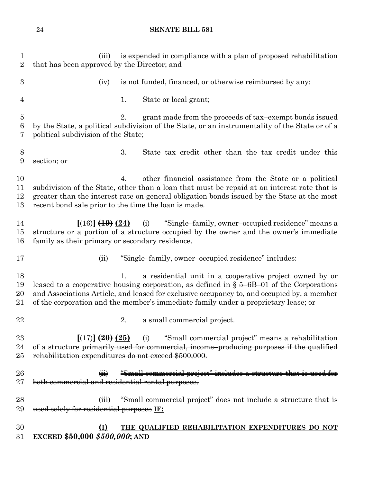| $\mathbf{1}$<br>$\overline{2}$          | is expended in compliance with a plan of proposed rehabilitation<br>(iii)<br>that has been approved by the Director; and                                                                                                                                                                                                                         |  |  |  |  |  |  |  |
|-----------------------------------------|--------------------------------------------------------------------------------------------------------------------------------------------------------------------------------------------------------------------------------------------------------------------------------------------------------------------------------------------------|--|--|--|--|--|--|--|
| $\boldsymbol{3}$                        | is not funded, financed, or otherwise reimbursed by any:<br>(iv)                                                                                                                                                                                                                                                                                 |  |  |  |  |  |  |  |
| $\overline{4}$                          | State or local grant;<br>1.                                                                                                                                                                                                                                                                                                                      |  |  |  |  |  |  |  |
| $\overline{5}$<br>$\boldsymbol{6}$<br>7 | 2.<br>grant made from the proceeds of tax-exempt bonds issued<br>by the State, a political subdivision of the State, or an instrumentality of the State or of a<br>political subdivision of the State;                                                                                                                                           |  |  |  |  |  |  |  |
| $8\,$<br>9                              | 3.<br>State tax credit other than the tax credit under this<br>section; or                                                                                                                                                                                                                                                                       |  |  |  |  |  |  |  |
| 10<br>11<br>12<br>13                    | other financial assistance from the State or a political<br>4.<br>subdivision of the State, other than a loan that must be repaid at an interest rate that is<br>greater than the interest rate on general obligation bonds issued by the State at the most<br>recent bond sale prior to the time the loan is made.                              |  |  |  |  |  |  |  |
| 14<br>15<br>16                          | (i) "Single-family, owner-occupied residence" means a<br>$[(16)]$ $(19)(24)$<br>structure or a portion of a structure occupied by the owner and the owner's immediate<br>family as their primary or secondary residence.                                                                                                                         |  |  |  |  |  |  |  |
| 17                                      | "Single-family, owner-occupied residence" includes:<br>(ii)                                                                                                                                                                                                                                                                                      |  |  |  |  |  |  |  |
| 18<br>19<br>20<br>21                    | a residential unit in a cooperative project owned by or<br>1.<br>leased to a cooperative housing corporation, as defined in $\S$ 5-6B-01 of the Corporations<br>and Associations Article, and leased for exclusive occupancy to, and occupied by, a member<br>of the corporation and the member's immediate family under a proprietary lease; or |  |  |  |  |  |  |  |
| 22                                      | a small commercial project.<br>2.                                                                                                                                                                                                                                                                                                                |  |  |  |  |  |  |  |
| 23<br>24<br>25                          | $[(17)]$ $(20)(25)$ (i) "Small commercial project" means a rehabilitation<br>of a structure primarily used for commercial, income-producing purposes if the qualified<br>rehabilitation expenditures do not exceed \$500,000.                                                                                                                    |  |  |  |  |  |  |  |
| 26<br>$27\,$                            | (ii) "Small commercial project" includes a structure that is used for<br>both commercial and residential rental purposes.                                                                                                                                                                                                                        |  |  |  |  |  |  |  |
| 28<br>29                                | "Small commercial project" does not include a structure that is<br>used solely for residential purposes IF:                                                                                                                                                                                                                                      |  |  |  |  |  |  |  |
| 30                                      | THE QUALIFIED REHABILITATION EXPENDITURES DO NOT<br>(I)                                                                                                                                                                                                                                                                                          |  |  |  |  |  |  |  |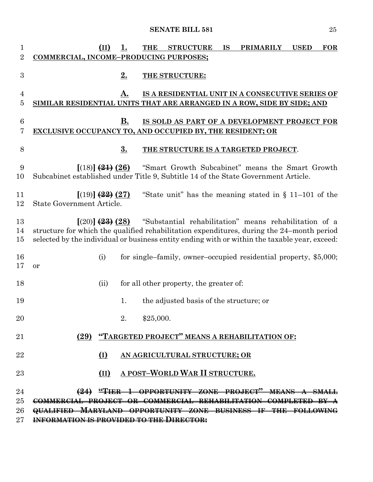| 1<br>$\overline{2}$ | (II)<br>1.<br><b>STRUCTURE</b><br><b>PRIMARILY</b><br><b>USED</b><br><b>FOR</b><br><b>THE</b><br><b>IS</b><br>COMMERCIAL, INCOME-PRODUCING PURPOSES;                                                                                                                           |
|---------------------|--------------------------------------------------------------------------------------------------------------------------------------------------------------------------------------------------------------------------------------------------------------------------------|
| $\boldsymbol{3}$    | <u>2.</u><br>THE STRUCTURE:                                                                                                                                                                                                                                                    |
| 4                   | IS A RESIDENTIAL UNIT IN A CONSECUTIVE SERIES OF<br>A.                                                                                                                                                                                                                         |
| 5                   | SIMILAR RESIDENTIAL UNITS THAT ARE ARRANGED IN A ROW, SIDE BY SIDE; AND                                                                                                                                                                                                        |
| 6                   | В.<br>IS SOLD AS PART OF A DEVELOPMENT PROJECT FOR                                                                                                                                                                                                                             |
| 7                   | EXCLUSIVE OCCUPANCY TO, AND OCCUPIED BY, THE RESIDENT; OR                                                                                                                                                                                                                      |
| 8                   | 3.<br>THE STRUCTURE IS A TARGETED PROJECT.                                                                                                                                                                                                                                     |
| 9<br>10             | $[(18)]$ $(24)$ $(26)$<br>"Smart Growth Subcabinet" means the Smart Growth<br>Subcabinet established under Title 9, Subtitle 14 of the State Government Article.                                                                                                               |
| 11<br>12            | $[(19)]$ $(24)$ $(27)$<br>"State unit" has the meaning stated in $\S$ 11–101 of the<br>State Government Article.                                                                                                                                                               |
| 13<br>14<br>$15\,$  | "Substantial rehabilitation" means rehabilitation of a<br>$[(20)]$ $(28)$ $(28)$<br>structure for which the qualified rehabilitation expenditures, during the 24-month period<br>selected by the individual or business entity ending with or within the taxable year, exceed: |
| 16<br>17            | (i)<br>for single–family, owner–occupied residential property, \$5,000;<br>or                                                                                                                                                                                                  |
| 18                  | for all other property, the greater of:<br>(ii)                                                                                                                                                                                                                                |
| 19                  | the adjusted basis of the structure; or<br>1.                                                                                                                                                                                                                                  |
| 20                  | \$25,000.                                                                                                                                                                                                                                                                      |
| 21                  | (29) "TARGETED PROJECT" MEANS A REHABILITATION OF:                                                                                                                                                                                                                             |
| 22                  | (I)<br>AN AGRICULTURAL STRUCTURE; OR                                                                                                                                                                                                                                           |
| 23                  | A POST-WORLD WAR II STRUCTURE.<br>(II)                                                                                                                                                                                                                                         |
| 24                  | (24) "TIER 1 OPPORTUNITY ZONE PROJECT" MEANS A SMALL                                                                                                                                                                                                                           |
| 25                  | COMMERCIAL PROJECT OR COMMERCIAL REHABILITATION COMPLETED BY A                                                                                                                                                                                                                 |
| 26                  | QUALIFIED MARYLAND OPPORTUNITY ZONE BUSINESS IF THE FOLLOWING                                                                                                                                                                                                                  |
| $27\,$              | <b>INFORMATION IS PROVIDED TO THE DIRECTOR:</b>                                                                                                                                                                                                                                |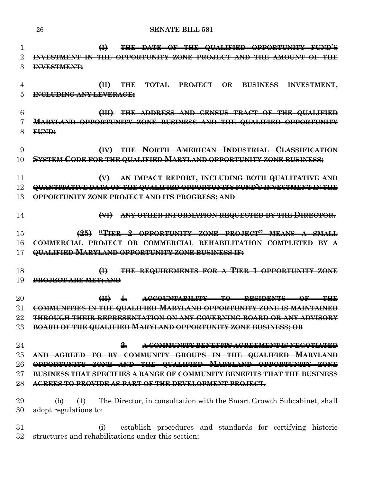| 1               | THE DATE OF THE QUALIFIED OPPORTUNITY FUND'S<br>$\bigoplus$                         |
|-----------------|-------------------------------------------------------------------------------------|
| $\overline{2}$  | INVESTMENT IN THE<br>OPPORTUNITY ZONE PROJECT AND THE AMOUNT OF THE                 |
| 3               | <del>INVESTMENT;</del>                                                              |
|                 |                                                                                     |
| 4               | THE TOTAL PROJECT OR BUSINESS INVESTMENT,<br>H                                      |
| 5               | <b>INCLUDING ANY LEVERAGE;</b>                                                      |
|                 |                                                                                     |
| 6               | THE ADDRESS AND CENSUS TRACT OF THE QUALIFIED<br>H                                  |
| 7               | <b>MARYLAND OPPORTUNITY ZONE BUSINESS AND THE QUALIFIED OPPORTUNITY</b>             |
| 8               | FUND:                                                                               |
|                 |                                                                                     |
| 9               | (IV) THE NORTH AMERICAN INDUSTRIAL CLASSIFICATION                                   |
| 10              | <u>SYSTEM CODE FOR THE QUALIFIED MARYLAND OPPORTUNITY ZONE BUSINESS;</u>            |
|                 |                                                                                     |
| 11              | AN IMPACT REPORT, INCLUDING BOTH QUALITATIVE AND<br>$\leftrightarrow$               |
| 12              | QUANTITATIVE DATA ON THE QUALIFIED OPPORTUNITY FUND'S INVESTMENT IN THE             |
| 13              | OPPORTUNITY ZONE PROJECT AND ITS PROGRESS; AND                                      |
|                 |                                                                                     |
| 14              | ANY OTHER INFORMATION REQUESTED BY THE DIRECTOR.<br>$H\leftrightarrow$              |
|                 |                                                                                     |
| 15              | (25) "TIER 2 OPPORTUNITY ZONE PROJECT" MEANS A SMALL                                |
| 16              | COMMERCIAL PROJECT OR COMMERCIAL REHABILITATION COMPLETED BY A                      |
| 17              | QUALIFIED MARYLAND OPPORTUNITY ZONE BUSINESS IF:                                    |
| 18              | THE REQUIREMENTS FOR A TIER 1 OPPORTUNITY ZONE<br>$\bigoplus$                       |
| 19              | <del>PROJECT ARE MET; AND</del>                                                     |
|                 |                                                                                     |
| $\overline{20}$ | ACCOUNTABILITY TO<br>RESIDENTS OF<br>H<br>$\pm$                                     |
| 21              | COMMUNITIES IN THE QUALIFIED MARYLAND OPPORTUNITY ZONE IS MAINTAINED                |
| 22              | <b>THROUGH THEIR REPRESENTATION ON ANY GOVERNING BOARD OR ANY ADVISORY</b>          |
| $23\,$          | BOARD OF THE QUALIFIED MARYLAND OPPORTUNITY ZONE BUSINESS; OR                       |
|                 |                                                                                     |
| 24              | $\frac{9}{2}$<br>A COMMUNITY BENEFITS AGREEMENT IS NEGOTIATED                       |
| $25\,$          | AND AGREED TO BY COMMUNITY GROUPS IN THE QUALIFIED MARYLAND                         |
| 26              | OPPORTUNITY ZONE AND THE QUALIFIED MARYLAND OPPORTUNITY ZONE                        |
| $\rm 27$        | BUSINESS THAT SPECIFIES A RANGE OF COMMUNITY BENEFITS THAT THE BUSINESS             |
| 28              | AGREES TO PROVIDE AS PART OF THE DEVELOPMENT PROJECT.                               |
|                 |                                                                                     |
| 29              | The Director, in consultation with the Smart Growth Subcabinet, shall<br>(b)<br>(1) |
| 30              | adopt regulations to:                                                               |

 (i) establish procedures and standards for certifying historic structures and rehabilitations under this section;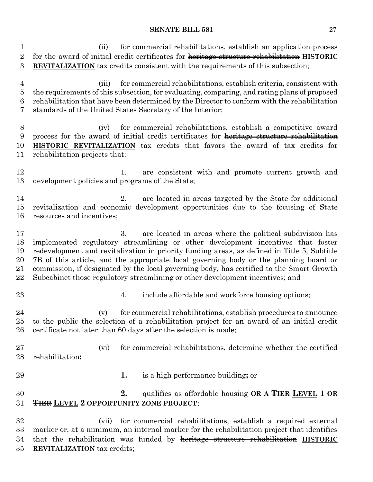(ii) for commercial rehabilitations, establish an application process for the award of initial credit certificates for heritage structure rehabilitation **HISTORIC REVITALIZATION** tax credits consistent with the requirements of this subsection;

 (iii) for commercial rehabilitations, establish criteria, consistent with the requirements of this subsection, for evaluating, comparing, and rating plans of proposed rehabilitation that have been determined by the Director to conform with the rehabilitation standards of the United States Secretary of the Interior;

 (iv) for commercial rehabilitations, establish a competitive award process for the award of initial credit certificates for heritage structure rehabilitation **HISTORIC REVITALIZATION** tax credits that favors the award of tax credits for rehabilitation projects that:

12 1. are consistent with and promote current growth and development policies and programs of the State;

 2. are located in areas targeted by the State for additional revitalization and economic development opportunities due to the focusing of State resources and incentives;

 3. are located in areas where the political subdivision has implemented regulatory streamlining or other development incentives that foster redevelopment and revitalization in priority funding areas, as defined in Title 5, Subtitle 7B of this article, and the appropriate local governing body or the planning board or commission, if designated by the local governing body, has certified to the Smart Growth Subcabinet those regulatory streamlining or other development incentives; and

- 
- 23 4. include affordable and workforce housing options;

 (v) for commercial rehabilitations, establish procedures to announce to the public the selection of a rehabilitation project for an award of an initial credit certificate not later than 60 days after the selection is made;

 (vi) for commercial rehabilitations, determine whether the certified rehabilitation**:**

- 
- **1.** is a high performance building**;** or

# **2.** qualifies as affordable housing **OR A TIER LEVEL 1 OR TIER LEVEL 2 OPPORTUNITY ZONE PROJECT**;

 (vii) for commercial rehabilitations, establish a required external marker or, at a minimum, an internal marker for the rehabilitation project that identifies that the rehabilitation was funded by heritage structure rehabilitation **HISTORIC REVITALIZATION** tax credits;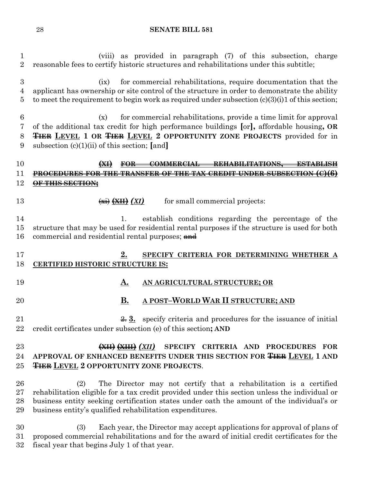(viii) as provided in paragraph (7) of this subsection, charge reasonable fees to certify historic structures and rehabilitations under this subtitle; (ix) for commercial rehabilitations, require documentation that the applicant has ownership or site control of the structure in order to demonstrate the ability 5 to meet the requirement to begin work as required under subsection  $(c)(3)(i)1$  of this section; (x) for commercial rehabilitations, provide a time limit for approval of the additional tax credit for high performance buildings **[**or**],** affordable housing**, OR TIER LEVEL 1 OR TIER LEVEL 2 OPPORTUNITY ZONE PROJECTS** provided for in subsection (c)(1)(ii) of this section; **[**and**] (XI) FOR COMMERCIAL REHABILITATIONS**, **PROCEDURES FOR THE TRANSFER OF THE TAX CREDIT UNDER SUBSECTION (C)(6) OF THIS SECTION; (XII) (XII)** for small commercial projects: 1. establish conditions regarding the percentage of the structure that may be used for residential rental purposes if the structure is used for both 16 commercial and residential rental purposes; and **2. SPECIFY CRITERIA FOR DETERMINING WHETHER A CERTIFIED HISTORIC STRUCTURE IS: A. AN AGRICULTURAL STRUCTURE; OR B. A POST–WORLD WAR II STRUCTURE; AND**  $\frac{2}{2}$  3. specify criteria and procedures for the issuance of initial credit certificates under subsection (e) of this section**; AND (XII) (XIII)** *(XII)* **SPECIFY CRITERIA AND PROCEDURES FOR APPROVAL OF ENHANCED BENEFITS UNDER THIS SECTION FOR TIER LEVEL 1 AND TIER LEVEL 2 OPPORTUNITY ZONE PROJECTS**. (2) The Director may not certify that a rehabilitation is a certified rehabilitation eligible for a tax credit provided under this section unless the individual or business entity seeking certification states under oath the amount of the individual's or business entity's qualified rehabilitation expenditures. (3) Each year, the Director may accept applications for approval of plans of proposed commercial rehabilitations and for the award of initial credit certificates for the fiscal year that begins July 1 of that year.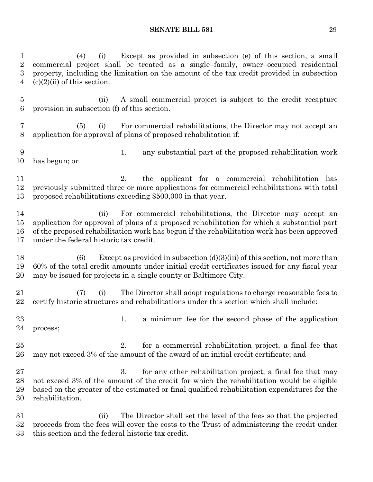| 1<br>$\overline{2}$<br>$\overline{3}$<br>4 | Except as provided in subsection (e) of this section, a small<br>(i)<br>(4)<br>commercial project shall be treated as a single-family, owner-occupied residential<br>property, including the limitation on the amount of the tax credit provided in subsection<br>$(c)(2)(ii)$ of this section.           |
|--------------------------------------------|-----------------------------------------------------------------------------------------------------------------------------------------------------------------------------------------------------------------------------------------------------------------------------------------------------------|
| $\overline{5}$<br>$\boldsymbol{6}$         | A small commercial project is subject to the credit recapture<br>(ii)<br>provision in subsection (f) of this section.                                                                                                                                                                                     |
| 7<br>8                                     | For commercial rehabilitations, the Director may not accept an<br>(5)<br>(i)<br>application for approval of plans of proposed rehabilitation if:                                                                                                                                                          |
| 9<br>10                                    | any substantial part of the proposed rehabilitation work<br>1.<br>has begun; or                                                                                                                                                                                                                           |
| 11<br>12<br>13                             | the applicant for a commercial rehabilitation has<br>2.<br>previously submitted three or more applications for commercial rehabilitations with total<br>proposed rehabilitations exceeding \$500,000 in that year.                                                                                        |
| 14<br>15<br>16<br>17                       | For commercial rehabilitations, the Director may accept an<br>(ii)<br>application for approval of plans of a proposed rehabilitation for which a substantial part<br>of the proposed rehabilitation work has begun if the rehabilitation work has been approved<br>under the federal historic tax credit. |
| 18<br>19<br>20                             | Except as provided in subsection $(d)(3)(iii)$ of this section, not more than<br>(6)<br>60% of the total credit amounts under initial credit certificates issued for any fiscal year<br>may be issued for projects in a single county or Baltimore City.                                                  |
| 21<br>22                                   | The Director shall adopt regulations to charge reasonable fees to<br>(i)<br>(7)<br>certify historic structures and rehabilitations under this section which shall include:                                                                                                                                |
| 23<br>24                                   | a minimum fee for the second phase of the application<br>1.<br>process;                                                                                                                                                                                                                                   |
| 25<br>26                                   | for a commercial rehabilitation project, a final fee that<br>2.<br>may not exceed 3% of the amount of the award of an initial credit certificate; and                                                                                                                                                     |
| 27<br>28<br>29<br>30                       | 3.<br>for any other rehabilitation project, a final fee that may<br>not exceed 3% of the amount of the credit for which the rehabilitation would be eligible<br>based on the greater of the estimated or final qualified rehabilitation expenditures for the<br>rehabilitation.                           |
| 31<br>32<br>33                             | The Director shall set the level of the fees so that the projected<br>(ii)<br>proceeds from the fees will cover the costs to the Trust of administering the credit under<br>this section and the federal historic tax credit.                                                                             |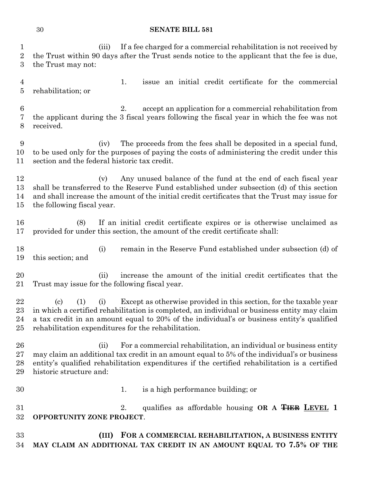(iii) If a fee charged for a commercial rehabilitation is not received by the Trust within 90 days after the Trust sends notice to the applicant that the fee is due, the Trust may not: 1. issue an initial credit certificate for the commercial rehabilitation; or 2. accept an application for a commercial rehabilitation from the applicant during the 3 fiscal years following the fiscal year in which the fee was not received.

 (iv) The proceeds from the fees shall be deposited in a special fund, to be used only for the purposes of paying the costs of administering the credit under this section and the federal historic tax credit.

12 (v) Any unused balance of the fund at the end of each fiscal year shall be transferred to the Reserve Fund established under subsection (d) of this section and shall increase the amount of the initial credit certificates that the Trust may issue for the following fiscal year.

 (8) If an initial credit certificate expires or is otherwise unclaimed as provided for under this section, the amount of the credit certificate shall:

 (i) remain in the Reserve Fund established under subsection (d) of this section; and

20 (ii) increase the amount of the initial credit certificates that the Trust may issue for the following fiscal year.

 (c) (1) (i) Except as otherwise provided in this section, for the taxable year in which a certified rehabilitation is completed, an individual or business entity may claim a tax credit in an amount equal to 20% of the individual's or business entity's qualified rehabilitation expenditures for the rehabilitation.

26 (ii) For a commercial rehabilitation, an individual or business entity may claim an additional tax credit in an amount equal to 5% of the individual's or business entity's qualified rehabilitation expenditures if the certified rehabilitation is a certified historic structure and:

1. is a high performance building; or

 2. qualifies as affordable housing **OR A TIER LEVEL 1 OPPORTUNITY ZONE PROJECT**.

 **(III) FOR A COMMERCIAL REHABILITATION, A BUSINESS ENTITY MAY CLAIM AN ADDITIONAL TAX CREDIT IN AN AMOUNT EQUAL TO 7.5% OF THE**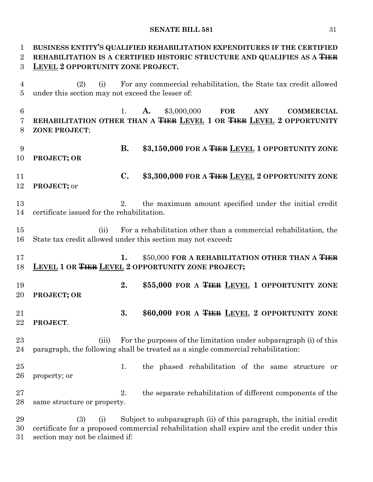| 1<br>$\overline{2}$              | BUSINESS ENTITY'S QUALIFIED REHABILITATION EXPENDITURES IF THE CERTIFIED<br>REHABILITATION IS A CERTIFIED HISTORIC STRUCTURE AND QUALIFIES AS A THER |                |                                                                                                                                                                   |  |  |  |  |  |  |
|----------------------------------|------------------------------------------------------------------------------------------------------------------------------------------------------|----------------|-------------------------------------------------------------------------------------------------------------------------------------------------------------------|--|--|--|--|--|--|
| 3                                | LEVEL 2 OPPORTUNITY ZONE PROJECT.                                                                                                                    |                |                                                                                                                                                                   |  |  |  |  |  |  |
| $\overline{4}$<br>$\overline{5}$ | For any commercial rehabilitation, the State tax credit allowed<br>(2)<br>(i)<br>under this section may not exceed the lesser of:                    |                |                                                                                                                                                                   |  |  |  |  |  |  |
| 6<br>$\overline{7}$<br>8         | ZONE PROJECT;                                                                                                                                        | 1.             | \$3,000,000<br>A.<br><b>FOR</b><br><b>ANY</b><br><b>COMMERCIAL</b><br>REHABILITATION OTHER THAN A THER LEVEL 1 OR THER LEVEL 2 OPPORTUNITY                        |  |  |  |  |  |  |
| 9<br>10                          | PROJECT; OR                                                                                                                                          | <b>B.</b>      | \$3,150,000 FOR A <del>TIER</del> LEVEL 1 OPPORTUNITY ZONE                                                                                                        |  |  |  |  |  |  |
| 11<br>12                         | PROJECT; or                                                                                                                                          | $\mathbf{C}$ . | \$3,300,000 FOR A TIER LEVEL 2 OPPORTUNITY ZONE                                                                                                                   |  |  |  |  |  |  |
| 13<br>14                         | certificate issued for the rehabilitation.                                                                                                           | 2.             | the maximum amount specified under the initial credit                                                                                                             |  |  |  |  |  |  |
| 15<br>16                         | (ii)                                                                                                                                                 |                | For a rehabilitation other than a commercial rehabilitation, the<br>State tax credit allowed under this section may not exceed:                                   |  |  |  |  |  |  |
| 17<br>18                         |                                                                                                                                                      | 1.             | \$50,000 FOR A REHABILITATION OTHER THAN A TIER<br><b>LEVEL 1 OR THER LEVEL 2 OPPORTUNITY ZONE PROJECT;</b>                                                       |  |  |  |  |  |  |
| 19<br>20                         | PROJECT; OR                                                                                                                                          | 2.             | \$55,000 FOR A TIER LEVEL 1 OPPORTUNITY ZONE                                                                                                                      |  |  |  |  |  |  |
| 21<br>22                         | PROJECT.                                                                                                                                             | 3.             | \$60,000 FOR A THER LEVEL 2 OPPORTUNITY ZONE                                                                                                                      |  |  |  |  |  |  |
| 23<br>24                         | (iii)                                                                                                                                                |                | For the purposes of the limitation under subparagraph (i) of this<br>paragraph, the following shall be treated as a single commercial rehabilitation:             |  |  |  |  |  |  |
| 25<br>26                         | property; or                                                                                                                                         | 1.             | the phased rehabilitation of the same structure or                                                                                                                |  |  |  |  |  |  |
| 27<br>28                         | same structure or property.                                                                                                                          | 2.             | the separate rehabilitation of different components of the                                                                                                        |  |  |  |  |  |  |
| 29<br>30<br>31                   | (3)<br>(i)<br>section may not be claimed if:                                                                                                         |                | Subject to subparagraph (ii) of this paragraph, the initial credit<br>certificate for a proposed commercial rehabilitation shall expire and the credit under this |  |  |  |  |  |  |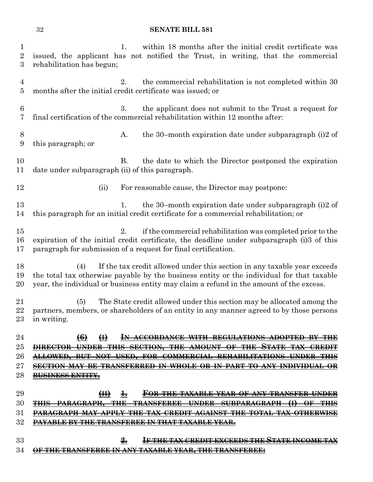| 1<br>$\overline{2}$<br>3         | within 18 months after the initial credit certificate was<br>1.<br>issued, the applicant has not notified the Trust, in writing, that the commercial<br>rehabilitation has begun;                                                                                       |
|----------------------------------|-------------------------------------------------------------------------------------------------------------------------------------------------------------------------------------------------------------------------------------------------------------------------|
| $\overline{4}$<br>$\overline{5}$ | 2.<br>the commercial rehabilitation is not completed within 30<br>months after the initial credit certificate was issued; or                                                                                                                                            |
| 6<br>7                           | 3.<br>the applicant does not submit to the Trust a request for<br>final certification of the commercial rehabilitation within 12 months after:                                                                                                                          |
| 8<br>9                           | the 30-month expiration date under subparagraph $(i)2$ of<br>A.<br>this paragraph; or                                                                                                                                                                                   |
| 10<br>11                         | <b>B.</b><br>the date to which the Director postponed the expiration<br>date under subparagraph (ii) of this paragraph.                                                                                                                                                 |
| 12                               | For reasonable cause, the Director may postpone:<br>(ii)                                                                                                                                                                                                                |
| 13<br>14                         | the 30-month expiration date under subparagraph (i)2 of<br>1.<br>this paragraph for an initial credit certificate for a commercial rehabilitation; or                                                                                                                   |
| 15<br>16<br>17                   | 2.<br>if the commercial rehabilitation was completed prior to the<br>expiration of the initial credit certificate, the deadline under subparagraph (i) 3 of this<br>paragraph for submission of a request for final certification.                                      |
| 18<br>19<br>20                   | If the tax credit allowed under this section in any taxable year exceeds<br>(4)<br>the total tax otherwise payable by the business entity or the individual for that taxable<br>year, the individual or business entity may claim a refund in the amount of the excess. |
| 21<br>22<br>23                   | The State credit allowed under this section may be allocated among the<br>(5)<br>partners, members, or shareholders of an entity in any manner agreed to by those persons<br>in writing.                                                                                |
| 24                               | $\left(6\right)$<br>$\bigoplus$<br>IN ACCORDANCE WITH REGULATIONS ADOPTED BY THE                                                                                                                                                                                        |
| $25\,$                           | <del>STATE</del><br><del>DIRECTOR UNDER</del>                                                                                                                                                                                                                           |
| 26                               | USED, FOR COMMERCIAL REHABILITATIONS UNDER<br><del>ALLOWED. BUT NOT</del>                                                                                                                                                                                               |
| $27\,$                           | <del>SECTION MAY BE TRANSFERRED IN WHOLE OR IN PART TO ANY INDIVIDUAL OR</del>                                                                                                                                                                                          |
| 28                               | <b>BUSINESS ENTITY.</b>                                                                                                                                                                                                                                                 |
| 29                               | H<br><u>FOR THE TAXABLE YEAR OF ANY TRANSFER UNDER</u><br>$\pm$                                                                                                                                                                                                         |
| 30                               | ⊕<br><del>TRANSFEREE UNDER</del><br><del>SUBPARAGRAPH</del><br><del>-PARAGRAPH.</del>                                                                                                                                                                                   |
| 31                               | <del>APPLY THE</del><br><del>AGAINST</del><br>-THE TOTAL TAX OTHERWISE                                                                                                                                                                                                  |
| $32\,$                           | <del>PAYABLE BY THE TRANSFEREE IN THAT TAXABLE YEAR,</del>                                                                                                                                                                                                              |
| 33                               | <b>IF THE TAX CREDIT EXCEEDS THE STATE INCOME T.</b><br><del>2.</del>                                                                                                                                                                                                   |
| 34                               | ANSFEREE IN ANY TAXABLE YEAR, THE TRANSFEREE;                                                                                                                                                                                                                           |
|                                  |                                                                                                                                                                                                                                                                         |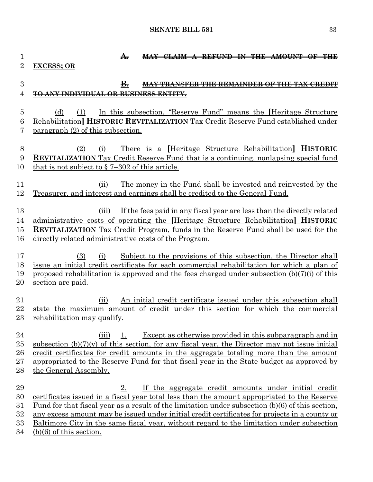| 1              | <del>A.</del><br><del>CLAIM A REFUND IN THE AMOUNT</del>                                                                                                                     |
|----------------|------------------------------------------------------------------------------------------------------------------------------------------------------------------------------|
| $\overline{2}$ | <del>EXCESS: OR</del>                                                                                                                                                        |
| 3              | ₿.<br><b>MAY TRANSFER THE REMAINDER OF THE TAX CREDIT</b>                                                                                                                    |
| 4              | <b>TO ANY INDIVIDUAL OR BUSINESS ENTITY,</b>                                                                                                                                 |
|                |                                                                                                                                                                              |
| 5              | In this subsection, "Reserve Fund" means the Heritage Structure<br>(d)<br>(1)                                                                                                |
| 6              | Rehabilitation] HISTORIC REVITALIZATION Tax Credit Reserve Fund established under                                                                                            |
| 7              | paragraph (2) of this subsection.                                                                                                                                            |
|                |                                                                                                                                                                              |
| 8              | <u>There is a Heritage Structure Rehabilitation HISTORIC</u><br>(2)<br>(i)                                                                                                   |
| 9              | <b>REVITALIZATION</b> Tax Credit Reserve Fund that is a continuing, nonlapsing special fund                                                                                  |
| 10             | that is not subject to $\S$ 7–302 of this article.                                                                                                                           |
| 11             | <u>The money in the Fund shall be invested and reinvested by the</u><br>(ii)                                                                                                 |
| 12             | Treasurer, and interest and earnings shall be credited to the General Fund.                                                                                                  |
|                |                                                                                                                                                                              |
| 13             | If the fees paid in any fiscal year are less than the directly related<br>(iii)                                                                                              |
| 14             | administrative costs of operating the Heritage Structure Rehabilitation <b>HISTORIC</b>                                                                                      |
| 15             | <b>REVITALIZATION</b> Tax Credit Program, funds in the Reserve Fund shall be used for the                                                                                    |
| 16             | directly related administrative costs of the Program.                                                                                                                        |
| 17             |                                                                                                                                                                              |
| 18             | Subject to the provisions of this subsection, the Director shall<br>(3)<br>(i)<br>issue an initial credit certificate for each commercial rehabilitation for which a plan of |
| 19             | proposed rehabilitation is approved and the fees charged under subsection (b)(7)(i) of this                                                                                  |
| $20\,$         | section are paid.                                                                                                                                                            |
|                |                                                                                                                                                                              |
| 21             | An initial credit certificate issued under this subsection shall<br>(ii)                                                                                                     |
| 22             | state the maximum amount of credit under this section for which the commercial                                                                                               |
| $23\,$         | rehabilitation may qualify.                                                                                                                                                  |
| 24             | Except as otherwise provided in this subparagraph and in<br>(iii)                                                                                                            |
| $25\,$         | subsection $(b)(7)(v)$ of this section, for any fiscal year, the Director may not issue initial                                                                              |
| 26             | credit certificates for credit amounts in the aggregate totaling more than the amount                                                                                        |
| $27\,$         | appropriated to the Reserve Fund for that fiscal year in the State budget as approved by                                                                                     |
| 28             | the General Assembly.                                                                                                                                                        |
|                |                                                                                                                                                                              |
| 29<br>30       | If the aggregate credit amounts under initial credit<br>2.<br>certificates issued in a fiscal year total less than the amount appropriated to the Reserve                    |
| $31\,$         | Fund for that fiscal year as a result of the limitation under subsection (b)(6) of this section,                                                                             |
| $32\,$         | any excess amount may be issued under initial credit certificates for projects in a county or                                                                                |
| 33             | <u>Baltimore City in the same fiscal year, without regard to the limitation under subsection</u>                                                                             |
| 34             | $(b)(6)$ of this section.                                                                                                                                                    |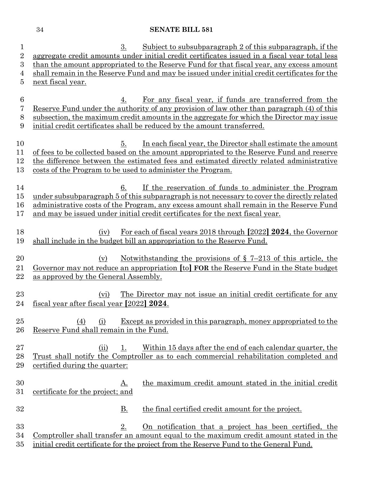| $\mathbf{1}$   | Subject to subsubparagraph 2 of this subparagraph, if the<br>3.                               |  |  |  |  |  |  |  |
|----------------|-----------------------------------------------------------------------------------------------|--|--|--|--|--|--|--|
| $\overline{2}$ | aggregate credit amounts under initial credit certificates issued in a fiscal year total less |  |  |  |  |  |  |  |
| 3              | than the amount appropriated to the Reserve Fund for that fiscal year, any excess amount      |  |  |  |  |  |  |  |
| 4              | shall remain in the Reserve Fund and may be issued under initial credit certificates for the  |  |  |  |  |  |  |  |
| 5              | next fiscal year.                                                                             |  |  |  |  |  |  |  |
|                |                                                                                               |  |  |  |  |  |  |  |
| 6              | For any fiscal year, if funds are transferred from the<br>4.                                  |  |  |  |  |  |  |  |
| 7              | Reserve Fund under the authority of any provision of law other than paragraph (4) of this     |  |  |  |  |  |  |  |
| 8              | subsection, the maximum credit amounts in the aggregate for which the Director may issue      |  |  |  |  |  |  |  |
| 9              | initial credit certificates shall be reduced by the amount transferred.                       |  |  |  |  |  |  |  |
|                |                                                                                               |  |  |  |  |  |  |  |
| 10             | In each fiscal year, the Director shall estimate the amount<br>5.                             |  |  |  |  |  |  |  |
| 11             | of fees to be collected based on the amount appropriated to the Reserve Fund and reserve      |  |  |  |  |  |  |  |
|                |                                                                                               |  |  |  |  |  |  |  |
| 12             | the difference between the estimated fees and estimated directly related administrative       |  |  |  |  |  |  |  |
| 13             | costs of the Program to be used to administer the Program.                                    |  |  |  |  |  |  |  |
|                |                                                                                               |  |  |  |  |  |  |  |
| 14             | If the reservation of funds to administer the Program<br>6.                                   |  |  |  |  |  |  |  |
| $15\,$         | under subsubparagraph 5 of this subparagraph is not necessary to cover the directly related   |  |  |  |  |  |  |  |
| 16             | administrative costs of the Program, any excess amount shall remain in the Reserve Fund       |  |  |  |  |  |  |  |
| 17             | and may be issued under initial credit certificates for the next fiscal year.                 |  |  |  |  |  |  |  |
|                |                                                                                               |  |  |  |  |  |  |  |
| 18             | For each of fiscal years 2018 through [2022] 2024, the Governor<br>(iv)                       |  |  |  |  |  |  |  |
| 19             | shall include in the budget bill an appropriation to the Reserve Fund.                        |  |  |  |  |  |  |  |
|                |                                                                                               |  |  |  |  |  |  |  |
| 20             | Notwithstanding the provisions of $\S$ 7-213 of this article, the<br>(v)                      |  |  |  |  |  |  |  |
| 21             | Governor may not reduce an appropriation [to] FOR the Reserve Fund in the State budget        |  |  |  |  |  |  |  |
| $22\,$         | as approved by the General Assembly.                                                          |  |  |  |  |  |  |  |
|                |                                                                                               |  |  |  |  |  |  |  |
| 23             | The Director may not issue an initial credit certificate for any<br>(vi)                      |  |  |  |  |  |  |  |
| 24             | fiscal year after fiscal year [2022] 2024.                                                    |  |  |  |  |  |  |  |
|                |                                                                                               |  |  |  |  |  |  |  |
| $25\,$         | <b>Except as provided in this paragraph, money appropriated to the</b><br>(4)<br>(i)          |  |  |  |  |  |  |  |
| 26             | Reserve Fund shall remain in the Fund.                                                        |  |  |  |  |  |  |  |
|                |                                                                                               |  |  |  |  |  |  |  |
| $27\,$         | Within 15 days after the end of each calendar quarter, the<br>(ii)<br><u>1.</u>               |  |  |  |  |  |  |  |
| 28             | Trust shall notify the Comptroller as to each commercial rehabilitation completed and         |  |  |  |  |  |  |  |
| 29             | certified during the quarter:                                                                 |  |  |  |  |  |  |  |
|                |                                                                                               |  |  |  |  |  |  |  |
| 30             | the maximum credit amount stated in the initial credit<br><u>A.</u>                           |  |  |  |  |  |  |  |
| $31\,$         | certificate for the project; and                                                              |  |  |  |  |  |  |  |
|                |                                                                                               |  |  |  |  |  |  |  |
| 32             | <u>B.</u><br>the final certified credit amount for the project.                               |  |  |  |  |  |  |  |
|                |                                                                                               |  |  |  |  |  |  |  |
| 33             | 2.<br>On notification that a project has been certified, the                                  |  |  |  |  |  |  |  |
| 34             | Comptroller shall transfer an amount equal to the maximum credit amount stated in the         |  |  |  |  |  |  |  |
| $35\,$         | initial credit certificate for the project from the Reserve Fund to the General Fund.         |  |  |  |  |  |  |  |
|                |                                                                                               |  |  |  |  |  |  |  |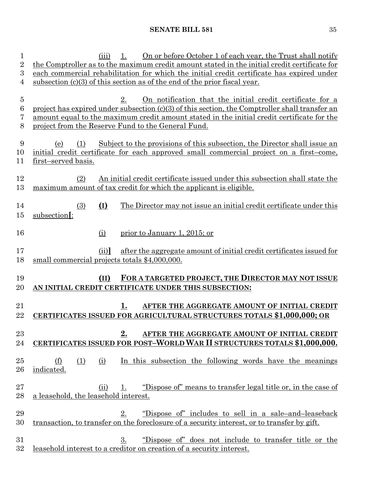| 1<br>$\overline{2}$ | On or before October 1 of each year, the Trust shall notify<br>1.<br>(iii)<br>the Comptroller as to the maximum credit amount stated in the initial credit certificate for |  |  |  |  |  |  |  |  |
|---------------------|----------------------------------------------------------------------------------------------------------------------------------------------------------------------------|--|--|--|--|--|--|--|--|
| 3                   | each commercial rehabilitation for which the initial credit certificate has expired under                                                                                  |  |  |  |  |  |  |  |  |
| 4                   |                                                                                                                                                                            |  |  |  |  |  |  |  |  |
|                     | subsection $(c)(3)$ of this section as of the end of the prior fiscal year.                                                                                                |  |  |  |  |  |  |  |  |
| $\bf 5$             | 2.                                                                                                                                                                         |  |  |  |  |  |  |  |  |
| 6                   | <u>On notification that the initial credit certificate for a</u>                                                                                                           |  |  |  |  |  |  |  |  |
| 7                   | project has expired under subsection $(c)(3)$ of this section, the Comptroller shall transfer an                                                                           |  |  |  |  |  |  |  |  |
| 8                   | amount equal to the maximum credit amount stated in the initial credit certificate for the<br>project from the Reserve Fund to the General Fund.                           |  |  |  |  |  |  |  |  |
|                     |                                                                                                                                                                            |  |  |  |  |  |  |  |  |
| 9                   | Subject to the provisions of this subsection, the Director shall issue an<br>(e)<br>(1)                                                                                    |  |  |  |  |  |  |  |  |
| 10                  | initial credit certificate for each approved small commercial project on a first-come,                                                                                     |  |  |  |  |  |  |  |  |
| 11                  | first-served basis.                                                                                                                                                        |  |  |  |  |  |  |  |  |
|                     |                                                                                                                                                                            |  |  |  |  |  |  |  |  |
| 12                  | An initial credit certificate issued under this subsection shall state the<br>(2)                                                                                          |  |  |  |  |  |  |  |  |
| 13                  | maximum amount of tax credit for which the applicant is eligible.                                                                                                          |  |  |  |  |  |  |  |  |
|                     |                                                                                                                                                                            |  |  |  |  |  |  |  |  |
| 14                  | $(\underline{I})$<br>(3)<br>The Director may not issue an initial credit certificate under this                                                                            |  |  |  |  |  |  |  |  |
|                     |                                                                                                                                                                            |  |  |  |  |  |  |  |  |
| $15\,$              | subsection[:                                                                                                                                                               |  |  |  |  |  |  |  |  |
|                     |                                                                                                                                                                            |  |  |  |  |  |  |  |  |
| 16                  | prior to January 1, 2015; or<br>(i)                                                                                                                                        |  |  |  |  |  |  |  |  |
|                     |                                                                                                                                                                            |  |  |  |  |  |  |  |  |
| 17                  | after the aggregate amount of initial credit certificates issued for<br>(ii)                                                                                               |  |  |  |  |  |  |  |  |
| 18                  | small commercial projects totals \$4,000,000.                                                                                                                              |  |  |  |  |  |  |  |  |
|                     |                                                                                                                                                                            |  |  |  |  |  |  |  |  |
| 19                  | FOR A TARGETED PROJECT, THE DIRECTOR MAY NOT ISSUE<br>(II)                                                                                                                 |  |  |  |  |  |  |  |  |
| 20                  | AN INITIAL CREDIT CERTIFICATE UNDER THIS SUBSECTION:                                                                                                                       |  |  |  |  |  |  |  |  |
|                     |                                                                                                                                                                            |  |  |  |  |  |  |  |  |
| 21                  | 1.<br>AFTER THE AGGREGATE AMOUNT OF INITIAL CREDIT                                                                                                                         |  |  |  |  |  |  |  |  |
| 22                  | <b>CERTIFICATES ISSUED FOR AGRICULTURAL STRUCTURES TOTALS \$1,000,000; OR</b>                                                                                              |  |  |  |  |  |  |  |  |
|                     |                                                                                                                                                                            |  |  |  |  |  |  |  |  |
| $23\,$              | 2.<br>AFTER THE AGGREGATE AMOUNT OF INITIAL CREDIT                                                                                                                         |  |  |  |  |  |  |  |  |
| 24                  | CERTIFICATES ISSUED FOR POST-WORLD WAR II STRUCTURES TOTALS \$1,000,000.                                                                                                   |  |  |  |  |  |  |  |  |
|                     |                                                                                                                                                                            |  |  |  |  |  |  |  |  |
| 25                  | In this subsection the following words have the meanings<br>(f)<br>(1)<br>(i)                                                                                              |  |  |  |  |  |  |  |  |
| 26                  | indicated.                                                                                                                                                                 |  |  |  |  |  |  |  |  |
|                     |                                                                                                                                                                            |  |  |  |  |  |  |  |  |
| $27\,$              | "Dispose of" means to transfer legal title or, in the case of<br>1.<br>(ii)                                                                                                |  |  |  |  |  |  |  |  |
| 28                  | a leasehold, the leasehold interest.                                                                                                                                       |  |  |  |  |  |  |  |  |
|                     |                                                                                                                                                                            |  |  |  |  |  |  |  |  |
| 29                  | 2.<br><u>"Dispose of" includes to sell in a sale-and-leaseback</u>                                                                                                         |  |  |  |  |  |  |  |  |
| 30                  | transaction, to transfer on the foreclosure of a security interest, or to transfer by gift.                                                                                |  |  |  |  |  |  |  |  |
|                     |                                                                                                                                                                            |  |  |  |  |  |  |  |  |
| 31                  | 3.<br>"Dispose of" does not include to transfer title or the                                                                                                               |  |  |  |  |  |  |  |  |
| $32\,$              | leasehold interest to a creditor on creation of a security interest.                                                                                                       |  |  |  |  |  |  |  |  |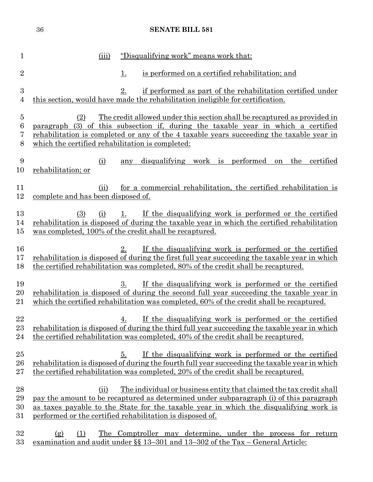|                                    | 36                                                      |           | <b>SENATE BILL 581</b>                                                                                                                                                                                                                                                                                              |
|------------------------------------|---------------------------------------------------------|-----------|---------------------------------------------------------------------------------------------------------------------------------------------------------------------------------------------------------------------------------------------------------------------------------------------------------------------|
| $\mathbf{1}$                       | (iii)                                                   |           | "Disqualifying work" means work that:                                                                                                                                                                                                                                                                               |
| $\overline{2}$                     |                                                         | <u>1.</u> | is performed on a certified rehabilitation; and                                                                                                                                                                                                                                                                     |
| $\boldsymbol{3}$<br>$\overline{4}$ |                                                         | 2.        | if performed as part of the rehabilitation certified under<br>this section, would have made the rehabilitation ineligible for certification.                                                                                                                                                                        |
| $\bf 5$<br>6<br>7<br>8             | (2)<br>which the certified rehabilitation is completed: |           | The credit allowed under this section shall be recaptured as provided in<br>paragraph (3) of this subsection if, during the taxable year in which a certified<br>rehabilitation is completed or any of the 4 taxable years succeeding the taxable year in                                                           |
| 9<br>10                            | (i)<br>rehabilitation; or                               | any       | disqualifying work is performed<br>the<br>certified<br>on                                                                                                                                                                                                                                                           |
| 11<br>12                           | (ii)<br>complete and has been disposed of.              |           | for a commercial rehabilitation, the certified rehabilitation is                                                                                                                                                                                                                                                    |
| 13<br>14<br>$15\,$                 | (3)<br>(i)                                              | 1.        | If the disqualifying work is performed or the certified<br>rehabilitation is disposed of during the taxable year in which the certified rehabilitation<br>was completed, 100% of the credit shall be recaptured.                                                                                                    |
| 16<br>17<br>18                     |                                                         | 2.        | If the disqualifying work is performed or the certified<br>rehabilitation is disposed of during the first full year succeeding the taxable year in which<br>the certified rehabilitation was completed, 80% of the credit shall be recaptured.                                                                      |
| 19<br>20<br>21                     |                                                         | 3.        | If the disqualifying work is performed or the certified<br>rehabilitation is disposed of during the second full year succeeding the taxable year in<br>which the certified rehabilitation was completed, 60% of the credit shall be recaptured.                                                                     |
| 22<br>23<br>24                     |                                                         | <u>4.</u> | If the disqualifying work is performed or the certified<br>rehabilitation is disposed of during the third full year succeeding the taxable year in which<br>the certified rehabilitation was completed, 40% of the credit shall be recaptured.                                                                      |
| $25\,$<br>$26\,$<br>$27\,$         |                                                         | 5.        | If the disqualifying work is performed or the certified<br>rehabilitation is disposed of during the fourth full year succeeding the taxable year in which<br>the certified rehabilitation was completed, 20% of the credit shall be recaptured.                                                                     |
| 28<br>29<br>30<br>$31\,$           | (ii)                                                    |           | The individual or business entity that claimed the tax credit shall<br>pay the amount to be recaptured as determined under subparagraph (i) of this paragraph<br>as taxes payable to the State for the taxable year in which the disqualifying work is<br>performed or the certified rehabilitation is disposed of. |
| 32<br>$33\,$                       | (1)<br>(g)                                              |           | The Comptroller may determine, under the process for return<br><u>examination and audit under <math>\S</math> 13–301</u> and 13–302 of the Tax – General Article:                                                                                                                                                   |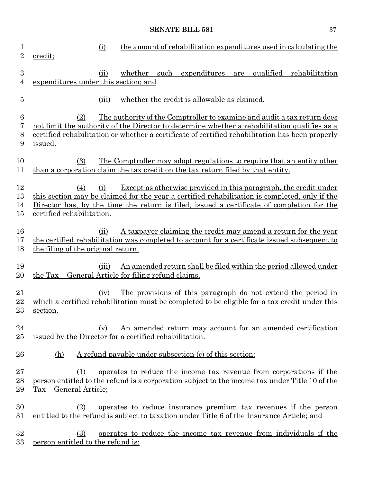| 1<br>$\overline{2}$   | credit;                                                                                                                                                                                                                        | <u>(i)</u> |         |      |                                                                              |     |           | the amount of rehabilitation expenditures used in calculating the  |
|-----------------------|--------------------------------------------------------------------------------------------------------------------------------------------------------------------------------------------------------------------------------|------------|---------|------|------------------------------------------------------------------------------|-----|-----------|--------------------------------------------------------------------|
| $\boldsymbol{3}$<br>4 | expenditures under this section; and                                                                                                                                                                                           | (ii)       | whether | such | expenditures                                                                 | are | qualified | rehabilitation                                                     |
| $\overline{5}$        |                                                                                                                                                                                                                                | (iii)      |         |      | whether the credit is allowable as claimed.                                  |     |           |                                                                    |
| 6<br>7<br>8<br>9      | (2)<br>not limit the authority of the Director to determine whether a rehabilitation qualifies as a<br>certified rehabilitation or whether a certificate of certified rehabilitation has been properly<br>issued.              |            |         |      | The authority of the Comptroller to examine and audit a tax return does      |     |           |                                                                    |
| 10<br>11              | (3)<br>than a corporation claim the tax credit on the tax return filed by that entity.                                                                                                                                         |            |         |      | <u>The Comptroller may adopt regulations to require that an entity other</u> |     |           |                                                                    |
| 12<br>13<br>14<br>15  | (4)<br>this section may be claimed for the year a certified rehabilitation is completed, only if the<br>Director has, by the time the return is filed, issued a certificate of completion for the<br>certified rehabilitation. | (i)        |         |      | Except as otherwise provided in this paragraph, the credit under             |     |           |                                                                    |
| 16<br>17<br>18        | the certified rehabilitation was completed to account for a certificate issued subsequent to<br>the filing of the original return.                                                                                             | (ii)       |         |      |                                                                              |     |           | A taxpayer claiming the credit may amend a return for the year     |
| 19<br>$20\,$          | <u>the Tax – General Article for filing refund claims.</u>                                                                                                                                                                     | (iii)      |         |      |                                                                              |     |           | An amended return shall be filed within the period allowed under   |
| 21<br>22<br>$^{23}$   | which a certified rehabilitation must be completed to be eligible for a tax credit under this<br>section.                                                                                                                      | (iv)       |         |      |                                                                              |     |           | The provisions of this paragraph do not extend the period in       |
| 24<br>25              | issued by the Director for a certified rehabilitation.                                                                                                                                                                         | (v)        |         |      |                                                                              |     |           | An amended return may account for an amended certification         |
| 26                    | (h)                                                                                                                                                                                                                            |            |         |      | A refund payable under subsection (c) of this section:                       |     |           |                                                                    |
| $27\,$<br>28<br>29    | (1)<br>person entitled to the refund is a corporation subject to the income tax under Title 10 of the<br>Tax – General Article;                                                                                                |            |         |      |                                                                              |     |           | operates to reduce the income tax revenue from corporations if the |
| 30<br>$31\,$          | (2)<br>entitled to the refund is subject to taxation under Title 6 of the Insurance Article; and                                                                                                                               |            |         |      | <u>operates to reduce insurance premium tax revenues if the person</u>       |     |           |                                                                    |
| 32<br>33              | (3)<br>person entitled to the refund is:                                                                                                                                                                                       |            |         |      |                                                                              |     |           | operates to reduce the income tax revenue from individuals if the  |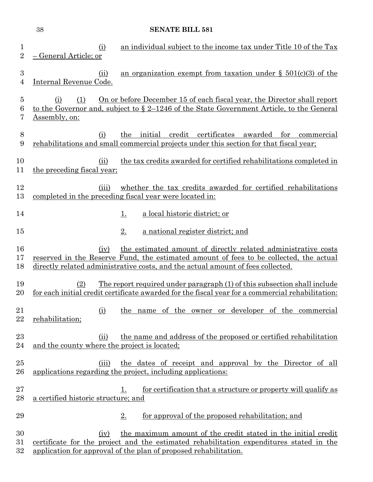|                               | 38                                                   | <b>SENATE BILL 581</b>                                                                                                                                                                                                                     |
|-------------------------------|------------------------------------------------------|--------------------------------------------------------------------------------------------------------------------------------------------------------------------------------------------------------------------------------------------|
| $\mathbf 1$<br>$\overline{2}$ | (i)<br>General Article; or                           | an individual subject to the income tax under Title 10 of the Tax                                                                                                                                                                          |
| 3<br>4                        | (ii)<br>Internal Revenue Code.                       | an organization exempt from taxation under $\S$ 501(c)(3) of the                                                                                                                                                                           |
| $\overline{5}$<br>6<br>7      | (1)<br>(i)<br>Assembly, on:                          | On or before December 15 of each fiscal year, the Director shall report<br>to the Governor and, subject to § 2-1246 of the State Government Article, to the General                                                                        |
| $8\,$<br>9                    | (i)                                                  | initial credit certificates<br>awarded for<br>the<br>commercial<br>rehabilitations and small commercial projects under this section for that fiscal year;                                                                                  |
| 10<br>11                      | (ii)<br>the preceding fiscal year;                   | the tax credits awarded for certified rehabilitations completed in                                                                                                                                                                         |
| 12<br>13                      | (iii)                                                | whether the tax credits awarded for certified rehabilitations<br>completed in the preceding fiscal year were located in:                                                                                                                   |
| 14                            |                                                      | a local historic district; or<br><u>1.</u>                                                                                                                                                                                                 |
| 15                            |                                                      | 2.<br>a national register district; and                                                                                                                                                                                                    |
| 16<br>17<br>18                | (iv)                                                 | the estimated amount of directly related administrative costs<br>reserved in the Reserve Fund, the estimated amount of fees to be collected, the actual<br>directly related administrative costs, and the actual amount of fees collected. |
| 19<br>20                      | (2)                                                  | <u>The report required under paragraph (1) of this subsection shall include</u><br>for each initial credit certificate awarded for the fiscal year for a commercial rehabilitation:                                                        |
| 21<br>22                      | <u>(i)</u><br>rehabilitation;                        | the name of the owner or developer of the commercial                                                                                                                                                                                       |
| $^{23}$<br>24                 | (ii)<br>and the county where the project is located; | the name and address of the proposed or certified rehabilitation                                                                                                                                                                           |
| 25<br>26                      | (iii)                                                | the dates of receipt and approval by the Director of all<br>applications regarding the project, including applications:                                                                                                                    |
| $27\,$<br>28                  | a certified historic structure; and                  | for certification that a structure or property will qualify as<br>1.                                                                                                                                                                       |
| 29                            |                                                      | for approval of the proposed rehabilitation; and<br>2.                                                                                                                                                                                     |
| 30<br>31<br>$32\,$            | (iv)                                                 | the maximum amount of the credit stated in the initial credit<br>certificate for the project and the estimated rehabilitation expenditures stated in the<br>application for approval of the plan of proposed rehabilitation.               |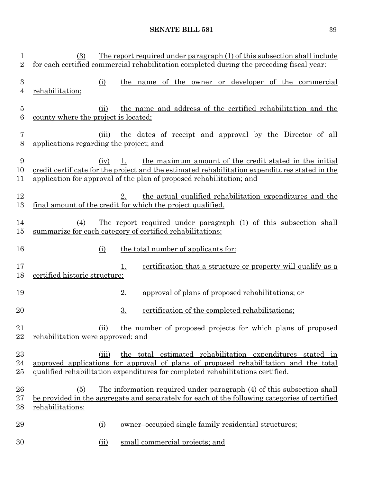| 1<br>$\overline{2}$ | (3)                                              | <u>The report required under paragraph (1) of this subsection shall include</u><br>for each certified commercial rehabilitation completed during the preceding fiscal year:                                                         |
|---------------------|--------------------------------------------------|-------------------------------------------------------------------------------------------------------------------------------------------------------------------------------------------------------------------------------------|
| 3<br>4              | (i)<br>rehabilitation;                           | the name of the owner or developer of the commercial                                                                                                                                                                                |
| $\overline{5}$<br>6 | (ii)<br>county where the project is located;     | the name and address of the certified rehabilitation and the                                                                                                                                                                        |
| 7<br>8              | (iii)<br>applications regarding the project; and | the dates of receipt and approval by the Director of all                                                                                                                                                                            |
| 9<br>10<br>11       | (iv)                                             | the maximum amount of the credit stated in the initial<br>credit certificate for the project and the estimated rehabilitation expenditures stated in the<br>application for approval of the plan of proposed rehabilitation; and    |
| 12<br>13            |                                                  | the actual qualified rehabilitation expenditures and the<br>2.<br>final amount of the credit for which the project qualified.                                                                                                       |
| 14<br>15            | (4)                                              | The report required under paragraph (1) of this subsection shall<br>summarize for each category of certified rehabilitations:                                                                                                       |
| 16                  | (i)                                              | the total number of applicants for:                                                                                                                                                                                                 |
| 17<br>18            | <u>certified historic structure;</u>             | 1.<br><u>certification</u> that a structure or property will qualify as a                                                                                                                                                           |
| 19                  |                                                  | 2.<br>approval of plans of proposed rehabilitations; or                                                                                                                                                                             |
| 20                  |                                                  | 3.<br>certification of the completed rehabilitations;                                                                                                                                                                               |
| 21<br>22            | (ii)<br>rehabilitation were approved; and        | the number of proposed projects for which plans of proposed                                                                                                                                                                         |
| 23<br>24<br>25      | (iii)                                            | the total estimated rehabilitation expenditures stated in<br>approved applications for approval of plans of proposed rehabilitation and the total<br>qualified rehabilitation expenditures for completed rehabilitations certified. |
| 26<br>27<br>28      | (5)<br>rehabilitations:                          | The information required under paragraph (4) of this subsection shall<br>be provided in the aggregate and separately for each of the following categories of certified                                                              |
| 29                  | (i)                                              | <u>owner-occupied single family residential structures;</u>                                                                                                                                                                         |
| 30                  | (ii)                                             | small commercial projects; and                                                                                                                                                                                                      |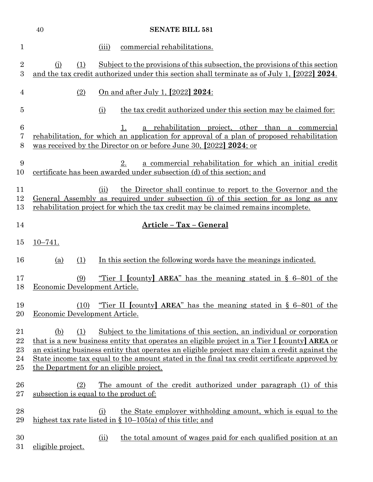|                                 | 40                                    | <b>SENATE BILL 581</b>                                                                                                                                                                                                                                                                                                                                                                                             |
|---------------------------------|---------------------------------------|--------------------------------------------------------------------------------------------------------------------------------------------------------------------------------------------------------------------------------------------------------------------------------------------------------------------------------------------------------------------------------------------------------------------|
| 1                               |                                       | commercial rehabilitations.<br>(iii)                                                                                                                                                                                                                                                                                                                                                                               |
| $\overline{2}$<br>3             | (i)<br>(1)                            | Subject to the provisions of this subsection, the provisions of this section<br>and the tax credit authorized under this section shall terminate as of July 1, [2022] 2024.                                                                                                                                                                                                                                        |
| 4                               | (2)                                   | On and after July 1, [2022] 2024:                                                                                                                                                                                                                                                                                                                                                                                  |
| $\overline{5}$                  |                                       | the tax credit authorized under this section may be claimed for:<br>(i)                                                                                                                                                                                                                                                                                                                                            |
| $6\phantom{.}6$<br>7<br>8       |                                       | a rehabilitation project, other than a commercial<br>1.<br>rehabilitation, for which an application for approval of a plan of proposed rehabilitation<br>was received by the Director on or before June 30, [2022] 2024; or                                                                                                                                                                                        |
| 9<br>10                         |                                       | 2.<br>a commercial rehabilitation for which an initial credit<br>certificate has been awarded under subsection (d) of this section; and                                                                                                                                                                                                                                                                            |
| 11<br>12<br>13                  |                                       | the Director shall continue to report to the Governor and the<br>(ii)<br>General Assembly as required under subsection (i) of this section for as long as any<br>rehabilitation project for which the tax credit may be claimed remains incomplete.                                                                                                                                                                |
| 14                              |                                       | Article - Tax - General                                                                                                                                                                                                                                                                                                                                                                                            |
| 15                              | $10 - 741.$                           |                                                                                                                                                                                                                                                                                                                                                                                                                    |
| 16                              | (1)<br>(a)                            | In this section the following words have the meanings indicated.                                                                                                                                                                                                                                                                                                                                                   |
| 17<br>18                        | (9)<br>Economic Development Article.  | "Tier I [county] AREA" has the meaning stated in $\S$ 6-801 of the                                                                                                                                                                                                                                                                                                                                                 |
| 19<br>20                        | (10)<br>Economic Development Article. | "Tier II [county] AREA" has the meaning stated in $\S$ 6-801 of the                                                                                                                                                                                                                                                                                                                                                |
| 21<br>22<br>$^{23}$<br>24<br>25 | (b)<br>(1)                            | Subject to the limitations of this section, an individual or corporation<br>that is a new business entity that operates an eligible project in a Tier I [county] AREA or<br>an existing business entity that operates an eligible project may claim a credit against the<br>State income tax equal to the amount stated in the final tax credit certificate approved by<br>the Department for an eligible project. |
| 26<br>$27\,$                    | (2)                                   | <u>The amount of the credit authorized under paragraph (1) of this</u><br>subsection is equal to the product of:                                                                                                                                                                                                                                                                                                   |
| 28<br>29                        |                                       | the State employer withholding amount, which is equal to the<br>(i)<br>highest tax rate listed in $\S$ 10–105(a) of this title; and                                                                                                                                                                                                                                                                                |
| 30                              |                                       | the total amount of wages paid for each qualified position at an<br>(ii)                                                                                                                                                                                                                                                                                                                                           |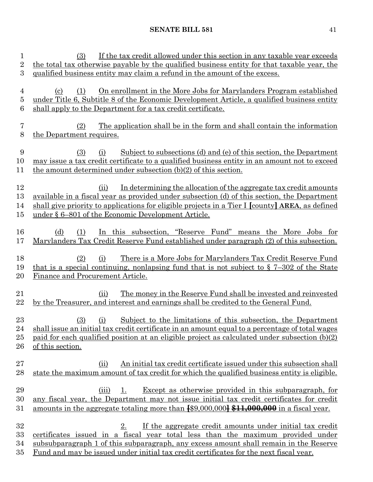| 1<br>$\overline{2}$<br>3     | If the tax credit allowed under this section in any taxable year exceeds<br>(3)<br>the total tax otherwise payable by the qualified business entity for that taxable year, the<br>qualified business entity may claim a refund in the amount of the excess.                                                                              |
|------------------------------|------------------------------------------------------------------------------------------------------------------------------------------------------------------------------------------------------------------------------------------------------------------------------------------------------------------------------------------|
| $\overline{4}$<br>5<br>6     | On enrollment in the More Jobs for Marylanders Program established<br>(1)<br>$\left( \mathrm{c}\right)$<br>under Title 6, Subtitle 8 of the Economic Development Article, a qualified business entity<br>shall apply to the Department for a tax credit certificate.                                                                     |
| 7<br>8                       | The application shall be in the form and shall contain the information<br>(2)<br>the Department requires.                                                                                                                                                                                                                                |
| 9<br>10<br>11                | Subject to subsections (d) and (e) of this section, the Department<br>(3)<br>(i)<br>may issue a tax credit certificate to a qualified business entity in an amount not to exceed<br>the amount determined under subsection $(b)(2)$ of this section.                                                                                     |
| 12<br>13<br>14<br>$15\,$     | In determining the allocation of the aggregate tax credit amounts<br>(ii)<br><u>available in a fiscal year as provided under subsection (d) of this section, the Department</u><br>shall give priority to applications for eligible projects in a Tier I [county] AREA, as defined<br>under § 6–801 of the Economic Development Article. |
| 16<br>17                     | In this subsection, "Reserve Fund" means the More Jobs for<br>(d)<br>(1)<br><u>Marylanders Tax Credit Reserve Fund established under paragraph (2) of this subsection.</u>                                                                                                                                                               |
| 18<br>19<br>20               | <u>There is a More Jobs for Marylanders Tax Credit Reserve Fund</u><br>(2)<br>(i)<br>that is a special continuing, nonlapsing fund that is not subject to $\S 7-302$ of the State<br>Finance and Procurement Article.                                                                                                                    |
| 21<br>22                     | The money in the Reserve Fund shall be invested and reinvested<br>(ii)<br>by the Treasurer, and interest and earnings shall be credited to the General Fund.                                                                                                                                                                             |
| 23<br>24<br>$25\,$<br>$26\,$ | Subject to the limitations of this subsection, the Department<br>(3)<br>(i)<br>shall issue an initial tax credit certificate in an amount equal to a percentage of total wages<br>paid for each qualified position at an eligible project as calculated under subsection (b)(2)<br>of this section.                                      |
| $27\,$<br>28                 | An initial tax credit certificate issued under this subsection shall<br>(ii)<br>state the maximum amount of tax credit for which the qualified business entity is eligible.                                                                                                                                                              |
| 29<br>30<br>31               | Except as otherwise provided in this subparagraph, for<br>(iii)<br>1.<br>any fiscal year, the Department may not issue initial tax credit certificates for credit<br>amounts in the aggregate totaling more than $\frac{100,000,000}{100,000}$ $\frac{11,000,000}{10,000}$ in a fiscal year.                                             |
| 32<br>$33\,$<br>34<br>$35\,$ | 2.<br>If the aggregate credit amounts under initial tax credit<br>certificates issued in a fiscal year total less than the maximum provided under<br>subsubparagraph 1 of this subparagraph, any excess amount shall remain in the Reserve<br>Fund and may be issued under initial tax credit certificates for the next fiscal year.     |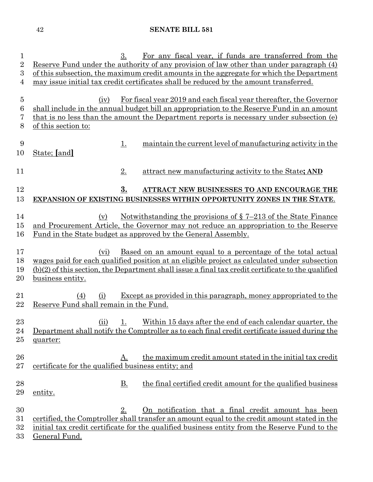| $\mathbf{1}$<br>$\overline{2}$ | For any fiscal year, if funds are transferred from the<br>3.<br>Reserve Fund under the authority of any provision of law other than under paragraph (4) |
|--------------------------------|---------------------------------------------------------------------------------------------------------------------------------------------------------|
| 3                              | of this subsection, the maximum credit amounts in the aggregate for which the Department                                                                |
| 4                              | may issue initial tax credit certificates shall be reduced by the amount transferred.                                                                   |
|                                |                                                                                                                                                         |
| $\bf 5$                        | For fiscal year 2019 and each fiscal year thereafter, the Governor<br>(iv)                                                                              |
| 6                              | shall include in the annual budget bill an appropriation to the Reserve Fund in an amount                                                               |
| 7                              | that is no less than the amount the Department reports is necessary under subsection (e)                                                                |
| 8                              | of this section to:                                                                                                                                     |
| 9                              | maintain the current level of manufacturing activity in the<br><u>1.</u>                                                                                |
| 10                             | State; [and]                                                                                                                                            |
|                                |                                                                                                                                                         |
| 11                             | 2.<br>attract new manufacturing activity to the State; AND                                                                                              |
|                                |                                                                                                                                                         |
| 12                             | 3.<br>ATTRACT NEW BUSINESSES TO AND ENCOURAGE THE                                                                                                       |
| 13                             | EXPANSION OF EXISTING BUSINESSES WITHIN OPPORTUNITY ZONES IN THE STATE.                                                                                 |
|                                |                                                                                                                                                         |
| 14                             | Notwithstanding the provisions of $\S$ 7-213 of the State Finance<br>(v)                                                                                |
| $15\,$                         | and Procurement Article, the Governor may not reduce an appropriation to the Reserve                                                                    |
| 16                             | Fund in the State budget as approved by the General Assembly.                                                                                           |
| 17                             | <u>Based on an amount equal to a percentage of the total actual</u><br>(vi)                                                                             |
| 18                             | wages paid for each qualified position at an eligible project as calculated under subsection                                                            |
| 19                             | $(b)(2)$ of this section, the Department shall issue a final tax credit certificate to the qualified                                                    |
| 20                             | business entity.                                                                                                                                        |
|                                |                                                                                                                                                         |
| 21                             | Except as provided in this paragraph, money appropriated to the<br>(4)<br>(i)                                                                           |
| 22                             | Reserve Fund shall remain in the Fund.                                                                                                                  |
|                                |                                                                                                                                                         |
| 23                             | Within 15 days after the end of each calendar quarter, the<br>(ii)<br>1.                                                                                |
| 24<br>25                       | Department shall notify the Comptroller as to each final credit certificate issued during the<br>quarter:                                               |
|                                |                                                                                                                                                         |
| 26                             | the maximum credit amount stated in the initial tax credit<br><u>A.</u>                                                                                 |
| 27                             | certificate for the qualified business entity; and                                                                                                      |
|                                |                                                                                                                                                         |
| 28                             | <u>B.</u><br>the final certified credit amount for the qualified business                                                                               |
| 29                             | entity.                                                                                                                                                 |
|                                |                                                                                                                                                         |
| 30                             | 2.<br><u>On notification that a final credit amount has been</u>                                                                                        |
| 31                             | certified, the Comptroller shall transfer an amount equal to the credit amount stated in the                                                            |
| 32<br>$33\,$                   | initial tax credit certificate for the qualified business entity from the Reserve Fund to the<br>General Fund.                                          |
|                                |                                                                                                                                                         |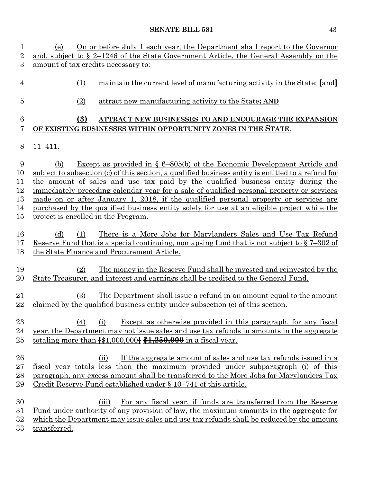| 1               | On or before July 1 each year, the Department shall report to the Governor<br>(e)                    |  |  |  |
|-----------------|------------------------------------------------------------------------------------------------------|--|--|--|
| $\overline{2}$  | and, subject to $\S 2-1246$ of the State Government Article, the General Assembly on the             |  |  |  |
| 3               | amount of tax credits necessary to:                                                                  |  |  |  |
| $\overline{4}$  | maintain the current level of manufacturing activity in the State; [and]<br>(1)                      |  |  |  |
| 5               | attract new manufacturing activity to the State; AND<br>(2)                                          |  |  |  |
| $6\phantom{.}6$ | (3)<br>ATTRACT NEW BUSINESSES TO AND ENCOURAGE THE EXPANSION                                         |  |  |  |
| 7               | OF EXISTING BUSINESSES WITHIN OPPORTUNITY ZONES IN THE STATE.                                        |  |  |  |
|                 |                                                                                                      |  |  |  |
| 8               | $11 - 411.$                                                                                          |  |  |  |
| 9               | <u>Except as provided in <math>\S 6-805(b)</math> of the Economic Development Article and</u><br>(b) |  |  |  |
| 10              | subject to subsection (c) of this section, a qualified business entity is entitled to a refund for   |  |  |  |
| 11              | the amount of sales and use tax paid by the qualified business entity during the                     |  |  |  |
| 12              | immediately preceding calendar year for a sale of qualified personal property or services            |  |  |  |
| 13              | made on or after January 1, 2018, if the qualified personal property or services are                 |  |  |  |
| 14              | purchased by the qualified business entity solely for use at an eligible project while the           |  |  |  |
| 15              | project is enrolled in the Program.                                                                  |  |  |  |
|                 |                                                                                                      |  |  |  |
| 16              | There is a More Jobs for Marylanders Sales and Use Tax Refund<br>(d)<br>(1)                          |  |  |  |
| 17              | Reserve Fund that is a special continuing, nonlapsing fund that is not subject to $\S 7-302$ of      |  |  |  |
| 18              | the State Finance and Procurement Article.                                                           |  |  |  |
|                 |                                                                                                      |  |  |  |
| 19              | <u>The money in the Reserve Fund shall be invested and reinvested by the</u><br>(2)                  |  |  |  |
| 20              | State Treasurer, and interest and earnings shall be credited to the General Fund.                    |  |  |  |
|                 |                                                                                                      |  |  |  |
| 21              | (3)<br>The Department shall issue a refund in an amount equal to the amount                          |  |  |  |
| 22              | claimed by the qualified business entity under subsection (c) of this section.                       |  |  |  |
|                 |                                                                                                      |  |  |  |
| 23              | Except as otherwise provided in this paragraph, for any fiscal<br>(4)<br>(i)                         |  |  |  |
| 24              | year, the Department may not issue sales and use tax refunds in amounts in the aggregate             |  |  |  |
| 25              | totaling more than $\{$1,000,000\}$ $\{1,250,000$ in a fiscal year.                                  |  |  |  |
|                 |                                                                                                      |  |  |  |
| 26              | If the aggregate amount of sales and use tax refunds issued in a<br>(ii)                             |  |  |  |
| $27\,$          | fiscal year totals less than the maximum provided under subparagraph (i) of this                     |  |  |  |
| 28              | paragraph, any excess amount shall be transferred to the More Jobs for Marylanders Tax               |  |  |  |
| 29              | Credit Reserve Fund established under $\S 10-741$ of this article.                                   |  |  |  |
|                 |                                                                                                      |  |  |  |
| 30              | For any fiscal year, if funds are transferred from the Reserve<br>(iii)                              |  |  |  |
| $31\,$          | <u>Fund under authority of any provision of law, the maximum amounts in the aggregate for</u>        |  |  |  |
| 32              | which the Department may issue sales and use tax refunds shall be reduced by the amount              |  |  |  |
| $33\,$          | transferred.                                                                                         |  |  |  |
|                 |                                                                                                      |  |  |  |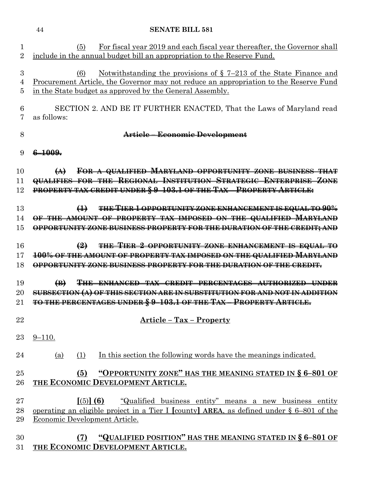|                                | 44<br><b>SENATE BILL 581</b>                                                                                                                                                                                                             |
|--------------------------------|------------------------------------------------------------------------------------------------------------------------------------------------------------------------------------------------------------------------------------------|
| $\mathbf{1}$<br>$\overline{2}$ | For fiscal year 2019 and each fiscal year thereafter, the Governor shall<br>(5)<br>include in the annual budget bill an appropriation to the Reserve Fund.                                                                               |
| 3<br>4<br>5                    | Notwithstanding the provisions of $\S$ 7-213 of the State Finance and<br>(6)<br><u>Procurement Article, the Governor may not reduce an appropriation to the Reserve Fund</u><br>in the State budget as approved by the General Assembly. |
| 6<br>7                         | SECTION 2. AND BE IT FURTHER ENACTED, That the Laws of Maryland read<br>as follows:                                                                                                                                                      |
| 8                              | Article-Economic Development                                                                                                                                                                                                             |
| 9                              | $6 - 1009.$                                                                                                                                                                                                                              |
| 10<br>11<br>12                 | FOR A QUALIFIED MARYLAND OPPORTUNITY ZONE BUSINESS THAT<br>$\leftrightarrow$<br>QUALIFIES FOR THE REGIONAL INSTITUTION STRATEGIC ENTERPRISE ZONE<br>PROPERTY TAX CREDIT UNDER § 9-103.1 OF THE TAX - PROPERTY ARTICLE:                   |
| 13<br>14<br>15                 | THE TIER 1 OPPORTUNITY ZONE ENHANCEMENT IS EQUAL TO 90%<br>$\bigoplus$<br>OF THE AMOUNT OF PROPERTY TAX IMPOSED ON THE QUALIFIED MARYLAND<br>OPPORTUNITY ZONE BUSINESS PROPERTY FOR THE DURATION OF THE CREDIT; AND                      |
| 16<br>17<br>18                 | $\left(2\right)$<br>THE TIER 2 OPPORTUNITY ZONE ENHANCEMENT IS EQUAL TO<br>100% OF THE AMOUNT OF PROPERTY TAX IMPOSED ON THE QUALIFIED MARYLAND<br>OPPORTUNITY ZONE BUSINESS PROPERTY FOR THE DURATION OF THE CREDIT.                    |
| 19<br>20<br>21                 | THE ENHANCED TAX CREDIT<br>PERCENTAGES AUTHORIZED<br>$\bigoplus$<br>SUBSECTION (A) OF THIS SECTION ARE IN SUBSTITUTION FOR AND NOT IN ADDITION<br>TO THE PERCENTAGES UNDER § 9-103.1 OF THE TAX - PROPERTY ARTICLE.                      |
| 22                             | <u><b>Article - Tax - Property</b></u>                                                                                                                                                                                                   |
| 23                             | $9 - 110.$                                                                                                                                                                                                                               |
| 24                             | <u>(a)</u><br>(1)<br>In this section the following words have the meanings indicated.                                                                                                                                                    |
| 25<br>26                       | "OPPORTUNITY ZONE" HAS THE MEANING STATED IN § 6-801 OF<br>(5)<br>THE ECONOMIC DEVELOPMENT ARTICLE.                                                                                                                                      |
| 27<br>28<br>29                 | [(5)] (6) "Qualified business entity" means a new business entity<br><u>operating an eligible project in a Tier I [county] AREA, as defined under § 6–801 of the</u><br>Economic Development Article.                                    |
| 30<br>31                       | "QUALIFIED POSITION" HAS THE MEANING STATED IN § 6-801 OF<br>(7)<br>THE ECONOMIC DEVELOPMENT ARTICLE.                                                                                                                                    |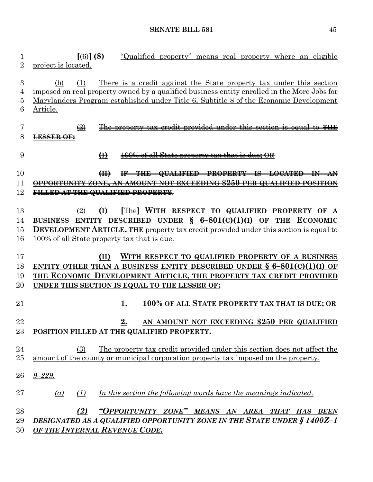**[**(6)**] (8)** "Qualified property" means real property where an eligible project is located. (b) (1) There is a credit against the State property tax under this section imposed on real property owned by a qualified business entity enrolled in the More Jobs for Marylanders Program established under Title 6, Subtitle 8 of the Economic Development Article. (2) The property tax credit provided under this section is equal to **THE LESSER OF: (I)** 100% of all State property tax that is due**; OR (II) IF THE QUALIFIED PROPERTY IS LOCATED IN AN OPPORTUNITY ZONE, AN AMOUNT NOT EXCEEDING \$250 PER QUALIFIED POSITION FILLED AT THE QUALIFIED PROPERTY**. (2) **(I) [**The**] WITH RESPECT TO QUALIFIED PROPERTY OF A BUSINESS ENTITY DESCRIBED UNDER § 6–801(C)(1)(I) OF THE ECONOMIC DEVELOPMENT ARTICLE, THE** property tax credit provided under this section is equal to 100% of all State property tax that is due. **(II) WITH RESPECT TO QUALIFIED PROPERTY OF A BUSINESS ENTITY OTHER THAN A BUSINESS ENTITY DESCRIBED UNDER § 6–801(C)(1)(I) OF THE ECONOMIC DEVELOPMENT ARTICLE, THE PROPERTY TAX CREDIT PROVIDED UNDER THIS SECTION IS EQUAL TO THE LESSER OF: 1. 100% OF ALL STATE PROPERTY TAX THAT IS DUE; OR 2. AN AMOUNT NOT EXCEEDING \$250 PER QUALIFIED POSITION FILLED AT THE QUALIFIED PROPERTY.** (3) The property tax credit provided under this section does not affect the amount of the county or municipal corporation property tax imposed on the property. *9–229. (a) (1) In this section the following words have the meanings indicated. (2) "OPPORTUNITY ZONE" MEANS AN AREA THAT HAS BEEN DESIGNATED AS A QUALIFIED OPPORTUNITY ZONE IN THE STATE UNDER § 1400Z–1 OF THE INTERNAL REVENUE CODE.*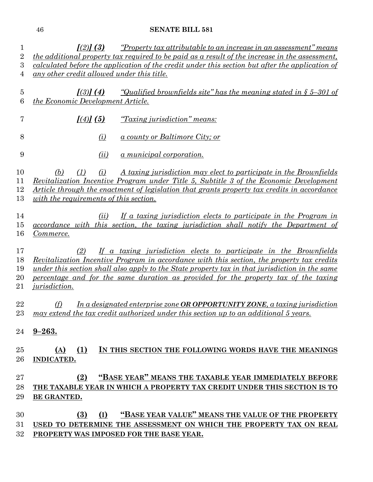| 1                       | $\left[ \frac{2}{3} \right]$ (3)                                                                      | <u>"Property tax attributable to an increase in an assessment" means</u>                              |  |
|-------------------------|-------------------------------------------------------------------------------------------------------|-------------------------------------------------------------------------------------------------------|--|
| $\overline{\mathbf{2}}$ | <i>the additional property tax required to be paid as a result of the increase in the assessment,</i> |                                                                                                       |  |
| 3                       |                                                                                                       | calculated before the application of the credit under this section but after the application of       |  |
| $\overline{4}$          | any other credit allowed under this title.                                                            |                                                                                                       |  |
| $\overline{5}$          | $\left[ \frac{3}{4} \right]$                                                                          | <u>"Qualified brownfields site" has the meaning stated in <math>\zeta</math> 5–301 of</u>             |  |
| 6                       | the Economic Development Article.                                                                     |                                                                                                       |  |
|                         |                                                                                                       |                                                                                                       |  |
| 7                       | $[(4)]$ $(5)$                                                                                         | "Taxing jurisdiction" means:                                                                          |  |
| 8                       | $\omega$                                                                                              | <u>a county or Baltimore City; or</u>                                                                 |  |
| 9                       | (ii)                                                                                                  | <u>a municipal corporation.</u>                                                                       |  |
| 10                      | (i)<br>(b)<br>(1)                                                                                     | A taxing jurisdiction may elect to participate in the Brownfields                                     |  |
| 11                      |                                                                                                       | <u>Revitalization Incentive Program under Title 5, Subtitle 3 of the Economic Development</u>         |  |
| 12                      |                                                                                                       | Article through the enactment of legislation that grants property tax credits in accordance           |  |
| 13                      | with the requirements of this section.                                                                |                                                                                                       |  |
|                         |                                                                                                       |                                                                                                       |  |
| 14                      | (ii)                                                                                                  | If a taxing jurisdiction elects to participate in the Program in                                      |  |
| 15                      |                                                                                                       | accordance with this section, the taxing jurisdiction shall notify the Department of                  |  |
| 16                      | Commerce.                                                                                             |                                                                                                       |  |
| 17                      | (2)                                                                                                   | If a taxing jurisdiction elects to participate in the Brownfields                                     |  |
| 18                      |                                                                                                       | Revitalization Incentive Program in accordance with this section, the property tax credits            |  |
| 19                      |                                                                                                       | <u>under this section shall also apply to the State property tax in that jurisdiction in the same</u> |  |
| 20                      |                                                                                                       | percentage and for the same duration as provided for the property tax of the taxing                   |  |
| 21                      | <i>jurisdiction.</i>                                                                                  |                                                                                                       |  |
|                         |                                                                                                       |                                                                                                       |  |
| 22                      | (f)                                                                                                   | In a designated enterprise zone OR OPPORTUNITY ZONE, a taxing jurisdiction                            |  |
| $23\,$                  |                                                                                                       | may extend the tax credit authorized under this section up to an additional 5 years.                  |  |
| 24                      | $9 - 263.$                                                                                            |                                                                                                       |  |
|                         |                                                                                                       |                                                                                                       |  |
| 25                      | (1)<br>(A)                                                                                            | IN THIS SECTION THE FOLLOWING WORDS HAVE THE MEANINGS                                                 |  |
| 26                      | INDICATED.                                                                                            |                                                                                                       |  |
|                         |                                                                                                       |                                                                                                       |  |
| $27\,$                  | (2)                                                                                                   | "BASE YEAR" MEANS THE TAXABLE YEAR IMMEDIATELY BEFORE                                                 |  |
| 28                      |                                                                                                       | THE TAXABLE YEAR IN WHICH A PROPERTY TAX CREDIT UNDER THIS SECTION IS TO                              |  |
| 29                      | BE GRANTED.                                                                                           |                                                                                                       |  |
|                         |                                                                                                       |                                                                                                       |  |
| 30                      | (I)<br>(3)                                                                                            | "BASE YEAR VALUE" MEANS THE VALUE OF THE PROPERTY                                                     |  |
| 31                      |                                                                                                       | USED TO DETERMINE THE ASSESSMENT ON WHICH THE PROPERTY TAX ON REAL                                    |  |
| $32\,$                  |                                                                                                       | PROPERTY WAS IMPOSED FOR THE BASE YEAR.                                                               |  |
|                         |                                                                                                       |                                                                                                       |  |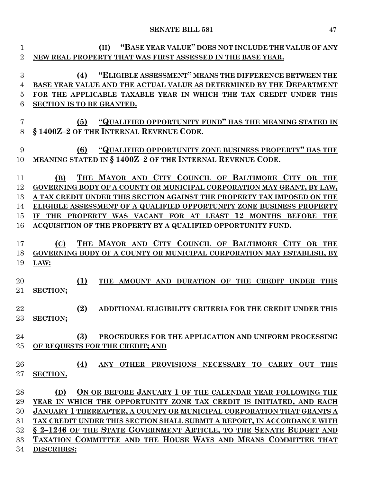| NEW REAL PROPERTY THAT WAS FIRST ASSESSED IN THE BASE YEAR.<br>"ELIGIBLE ASSESSMENT" MEANS THE DIFFERENCE BETWEEN THE<br>BASE YEAR VALUE AND THE ACTUAL VALUE AS DETERMINED BY THE DEPARTMENT<br>FOR THE APPLICABLE TAXABLE YEAR IN WHICH THE TAX CREDIT UNDER THIS<br>"QUALIFIED OPPORTUNITY FUND" HAS THE MEANING STATED IN<br>"QUALIFIED OPPORTUNITY ZONE BUSINESS PROPERTY" HAS THE<br>THE MAYOR AND CITY COUNCIL OF BALTIMORE CITY OR THE<br>GOVERNING BODY OF A COUNTY OR MUNICIPAL CORPORATION MAY GRANT, BY LAW,<br>A TAX CREDIT UNDER THIS SECTION AGAINST THE PROPERTY TAX IMPOSED ON THE |
|-----------------------------------------------------------------------------------------------------------------------------------------------------------------------------------------------------------------------------------------------------------------------------------------------------------------------------------------------------------------------------------------------------------------------------------------------------------------------------------------------------------------------------------------------------------------------------------------------------|
|                                                                                                                                                                                                                                                                                                                                                                                                                                                                                                                                                                                                     |
|                                                                                                                                                                                                                                                                                                                                                                                                                                                                                                                                                                                                     |
|                                                                                                                                                                                                                                                                                                                                                                                                                                                                                                                                                                                                     |
|                                                                                                                                                                                                                                                                                                                                                                                                                                                                                                                                                                                                     |
|                                                                                                                                                                                                                                                                                                                                                                                                                                                                                                                                                                                                     |
|                                                                                                                                                                                                                                                                                                                                                                                                                                                                                                                                                                                                     |
|                                                                                                                                                                                                                                                                                                                                                                                                                                                                                                                                                                                                     |
|                                                                                                                                                                                                                                                                                                                                                                                                                                                                                                                                                                                                     |
|                                                                                                                                                                                                                                                                                                                                                                                                                                                                                                                                                                                                     |
|                                                                                                                                                                                                                                                                                                                                                                                                                                                                                                                                                                                                     |
|                                                                                                                                                                                                                                                                                                                                                                                                                                                                                                                                                                                                     |
|                                                                                                                                                                                                                                                                                                                                                                                                                                                                                                                                                                                                     |
|                                                                                                                                                                                                                                                                                                                                                                                                                                                                                                                                                                                                     |
|                                                                                                                                                                                                                                                                                                                                                                                                                                                                                                                                                                                                     |
|                                                                                                                                                                                                                                                                                                                                                                                                                                                                                                                                                                                                     |
|                                                                                                                                                                                                                                                                                                                                                                                                                                                                                                                                                                                                     |
| ELIGIBLE ASSESSMENT OF A QUALIFIED OPPORTUNITY ZONE BUSINESS PROPERTY                                                                                                                                                                                                                                                                                                                                                                                                                                                                                                                               |
| IF THE PROPERTY WAS VACANT FOR AT LEAST 12 MONTHS BEFORE THE                                                                                                                                                                                                                                                                                                                                                                                                                                                                                                                                        |
| ACQUISITION OF THE PROPERTY BY A QUALIFIED OPPORTUNITY FUND.                                                                                                                                                                                                                                                                                                                                                                                                                                                                                                                                        |
|                                                                                                                                                                                                                                                                                                                                                                                                                                                                                                                                                                                                     |
| THE MAYOR AND CITY COUNCIL OF BALTIMORE CITY OR THE                                                                                                                                                                                                                                                                                                                                                                                                                                                                                                                                                 |
| GOVERNING BODY OF A COUNTY OR MUNICIPAL CORPORATION MAY ESTABLISH, BY                                                                                                                                                                                                                                                                                                                                                                                                                                                                                                                               |
|                                                                                                                                                                                                                                                                                                                                                                                                                                                                                                                                                                                                     |
|                                                                                                                                                                                                                                                                                                                                                                                                                                                                                                                                                                                                     |
| THE AMOUNT AND DURATION OF THE CREDIT UNDER THIS                                                                                                                                                                                                                                                                                                                                                                                                                                                                                                                                                    |
|                                                                                                                                                                                                                                                                                                                                                                                                                                                                                                                                                                                                     |
|                                                                                                                                                                                                                                                                                                                                                                                                                                                                                                                                                                                                     |
|                                                                                                                                                                                                                                                                                                                                                                                                                                                                                                                                                                                                     |
| ADDITIONAL ELIGIBILITY CRITERIA FOR THE CREDIT UNDER THIS                                                                                                                                                                                                                                                                                                                                                                                                                                                                                                                                           |
|                                                                                                                                                                                                                                                                                                                                                                                                                                                                                                                                                                                                     |
|                                                                                                                                                                                                                                                                                                                                                                                                                                                                                                                                                                                                     |
| PROCEDURES FOR THE APPLICATION AND UNIFORM PROCESSING                                                                                                                                                                                                                                                                                                                                                                                                                                                                                                                                               |
|                                                                                                                                                                                                                                                                                                                                                                                                                                                                                                                                                                                                     |
|                                                                                                                                                                                                                                                                                                                                                                                                                                                                                                                                                                                                     |
| ANY OTHER PROVISIONS NECESSARY TO CARRY OUT THIS                                                                                                                                                                                                                                                                                                                                                                                                                                                                                                                                                    |
|                                                                                                                                                                                                                                                                                                                                                                                                                                                                                                                                                                                                     |
|                                                                                                                                                                                                                                                                                                                                                                                                                                                                                                                                                                                                     |
| ON OR BEFORE JANUARY 1 OF THE CALENDAR YEAR FOLLOWING THE                                                                                                                                                                                                                                                                                                                                                                                                                                                                                                                                           |
| YEAR IN WHICH THE OPPORTUNITY ZONE TAX CREDIT IS INITIATED, AND EACH                                                                                                                                                                                                                                                                                                                                                                                                                                                                                                                                |
| JANUARY 1 THEREAFTER, A COUNTY OR MUNICIPAL CORPORATION THAT GRANTS A                                                                                                                                                                                                                                                                                                                                                                                                                                                                                                                               |
| TAX CREDIT UNDER THIS SECTION SHALL SUBMIT A REPORT, IN ACCORDANCE WITH                                                                                                                                                                                                                                                                                                                                                                                                                                                                                                                             |
| § 2-1246 OF THE STATE GOVERNMENT ARTICLE, TO THE SENATE BUDGET AND                                                                                                                                                                                                                                                                                                                                                                                                                                                                                                                                  |
| TAXATION COMMITTEE AND THE HOUSE WAYS AND MEANS COMMITTEE THAT                                                                                                                                                                                                                                                                                                                                                                                                                                                                                                                                      |
|                                                                                                                                                                                                                                                                                                                                                                                                                                                                                                                                                                                                     |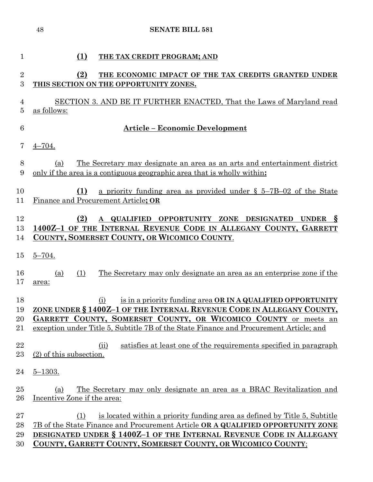| $\mathbf 1$    | (1)<br>THE TAX CREDIT PROGRAM; AND                                                                                                                     |
|----------------|--------------------------------------------------------------------------------------------------------------------------------------------------------|
| $\overline{2}$ | (2)<br>THE ECONOMIC IMPACT OF THE TAX CREDITS GRANTED UNDER                                                                                            |
| 3              | THIS SECTION ON THE OPPORTUNITY ZONES.                                                                                                                 |
|                |                                                                                                                                                        |
| 4              | SECTION 3. AND BE IT FURTHER ENACTED, That the Laws of Maryland read<br>as follows:                                                                    |
| 5              |                                                                                                                                                        |
| 6              | <u> Article – Economic Development</u>                                                                                                                 |
| 7              | $4 - 704.$                                                                                                                                             |
| 8              | <u>The Secretary may designate an area as an arts and entertainment district</u><br>(a)                                                                |
| 9              | only if the area is a contiguous geographic area that is wholly within:                                                                                |
|                |                                                                                                                                                        |
| 10             | (1)<br>a priority funding area as provided under $\S$ 5-7B-02 of the State                                                                             |
| 11             | Finance and Procurement Article; OR                                                                                                                    |
| 12             | (2)<br>QUALIFIED OPPORTUNITY ZONE DESIGNATED<br><b>UNDER</b><br>$\delta$<br>$\mathbf{A}$                                                               |
| 13             | 1400Z-1 OF THE INTERNAL REVENUE CODE IN ALLEGANY COUNTY, GARRETT                                                                                       |
| 14             | COUNTY, SOMERSET COUNTY, OR WICOMICO COUNTY.                                                                                                           |
| 15             | $5 - 704.$                                                                                                                                             |
| 16             | The Secretary may only designate an area as an enterprise zone if the<br>(1)<br>(a)                                                                    |
| 17             | area:                                                                                                                                                  |
|                |                                                                                                                                                        |
| 18<br>19       | is in a priority funding area OR IN A QUALIFIED OPPORTUNITY<br>(i)<br>ZONE UNDER § 1400Z-1 OF THE INTERNAL REVENUE CODE IN ALLEGANY COUNTY,            |
| 20             | GARRETT COUNTY, SOMERSET COUNTY, OR WICOMICO COUNTY or meets an                                                                                        |
| 21             | exception under Title 5, Subtitle 7B of the State Finance and Procurement Article; and                                                                 |
|                |                                                                                                                                                        |
| 22             | satisfies at least one of the requirements specified in paragraph<br>(ii)                                                                              |
| 23             | (2) of this subsection.                                                                                                                                |
| 24             | $5 - 1303.$                                                                                                                                            |
| 25             | <u>The Secretary may only designate an area as a BRAC Revitalization and</u><br>(a)                                                                    |
| 26             | Incentive Zone if the area:                                                                                                                            |
|                |                                                                                                                                                        |
| $\sqrt{27}$    | is located within a priority funding area as defined by Title 5, Subtitle<br>(1)                                                                       |
| 28<br>29       | 7B of the State Finance and Procurement Article OR A QUALIFIED OPPORTUNITY ZONE<br>DESIGNATED UNDER § 1400Z-1 OF THE INTERNAL REVENUE CODE IN ALLEGANY |
| 30             | COUNTY, GARRETT COUNTY, SOMERSET COUNTY, OR WICOMICO COUNTY;                                                                                           |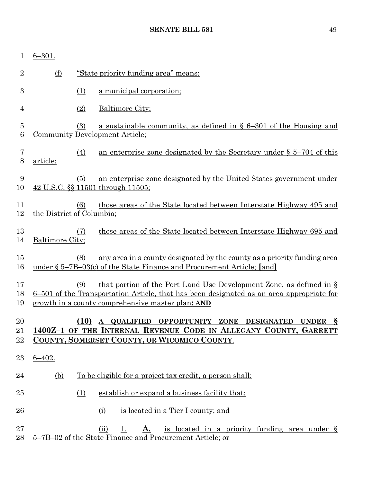| 1                       | $6 - 301.$                |                  |                                                                                                                                                                                                                         |
|-------------------------|---------------------------|------------------|-------------------------------------------------------------------------------------------------------------------------------------------------------------------------------------------------------------------------|
| $\overline{2}$          | <u>(f)</u>                |                  | "State priority funding area" means:                                                                                                                                                                                    |
| 3                       |                           | (1)              | a municipal corporation;                                                                                                                                                                                                |
| $\overline{4}$          |                           | (2)              | <b>Baltimore City;</b>                                                                                                                                                                                                  |
| $\overline{5}$<br>$\,6$ |                           | (3)              | a sustainable community, as defined in $\S 6-301$ of the Housing and<br><b>Community Development Article;</b>                                                                                                           |
| 7<br>$8\,$              | article;                  | $\left(4\right)$ | an enterprise zone designated by the Secretary under $\S$ 5–704 of this                                                                                                                                                 |
| 9<br>10                 |                           | (5)              | an enterprise zone designated by the United States government under<br>42 U.S.C. §§ 11501 through 11505;                                                                                                                |
| 11<br>12                | the District of Columbia; | (6)              | those areas of the State located between Interstate Highway 495 and                                                                                                                                                     |
| 13<br>14                | Baltimore City;           | (7)              | those areas of the State located between Interstate Highway 695 and                                                                                                                                                     |
| 15<br>16                |                           | (8)              | any area in a county designated by the county as a priority funding area<br>under § 5-7B-03(c) of the State Finance and Procurement Article; [and]                                                                      |
| 17<br>18<br>19          |                           | (9)              | that portion of the Port Land Use Development Zone, as defined in $\S$<br>6-501 of the Transportation Article, that has been designated as an area appropriate for<br>growth in a county comprehensive master plan; AND |
| 20<br>21<br>22          |                           |                  | UNDER S<br>(10) A QUALIFIED OPPORTUNITY ZONE DESIGNATED<br>1400Z-1 OF THE INTERNAL REVENUE CODE IN ALLEGANY COUNTY, GARRETT<br>COUNTY, SOMERSET COUNTY, OR WICOMICO COUNTY.                                             |
| 23                      | $6 - 402.$                |                  |                                                                                                                                                                                                                         |
| 24                      | <u>(b)</u>                |                  | To be eligible for a project tax credit, a person shall:                                                                                                                                                                |
| 25                      |                           | (1)              | establish or expand a business facility that:                                                                                                                                                                           |
| 26                      |                           |                  | is located in a Tier I county; and<br><u>(i)</u>                                                                                                                                                                        |
| 27<br>28                |                           |                  | <u>is located in a priority funding area under §</u><br>(ii)<br>1.<br><u>A.</u><br>5-7B-02 of the State Finance and Procurement Article; or                                                                             |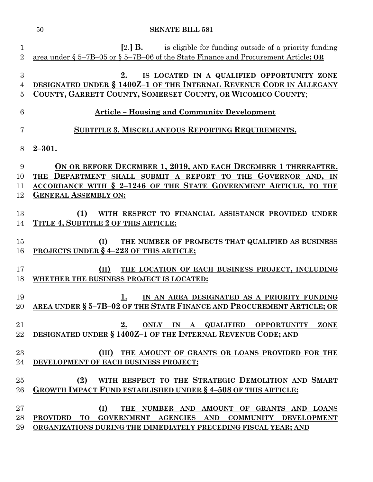| $\mathbf 1$    | $[2.]$ <b>B.</b><br>is eligible for funding outside of a priority funding                                  |
|----------------|------------------------------------------------------------------------------------------------------------|
| $\overline{2}$ | area under $\S 5$ –7B–05 or $\S 5$ –7B–06 of the State Finance and Procurement Article; OR                 |
|                |                                                                                                            |
| 3              | IS LOCATED IN A QUALIFIED OPPORTUNITY ZONE<br>2.                                                           |
| $\overline{4}$ | DESIGNATED UNDER § 1400Z-1 OF THE INTERNAL REVENUE CODE IN ALLEGANY                                        |
| 5              | COUNTY, GARRETT COUNTY, SOMERSET COUNTY, OR WICOMICO COUNTY;                                               |
| 6              | <u><b>Article</b></u> – Housing and Community Development                                                  |
| 7              | <b>SUBTITLE 3. MISCELLANEOUS REPORTING REQUIREMENTS.</b>                                                   |
| 8              | $2 - 301.$                                                                                                 |
| 9              | ON OR BEFORE DECEMBER 1, 2019, AND EACH DECEMBER 1 THEREAFTER,                                             |
| 10             | DEPARTMENT SHALL SUBMIT A REPORT TO THE GOVERNOR AND, IN<br><b>THE</b>                                     |
| 11             | ACCORDANCE WITH § 2-1246 OF THE STATE GOVERNMENT ARTICLE, TO THE                                           |
| 12             | <b>GENERAL ASSEMBLY ON:</b>                                                                                |
|                |                                                                                                            |
| 13             | WITH RESPECT TO FINANCIAL ASSISTANCE PROVIDED UNDER<br><b>(1)</b>                                          |
| 14             | TITLE 4, SUBTITLE 2 OF THIS ARTICLE:                                                                       |
|                |                                                                                                            |
| 15<br>16       | THE NUMBER OF PROJECTS THAT QUALIFIED AS BUSINESS<br>(I)<br><b>PROJECTS UNDER § 4-223 OF THIS ARTICLE;</b> |
|                |                                                                                                            |
| 17             | (II)<br>THE LOCATION OF EACH BUSINESS PROJECT, INCLUDING                                                   |
| 18             | WHETHER THE BUSINESS PROJECT IS LOCATED:                                                                   |
|                |                                                                                                            |
| 19             | IN AN AREA DESIGNATED AS A PRIORITY FUNDING<br>1.                                                          |
| 20             | AREA UNDER § 5-7B-02 OF THE STATE FINANCE AND PROCUREMENT ARTICLE; OR                                      |
|                |                                                                                                            |
| 21             | ONLY IN A QUALIFIED OPPORTUNITY<br>2.<br><b>ZONE</b>                                                       |
| 22             | DESIGNATED UNDER § 1400Z-1 OF THE INTERNAL REVENUE CODE; AND                                               |
| 23             | (III) THE AMOUNT OF GRANTS OR LOANS PROVIDED FOR THE                                                       |
| 24             | DEVELOPMENT OF EACH BUSINESS PROJECT;                                                                      |
|                |                                                                                                            |
| 25             | WITH RESPECT TO THE STRATEGIC DEMOLITION AND SMART<br>(2)                                                  |
| 26             | <b>GROWTH IMPACT FUND ESTABLISHED UNDER § 4-508 OF THIS ARTICLE:</b>                                       |
|                |                                                                                                            |
| 27             | (I)<br>THE NUMBER AND AMOUNT OF GRANTS AND LOANS                                                           |
| 28             | GOVERNMENT AGENCIES AND<br><b>PROVIDED</b><br><b>TO</b><br>COMMUNITY DEVELOPMENT                           |
| 29             | ORGANIZATIONS DURING THE IMMEDIATELY PRECEDING FISCAL YEAR; AND                                            |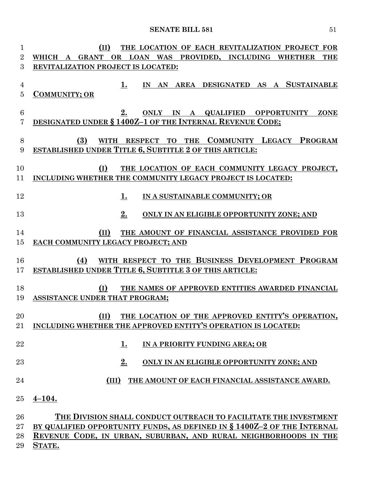| 1               | THE LOCATION OF EACH REVITALIZATION PROJECT FOR<br>(II)                 |  |  |  |  |
|-----------------|-------------------------------------------------------------------------|--|--|--|--|
| $\overline{2}$  | WHICH A GRANT OR LOAN WAS PROVIDED, INCLUDING WHETHER<br><b>THE</b>     |  |  |  |  |
| 3               | REVITALIZATION PROJECT IS LOCATED:                                      |  |  |  |  |
|                 |                                                                         |  |  |  |  |
| $\overline{4}$  | IN AN AREA DESIGNATED AS A SUSTAINABLE<br>1.                            |  |  |  |  |
| $\overline{5}$  | <b>COMMUNITY; OR</b>                                                    |  |  |  |  |
|                 |                                                                         |  |  |  |  |
| $6\phantom{.}6$ | ONLY IN A QUALIFIED OPPORTUNITY<br>2.<br><b>ZONE</b>                    |  |  |  |  |
| 7               | DESIGNATED UNDER § 1400Z-1 OF THE INTERNAL REVENUE CODE;                |  |  |  |  |
|                 |                                                                         |  |  |  |  |
| 8               | WITH RESPECT TO THE COMMUNITY LEGACY PROGRAM<br>(3)                     |  |  |  |  |
| 9               | ESTABLISHED UNDER TITLE 6, SUBTITLE 2 OF THIS ARTICLE:                  |  |  |  |  |
|                 |                                                                         |  |  |  |  |
| 10              | (I)<br>THE LOCATION OF EACH COMMUNITY LEGACY PROJECT,                   |  |  |  |  |
| 11              | INCLUDING WHETHER THE COMMUNITY LEGACY PROJECT IS LOCATED:              |  |  |  |  |
|                 |                                                                         |  |  |  |  |
| 12              | IN A SUSTAINABLE COMMUNITY; OR<br>1.                                    |  |  |  |  |
|                 |                                                                         |  |  |  |  |
| 13              | 2.<br>ONLY IN AN ELIGIBLE OPPORTUNITY ZONE; AND                         |  |  |  |  |
|                 |                                                                         |  |  |  |  |
| 14              | (II)<br>THE AMOUNT OF FINANCIAL ASSISTANCE PROVIDED FOR                 |  |  |  |  |
| 15              | EACH COMMUNITY LEGACY PROJECT; AND                                      |  |  |  |  |
|                 |                                                                         |  |  |  |  |
| 16              | WITH RESPECT TO THE BUSINESS DEVELOPMENT PROGRAM<br>(4)                 |  |  |  |  |
| 17              | <b>ESTABLISHED UNDER TITLE 6, SUBTITLE 3 OF THIS ARTICLE:</b>           |  |  |  |  |
|                 |                                                                         |  |  |  |  |
| 18              | (I)<br>THE NAMES OF APPROVED ENTITIES AWARDED FINANCIAL                 |  |  |  |  |
| 19              | ASSISTANCE UNDER THAT PROGRAM;                                          |  |  |  |  |
|                 |                                                                         |  |  |  |  |
| 20              | (II) THE LOCATION OF THE APPROVED ENTITY'S OPERATION,                   |  |  |  |  |
| $21\,$          | INCLUDING WHETHER THE APPROVED ENTITY'S OPERATION IS LOCATED:           |  |  |  |  |
|                 |                                                                         |  |  |  |  |
| 22              | <u>1.</u><br>IN A PRIORITY FUNDING AREA; OR                             |  |  |  |  |
|                 |                                                                         |  |  |  |  |
| 23              | 2.<br>ONLY IN AN ELIGIBLE OPPORTUNITY ZONE; AND                         |  |  |  |  |
|                 |                                                                         |  |  |  |  |
| 24              | THE AMOUNT OF EACH FINANCIAL ASSISTANCE AWARD.<br>(III)                 |  |  |  |  |
|                 |                                                                         |  |  |  |  |
| 25              | $4 - 104.$                                                              |  |  |  |  |
|                 |                                                                         |  |  |  |  |
| 26              | THE DIVISION SHALL CONDUCT OUTREACH TO FACILITATE THE INVESTMENT        |  |  |  |  |
| 27              | BY QUALIFIED OPPORTUNITY FUNDS, AS DEFINED IN § 1400Z-2 OF THE INTERNAL |  |  |  |  |
| 28              | REVENUE CODE, IN URBAN, SUBURBAN, AND RURAL NEIGHBORHOODS IN THE        |  |  |  |  |
| 29              | STATE.                                                                  |  |  |  |  |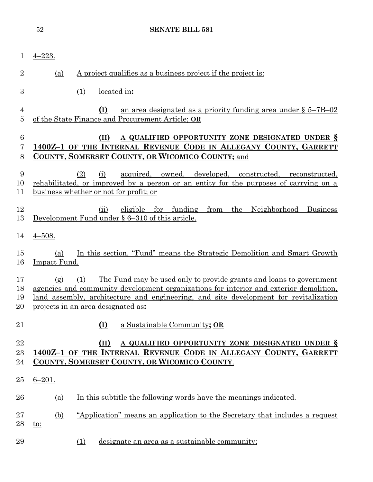|                                  | <b>SENATE BILL 581</b><br>52                                                                                                                                                                                                                                                                              |
|----------------------------------|-----------------------------------------------------------------------------------------------------------------------------------------------------------------------------------------------------------------------------------------------------------------------------------------------------------|
| $\mathbf{1}$                     | $4 - 223.$                                                                                                                                                                                                                                                                                                |
| $\overline{2}$                   | A project qualifies as a business project if the project is:<br>(a)                                                                                                                                                                                                                                       |
| 3                                | (1)<br>located in:                                                                                                                                                                                                                                                                                        |
| $\overline{4}$<br>$\overline{5}$ | <u>an area designated as a priority funding area under <math>\S</math> 5–7B–02</u><br>(I)<br>of the State Finance and Procurement Article; OR                                                                                                                                                             |
| $\boldsymbol{6}$<br>7<br>8       | A QUALIFIED OPPORTUNITY ZONE DESIGNATED UNDER §<br>(II)<br>1400Z-1 OF THE INTERNAL REVENUE CODE IN ALLEGANY COUNTY, GARRETT<br>COUNTY, SOMERSET COUNTY, OR WICOMICO COUNTY; and                                                                                                                           |
| 9<br>10<br>11                    | owned, developed,<br>(2)<br><u>acquired,</u><br>constructed, reconstructed,<br>(i)<br>rehabilitated, or improved by a person or an entity for the purposes of carrying on a<br>business whether or not for profit; or                                                                                     |
| 12<br>13                         | eligible for funding<br>from<br>the Neighborhood<br>(ii)<br><b>Business</b><br>Development Fund under $\S 6-310$ of this article.                                                                                                                                                                         |
| 14                               | $4 - 508.$                                                                                                                                                                                                                                                                                                |
| 15<br>16                         | In this section, "Fund" means the Strategic Demolition and Smart Growth<br>(a)<br>Impact Fund.                                                                                                                                                                                                            |
| 17<br>18<br>19<br>20             | The Fund may be used only to provide grants and loans to government<br>(1)<br>(g)<br>agencies and community development organizations for interior and exterior demolition.<br>land assembly, architecture and engineering, and site development for revitalization<br>projects in an area designated as: |
| 21                               | (I)<br>a Sustainable Community; OR                                                                                                                                                                                                                                                                        |
| 22<br>23<br>24                   | A QUALIFIED OPPORTUNITY ZONE DESIGNATED UNDER §<br>(II)<br>1400Z-1 OF THE INTERNAL REVENUE CODE IN ALLEGANY COUNTY, GARRETT<br>COUNTY, SOMERSET COUNTY, OR WICOMICO COUNTY.                                                                                                                               |
| 25                               | $6 - 201.$                                                                                                                                                                                                                                                                                                |
| 26                               | In this subtitle the following words have the meanings indicated.<br><u>(a)</u>                                                                                                                                                                                                                           |
| 27<br>28                         | <u>"Application" means an application to the Secretary that includes a request</u><br><u>(b)</u><br><u>to:</u>                                                                                                                                                                                            |
| 29                               | designate an area as a sustainable community;<br><u>(1)</u>                                                                                                                                                                                                                                               |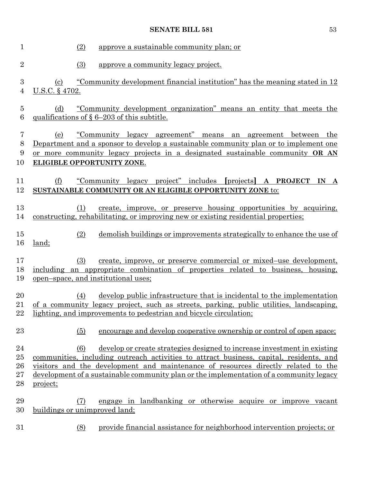| 1                                  | (2)<br><u>approve a sustainable community plan; or</u>                                                                                                                                                                                                                                                                                                                 |
|------------------------------------|------------------------------------------------------------------------------------------------------------------------------------------------------------------------------------------------------------------------------------------------------------------------------------------------------------------------------------------------------------------------|
| $\overline{2}$                     | (3)<br>approve a community legacy project.                                                                                                                                                                                                                                                                                                                             |
| $\boldsymbol{3}$<br>$\overline{4}$ | <u>"Community development financial institution" has the meaning stated in 12</u><br>$\left( \frac{c}{c} \right)$<br><u>U.S.C. § 4702.</u>                                                                                                                                                                                                                             |
| $\overline{5}$<br>6                | "Community development organization" means an entity that meets the<br>(d)<br>qualifications of $\S 6-203$ of this subtitle.                                                                                                                                                                                                                                           |
| 7<br>8<br>9<br>10                  | <u>"Community legacy agreement" means an agreement between</u><br>(e)<br>the<br>Department and a sponsor to develop a sustainable community plan or to implement one<br>or more community legacy projects in a designated sustainable community OR AN<br><b>ELIGIBLE OPPORTUNITY ZONE.</b>                                                                             |
| 11<br>12                           | (f)<br>"Community legacy project" includes [projects] A PROJECT IN A<br>SUSTAINABLE COMMUNITY OR AN ELIGIBLE OPPORTUNITY ZONE to:                                                                                                                                                                                                                                      |
| 13<br>14                           | create, improve, or preserve housing opportunities by acquiring,<br>(1)<br>constructing, rehabilitating, or improving new or existing residential properties;                                                                                                                                                                                                          |
| $15\,$<br>16                       | demolish buildings or improvements strategically to enhance the use of<br>(2)<br>land;                                                                                                                                                                                                                                                                                 |
| 17<br>18<br>19                     | (3)<br>create, improve, or preserve commercial or mixed-use development,<br>including an appropriate combination of properties related to business, housing,<br>open-space, and institutional uses;                                                                                                                                                                    |
| 20<br>21<br>22                     | develop public infrastructure that is incidental to the implementation<br>(4)<br>of a community legacy project, such as streets, parking, public utilities, landscaping,<br>lighting, and improvements to pedestrian and bicycle circulation;                                                                                                                          |
| 23                                 | encourage and develop cooperative ownership or control of open space;<br>(5)                                                                                                                                                                                                                                                                                           |
| 24<br>$25\,$<br>26<br>$27\,$<br>28 | develop or create strategies designed to increase investment in existing<br>(6)<br>communities, including outreach activities to attract business, capital, residents, and<br>visitors and the development and maintenance of resources directly related to the<br>development of a sustainable community plan or the implementation of a community legacy<br>project; |
| 29<br>30                           | engage in landbanking or otherwise acquire or improve vacant<br>(7)<br>buildings or unimproved land;                                                                                                                                                                                                                                                                   |
| 31                                 | provide financial assistance for neighborhood intervention projects; or<br>(8)                                                                                                                                                                                                                                                                                         |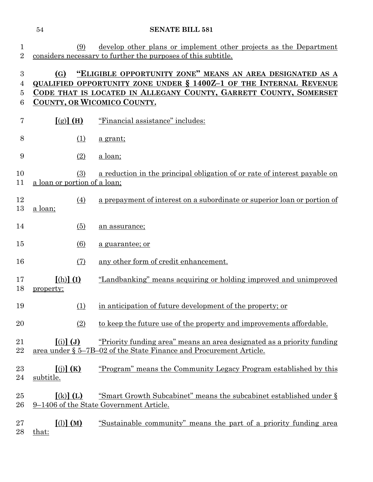|                                 | 54                                                  | <b>SENATE BILL 581</b>                                                                                                                                                                                      |
|---------------------------------|-----------------------------------------------------|-------------------------------------------------------------------------------------------------------------------------------------------------------------------------------------------------------------|
| $\mathbf 1$<br>$\overline{2}$   | (9)                                                 | develop other plans or implement other projects as the Department<br>considers necessary to further the purposes of this subtitle.                                                                          |
| $\boldsymbol{3}$<br>4<br>5<br>6 | (G)<br>COUNTY, OR WICOMICO COUNTY.                  | "ELIGIBLE OPPORTUNITY ZONE" MEANS AN AREA DESIGNATED AS A<br><b>QUALIFIED OPPORTUNITY ZONE UNDER § 1400Z-1 OF THE INTERNAL REVENUE</b><br>CODE THAT IS LOCATED IN ALLEGANY COUNTY, GARRETT COUNTY, SOMERSET |
| 7                               | [(g)] (H)                                           | "Financial assistance" includes:                                                                                                                                                                            |
| 8                               | (1)                                                 | <u>a grant;</u>                                                                                                                                                                                             |
| 9                               | (2)                                                 | <u>a loan;</u>                                                                                                                                                                                              |
| 10<br>11                        | (3)<br>a loan or portion of a loan;                 | a reduction in the principal obligation of or rate of interest payable on                                                                                                                                   |
| 12<br>13                        | (4)<br>a loan;                                      | a prepayment of interest on a subordinate or superior loan or portion of                                                                                                                                    |
| 14                              | (5)                                                 | an assurance;                                                                                                                                                                                               |
| 15                              | (6)                                                 | a guarantee; or                                                                                                                                                                                             |
| 16                              | (7)                                                 | any other form of credit enhancement.                                                                                                                                                                       |
| 17<br>18                        | $(h)$ $(I)$<br>property:                            | "Landbanking" means acquiring or holding improved and unimproved                                                                                                                                            |
| 19                              | (1)                                                 | in anticipation of future development of the property; or                                                                                                                                                   |
| 20                              | (2)                                                 | to keep the future use of the property and improvements affordable.                                                                                                                                         |
| 21<br>22                        | $\left[ \text{(i)} \right] \left( \text{J} \right)$ | "Priority funding area" means an area designated as a priority funding<br>area under § 5–7B–02 of the State Finance and Procurement Article.                                                                |
| 23<br>24                        | $(i)$ $(K)$<br>subtitle.                            | "Program" means the Community Legacy Program established by this                                                                                                                                            |
| 25<br>26                        | $(k)$ (L)                                           | "Smart Growth Subcabinet" means the subcabinet established under §<br>9–1406 of the State Government Article.                                                                                               |
| 27                              | [()](M)                                             | "Sustainable community" means the part of a priority funding area                                                                                                                                           |

28 <u>that:</u>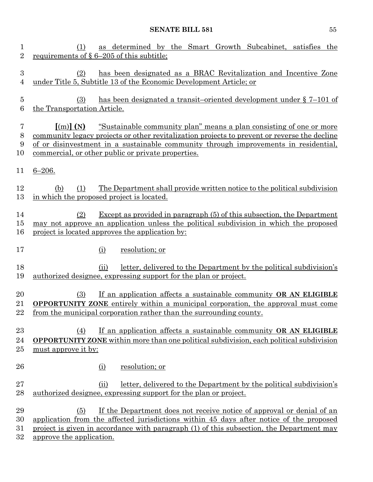| 1<br>$\overline{2}$                | as determined by the Smart Growth Subcabinet, satisfies the<br>(1)<br>requirements of $\S 6-205$ of this subtitle;                                                                                                                                                                                                                                    |
|------------------------------------|-------------------------------------------------------------------------------------------------------------------------------------------------------------------------------------------------------------------------------------------------------------------------------------------------------------------------------------------------------|
| 3<br>4                             | has been designated as a BRAC Revitalization and Incentive Zone<br>(2)<br>under Title 5, Subtitle 13 of the Economic Development Article; or                                                                                                                                                                                                          |
| $\overline{5}$<br>$\boldsymbol{6}$ | has been designated a transit-oriented development under $\S$ 7-101 of<br>(3)<br>the Transportation Article.                                                                                                                                                                                                                                          |
| $\overline{7}$<br>8<br>9<br>10     | "Sustainable community plan" means a plan consisting of one or more<br>$\lceil$ (m) $\rceil$ (N)<br>community legacy projects or other revitalization projects to prevent or reverse the decline<br>of or disinvestment in a sustainable community through improvements in residential,<br><u>commercial</u> , or other public or private properties. |
| 11                                 | $6 - 206.$                                                                                                                                                                                                                                                                                                                                            |
| 12<br>13                           | The Department shall provide written notice to the political subdivision<br>(1)<br>(b)<br>in which the proposed project is located.                                                                                                                                                                                                                   |
| 14<br>15<br>16                     | Except as provided in paragraph (5) of this subsection, the Department<br>(2)<br>may not approve an application unless the political subdivision in which the proposed<br>project is located approves the application by:                                                                                                                             |
| 17                                 | resolution; or<br>(i)                                                                                                                                                                                                                                                                                                                                 |
| 18<br>19                           | letter, delivered to the Department by the political subdivision's<br>(ii)<br>authorized designee, expressing support for the plan or project.                                                                                                                                                                                                        |
| 20<br>21<br>22                     | If an application affects a sustainable community OR AN ELIGIBLE<br>(3)<br><b>OPPORTUNITY ZONE</b> entirely within a municipal corporation, the approval must come<br><u>from the municipal corporation rather than the surrounding county.</u>                                                                                                       |
| 23<br>24<br>25                     | (4)<br>If an application affects a sustainable community OR AN ELIGIBLE<br><b>OPPORTUNITY ZONE</b> within more than one political subdivision, each political subdivision<br>must approve it by:                                                                                                                                                      |
| 26                                 | resolution; or<br>$\Omega$                                                                                                                                                                                                                                                                                                                            |
| 27<br>28                           | letter, delivered to the Department by the political subdivision's<br>(ii)<br>authorized designee, expressing support for the plan or project.                                                                                                                                                                                                        |
| 29<br>30<br>31<br>32               | If the Department does not receive notice of approval or denial of an<br>(5)<br>application from the affected jurisdictions within 45 days after notice of the proposed<br>project is given in accordance with paragraph (1) of this subsection, the Department may<br>approve the application.                                                       |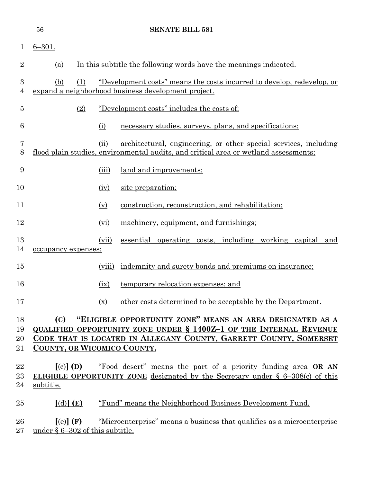|                      | 56                                                            | <b>SENATE BILL 581</b>                                                                                                        |                                                                                                                                                                                                             |  |
|----------------------|---------------------------------------------------------------|-------------------------------------------------------------------------------------------------------------------------------|-------------------------------------------------------------------------------------------------------------------------------------------------------------------------------------------------------------|--|
| 1                    | $6 - 301.$                                                    |                                                                                                                               |                                                                                                                                                                                                             |  |
| 2                    | (a)                                                           |                                                                                                                               | In this subtitle the following words have the meanings indicated.                                                                                                                                           |  |
| 3<br>4               | (b)<br>(1)                                                    | "Development costs" means the costs incurred to develop, redevelop, or<br>expand a neighborhood business development project. |                                                                                                                                                                                                             |  |
| 5                    | (2)                                                           |                                                                                                                               | <u>"Development costs" includes the costs of:</u>                                                                                                                                                           |  |
| 6                    |                                                               | (i)                                                                                                                           | necessary studies, surveys, plans, and specifications;                                                                                                                                                      |  |
| 7<br>8               |                                                               | (ii)                                                                                                                          | architectural, engineering, or other special services, including<br>flood plain studies, environmental audits, and critical area or wetland assessments;                                                    |  |
| 9                    |                                                               | (iii)                                                                                                                         | land and improvements;                                                                                                                                                                                      |  |
| 10                   |                                                               | (iv)                                                                                                                          | site preparation;                                                                                                                                                                                           |  |
| 11                   |                                                               | (v)                                                                                                                           | construction, reconstruction, and rehabilitation;                                                                                                                                                           |  |
| 12                   |                                                               | (vi)                                                                                                                          | machinery, equipment, and furnishings;                                                                                                                                                                      |  |
| 13<br>14             | occupancy expenses;                                           | (vii)                                                                                                                         | essential operating costs, including working capital<br>and                                                                                                                                                 |  |
| 15                   |                                                               | (viii)                                                                                                                        | indemnity and surety bonds and premiums on insurance;                                                                                                                                                       |  |
| 16                   |                                                               | (ix)                                                                                                                          | temporary relocation expenses; and                                                                                                                                                                          |  |
| 17                   |                                                               | $(\underline{x})$                                                                                                             | other costs determined to be acceptable by the Department.                                                                                                                                                  |  |
| 18<br>19<br>20<br>21 | (C)<br>COUNTY, OR WICOMICO COUNTY.                            |                                                                                                                               | "ELIGIBLE OPPORTUNITY ZONE" MEANS AN AREA DESIGNATED AS A<br><b>QUALIFIED OPPORTUNITY ZONE UNDER § 1400Z-1 OF THE INTERNAL REVENUE</b><br>CODE THAT IS LOCATED IN ALLEGANY COUNTY, GARRETT COUNTY, SOMERSET |  |
| 22<br>23<br>24       | $\lceil$ (c) $\rceil$ (D)<br>subtitle.                        |                                                                                                                               | "Food desert" means the part of a priority funding area OR AN<br><b>ELIGIBLE OPPORTUNITY ZONE</b> designated by the Secretary under $\S$ 6-308(c) of this                                                   |  |
| $25\,$               | $\left[$ (d) $\right]$ (E)                                    |                                                                                                                               | "Fund" means the Neighborhood Business Development Fund.                                                                                                                                                    |  |
| $26\,$<br>$27\,$     | $\lceil (e) \rceil$ (F)<br>under $\S 6-302$ of this subtitle. |                                                                                                                               | "Microenterprise" means a business that qualifies as a microenterprise                                                                                                                                      |  |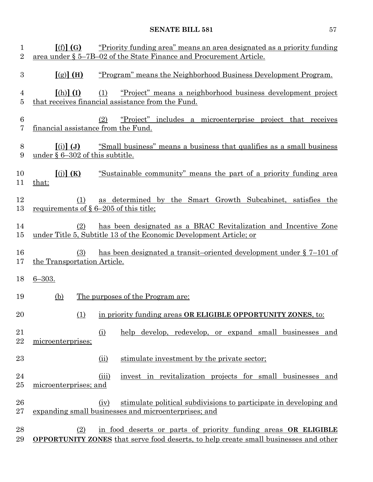| 1<br>$\overline{2}$ | [(f)](G)                                          | <u>"Priority funding area" means an area designated as a priority funding</u><br>area under § 5–7B–02 of the State Finance and Procurement Article.           |
|---------------------|---------------------------------------------------|---------------------------------------------------------------------------------------------------------------------------------------------------------------|
| 3                   | [(g)] (H)                                         | "Program" means the Neighborhood Business Development Program.                                                                                                |
| 4<br>5              | $[(h)]$ $(I)$                                     | "Project" means a neighborhood business development project<br>(1)<br>that receives financial assistance from the Fund.                                       |
| 6<br>7              | financial assistance from the Fund.               | "Project" includes a microenterprise project that receives<br>(2)                                                                                             |
| 8<br>9              | $(i)$ $(J)$<br>under $\S 6-302$ of this subtitle. | "Small business" means a business that qualifies as a small business                                                                                          |
| 10<br>11            | [(j)](K)<br>that:                                 | "Sustainable community" means the part of a priority funding area                                                                                             |
| 12<br>13            | (1)<br>requirements of $\S 6-205$ of this title;  | as determined by the Smart Growth Subcabinet, satisfies the                                                                                                   |
| 14<br>15            | (2)                                               | has been designated as a BRAC Revitalization and Incentive Zone<br>under Title 5, Subtitle 13 of the Economic Development Article; or                         |
| 16<br>17            | (3)<br>the Transportation Article.                | has been designated a transit-oriented development under $\S 7-101$ of                                                                                        |
| 18                  | $6 - 303.$                                        |                                                                                                                                                               |
| 19                  | <u>(b)</u>                                        | <u>The purposes of the Program are:</u>                                                                                                                       |
| 20                  |                                                   | (1) in priority funding areas OR ELIGIBLE OPPORTUNITY ZONES, to:                                                                                              |
| 21<br>22            | microenterprises;                                 | help develop, redevelop, or expand small businesses and<br>(i)                                                                                                |
| 23                  |                                                   | stimulate investment by the private sector;<br>(ii)                                                                                                           |
| 24<br>25            | microenterprises; and                             | invest in revitalization projects for small businesses and<br>(iii)                                                                                           |
| 26<br>$27\,$        |                                                   | stimulate political subdivisions to participate in developing and<br>(iv)<br>expanding small businesses and microenterprises; and                             |
| 28<br>29            | (2)                                               | in food deserts or parts of priority funding areas OR ELIGIBLE<br><b>OPPORTUNITY ZONES</b> that serve food deserts, to help create small businesses and other |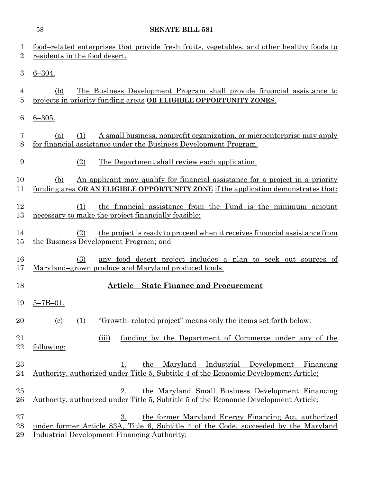|                           | <b>SENATE BILL 581</b><br>58                                                                                                                                                                             |
|---------------------------|----------------------------------------------------------------------------------------------------------------------------------------------------------------------------------------------------------|
| $\perp$<br>$\overline{2}$ | food-related enterprises that provide fresh fruits, vegetables, and other healthy foods to<br>residents in the food desert.                                                                              |
| 3                         | $6 - 304.$                                                                                                                                                                                               |
| 4<br>5                    | <u>The Business Development Program shall provide financial assistance to</u><br>(b)<br>projects in priority funding areas OR ELIGIBLE OPPORTUNITY ZONES.                                                |
| 6                         | $6 - 305.$                                                                                                                                                                                               |
| 7<br>8                    | A small business, nonprofit organization, or microenterprise may apply<br>(1)<br>(a)<br>for financial assistance under the Business Development Program.                                                 |
| 9                         | The Department shall review each application.<br>(2)                                                                                                                                                     |
| 10<br>11                  | <u>An applicant may qualify for financial assistance for a project in a priority</u><br>(b)<br>funding area OR AN ELIGIBLE OPPORTUNITY ZONE if the application demonstrates that:                        |
| 12<br>13                  | the financial assistance from the Fund is the minimum amount<br>(1)<br>necessary to make the project financially feasible;                                                                               |
| 14<br>15                  | the project is ready to proceed when it receives financial assistance from<br>(2)<br>the Business Development Program; and                                                                               |
| 16<br>17                  | (3)<br>any food desert project includes a plan to seek out sources of<br>Maryland-grown produce and Maryland produced foods.                                                                             |
| 18                        | Article – State Finance and Procurement                                                                                                                                                                  |
| 19                        | $5 - 7B - 01$ .                                                                                                                                                                                          |
| 20                        | "Growth-related project" means only the items set forth below:<br>(1)<br><u>(c)</u>                                                                                                                      |
| 21<br>22                  | funding by the Department of Commerce under any of the<br>(iii)<br>following:                                                                                                                            |
| 23<br>24                  | the Maryland Industrial Development Financing<br>1.<br>Authority, authorized under Title 5, Subtitle 4 of the Economic Development Article;                                                              |
| 25<br>26                  | the Maryland Small Business Development Financing<br>2.<br>Authority, authorized under Title 5, Subtitle 5 of the Economic Development Article;                                                          |
| 27<br>28<br>29            | 3.<br>the former Maryland Energy Financing Act, authorized<br>under former Article 83A, Title 6, Subtitle 4 of the Code, succeeded by the Maryland<br><b>Industrial Development Financing Authority;</b> |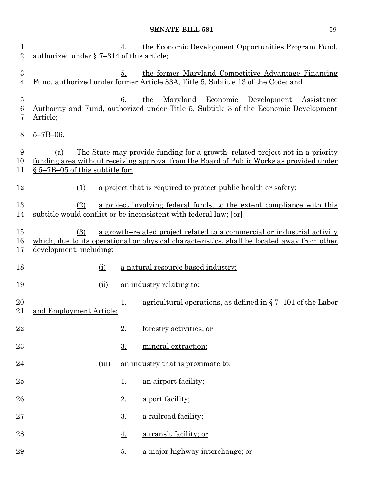| 1<br>$\overline{2}$      | authorized under § 7-314 of this article;  | 4.                | the Economic Development Opportunities Program Fund,                                                                                                                                   |
|--------------------------|--------------------------------------------|-------------------|----------------------------------------------------------------------------------------------------------------------------------------------------------------------------------------|
| $\boldsymbol{3}$<br>4    |                                            | 5.                | the former Maryland Competitive Advantage Financing<br>Fund, authorized under former Article 83A, Title 5, Subtitle 13 of the Code; and                                                |
| $\overline{5}$<br>6<br>7 | Article;                                   | 6.                | Maryland Economic Development<br>Assistance<br>the<br>Authority and Fund, authorized under Title 5, Subtitle 3 of the Economic Development                                             |
| 8                        | $5 - 7B - 06$ .                            |                   |                                                                                                                                                                                        |
| 9<br>10<br>11            | (a)<br>$\S 5$ –7B–05 of this subtitle for: |                   | <u>The State may provide funding for a growth-related project not in a priority</u><br><u>funding area without receiving approval from the Board of Public Works as provided under</u> |
| 12                       | (1)                                        |                   | a project that is required to protect public health or safety;                                                                                                                         |
| 13<br>14                 | (2)                                        |                   | a project involving federal funds, to the extent compliance with this<br>subtitle would conflict or be inconsistent with federal law; [or]                                             |
| $15\,$<br>16             | (3)                                        |                   | a growth-related project related to a commercial or industrial activity<br>which, due to its operational or physical characteristics, shall be located away from other                 |
| 17                       | development, including:                    |                   |                                                                                                                                                                                        |
| 18                       | (i)                                        |                   | a natural resource based industry;                                                                                                                                                     |
| 19                       | (ii)                                       |                   | an industry relating to:                                                                                                                                                               |
| 20<br>21                 | and Employment Article;                    | <u>1.</u>         | agricultural operations, as defined in $\S$ 7-101 of the Labor                                                                                                                         |
| 22                       |                                            | 2.                | forestry activities; or                                                                                                                                                                |
| 23                       |                                            | 3.                | mineral extraction;                                                                                                                                                                    |
| 24                       | (iii)                                      |                   | an industry that is proximate to:                                                                                                                                                      |
| 25                       |                                            | <u>1.</u>         | an airport facility;                                                                                                                                                                   |
| 26                       |                                            | $2_{\cdot}$       | a port facility;                                                                                                                                                                       |
| $27\,$                   |                                            | $\underline{3}$ . | a railroad facility;                                                                                                                                                                   |
| 28                       |                                            | <u>4.</u>         | a transit facility; or                                                                                                                                                                 |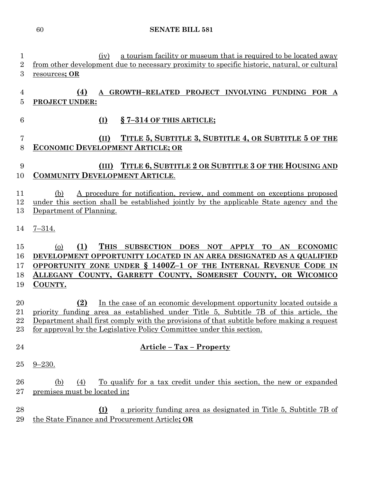1 (iv) a tourism facility or museum that is required to be located away from other development due to necessary proximity to specific historic, natural, or cultural

 **(4) A GROWTH–RELATED PROJECT INVOLVING FUNDING FOR A PROJECT UNDER: (I) § 7–314 OF THIS ARTICLE; (II) TITLE 5, SUBTITLE 3, SUBTITLE 4, OR SUBTITLE 5 OF THE ECONOMIC DEVELOPMENT ARTICLE; OR (III) TITLE 6, SUBTITLE 2 OR SUBTITLE 3 OF THE HOUSING AND COMMUNITY DEVELOPMENT ARTICLE**. (b) A procedure for notification, review, and comment on exceptions proposed under this section shall be established jointly by the applicable State agency and the Department of Planning. 7–314. (o) **(1) THIS SUBSECTION DOES NOT APPLY TO AN ECONOMIC DEVELOPMENT OPPORTUNITY LOCATED IN AN AREA DESIGNATED AS A QUALIFIED OPPORTUNITY ZONE UNDER § 1400Z–1 OF THE INTERNAL REVENUE CODE IN ALLEGANY COUNTY, GARRETT COUNTY, SOMERSET COUNTY, OR WICOMICO COUNTY. (2)** In the case of an economic development opportunity located outside a priority funding area as established under Title 5, Subtitle 7B of this article, the Department shall first comply with the provisions of that subtitle before making a request for approval by the Legislative Policy Committee under this section. **Article – Tax – Property** 9–230. (b) (4) To qualify for a tax credit under this section, the new or expanded premises must be located in**: (I)** a priority funding area as designated in Title 5, Subtitle 7B of the State Finance and Procurement Article**; OR**

resources**; OR**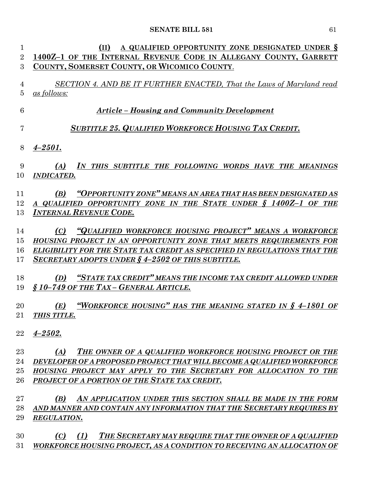| $\mathbf{1}$   | A QUALIFIED OPPORTUNITY ZONE DESIGNATED UNDER §<br>(II)                   |
|----------------|---------------------------------------------------------------------------|
| $\overline{2}$ | 1400Z-1 OF THE INTERNAL REVENUE CODE IN ALLEGANY COUNTY, GARRETT          |
| 3              | COUNTY, SOMERSET COUNTY, OR WICOMICO COUNTY.                              |
|                |                                                                           |
| $\overline{4}$ | SECTION 4. AND BE IT FURTHER ENACTED, That the Laws of Maryland read      |
| $\overline{5}$ | as follows:                                                               |
| 6              | <b>Article – Housing and Community Development</b>                        |
| 7              | <b>SUBTITLE 25. QUALIFIED WORKFORCE HOUSING TAX CREDIT.</b>               |
| 8              | $4 - 2501.$                                                               |
|                |                                                                           |
| 9              | IN THIS SUBTITLE THE FOLLOWING WORDS HAVE THE MEANINGS<br>(A)             |
| 10             | <b>INDICATED.</b>                                                         |
| 11             | "OPPORTUNITY ZONE" MEANS AN AREA THAT HAS BEEN DESIGNATED AS<br>(B)       |
| 12             | A QUALIFIED OPPORTUNITY ZONE IN THE STATE UNDER § 1400Z-1 OF THE          |
| 13             | <b>INTERNAL REVENUE CODE.</b>                                             |
|                |                                                                           |
| 14             | (C) "QUALIFIED WORKFORCE HOUSING PROJECT" MEANS A WORKFORCE               |
| 15             | HOUSING PROJECT IN AN OPPORTUNITY ZONE THAT MEETS REQUIREMENTS FOR        |
| 16             | ELIGIBILITY FOR THE STATE TAX CREDIT AS SPECIFIED IN REGULATIONS THAT THE |
| 17             | <b>SECRETARY ADOPTS UNDER § 4-2502 OF THIS SUBTITLE.</b>                  |
|                |                                                                           |
| 18             | (D) "STATE TAX CREDIT" MEANS THE INCOME TAX CREDIT ALLOWED UNDER          |
| 19             | §10-749 OF THE TAX - GENERAL ARTICLE.                                     |
| 20             | "WORKFORCE HOUSING" HAS THE MEANING STATED IN § 4-1801 OF<br>(E)          |
| $21\,$         | <b>THIS TITLE.</b>                                                        |
|                |                                                                           |
| 22             | $4 - 2502.$                                                               |
| 23             | THE OWNER OF A QUALIFIED WORKFORCE HOUSING PROJECT OR THE<br>(A)          |
| 24             | DEVELOPER OF A PROPOSED PROJECT THAT WILL BECOME A QUALIFIED WORKFORCE    |
| 25             | HOUSING PROJECT MAY APPLY TO THE SECRETARY FOR ALLOCATION TO THE          |
| 26             | PROJECT OF A PORTION OF THE STATE TAX CREDIT.                             |
|                |                                                                           |
| 27             | (B)<br>AN APPLICATION UNDER THIS SECTION SHALL BE MADE IN THE FORM        |

 *AND MANNER AND CONTAIN ANY INFORMATION THAT THE SECRETARY REQUIRES BY REGULATION.*

 *(C) (1) THE SECRETARY MAY REQUIRE THAT THE OWNER OF A QUALIFIED WORKFORCE HOUSING PROJECT, AS A CONDITION TO RECEIVING AN ALLOCATION OF*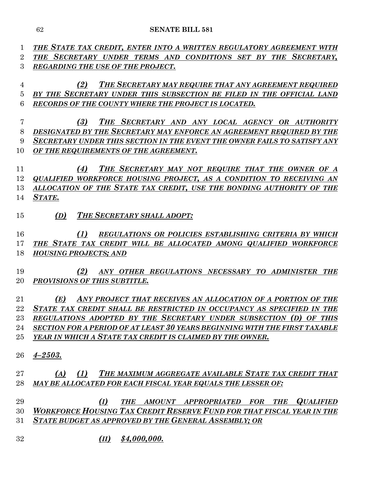*THE STATE TAX CREDIT, ENTER INTO A WRITTEN REGULATORY AGREEMENT WITH THE SECRETARY UNDER TERMS AND CONDITIONS SET BY THE SECRETARY, REGARDING THE USE OF THE PROJECT. (2) THE SECRETARY MAY REQUIRE THAT ANY AGREEMENT REQUIRED BY THE SECRETARY UNDER THIS SUBSECTION BE FILED IN THE OFFICIAL LAND RECORDS OF THE COUNTY WHERE THE PROJECT IS LOCATED. (3) THE SECRETARY AND ANY LOCAL AGENCY OR AUTHORITY DESIGNATED BY THE SECRETARY MAY ENFORCE AN AGREEMENT REQUIRED BY THE SECRETARY UNDER THIS SECTION IN THE EVENT THE OWNER FAILS TO SATISFY ANY OF THE REQUIREMENTS OF THE AGREEMENT. (4) THE SECRETARY MAY NOT REQUIRE THAT THE OWNER OF A QUALIFIED WORKFORCE HOUSING PROJECT, AS A CONDITION TO RECEIVING AN ALLOCATION OF THE STATE TAX CREDIT, USE THE BONDING AUTHORITY OF THE STATE. (D) THE SECRETARY SHALL ADOPT: (1) REGULATIONS OR POLICIES ESTABLISHING CRITERIA BY WHICH THE STATE TAX CREDIT WILL BE ALLOCATED AMONG QUALIFIED WORKFORCE HOUSING PROJECTS; AND (2) ANY OTHER REGULATIONS NECESSARY TO ADMINISTER THE PROVISIONS OF THIS SUBTITLE. (E) ANY PROJECT THAT RECEIVES AN ALLOCATION OF A PORTION OF THE STATE TAX CREDIT SHALL BE RESTRICTED IN OCCUPANCY AS SPECIFIED IN THE REGULATIONS ADOPTED BY THE SECRETARY UNDER SUBSECTION (D) OF THIS SECTION FOR A PERIOD OF AT LEAST 30 YEARS BEGINNING WITH THE FIRST TAXABLE YEAR IN WHICH A STATE TAX CREDIT IS CLAIMED BY THE OWNER. 4–2503. (A) (1) THE MAXIMUM AGGREGATE AVAILABLE STATE TAX CREDIT THAT MAY BE ALLOCATED FOR EACH FISCAL YEAR EQUALS THE LESSER OF: (I) THE AMOUNT APPROPRIATED FOR THE QUALIFIED WORKFORCE HOUSING TAX CREDIT RESERVE FUND FOR THAT FISCAL YEAR IN THE STATE BUDGET AS APPROVED BY THE GENERAL ASSEMBLY; OR (II) \$4,000,000.*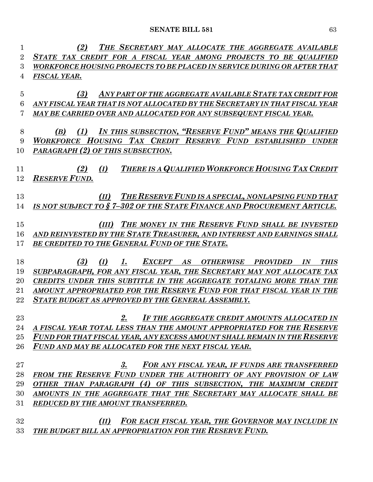| 1              | THE SECRETARY MAY ALLOCATE THE AGGREGATE AVAILABLE<br>(2)                                 |
|----------------|-------------------------------------------------------------------------------------------|
| $\overline{2}$ | STATE TAX CREDIT FOR A FISCAL YEAR AMONG PROJECTS TO BE QUALIFIED                         |
| 3              | WORKFORCE HOUSING PROJECTS TO BE PLACED IN SERVICE DURING OR AFTER THAT                   |
| 4              | FISCAL YEAR.                                                                              |
|                |                                                                                           |
| $\overline{5}$ | ANY PART OF THE AGGREGATE AVAILABLE STATE TAX CREDIT FOR<br>(3)                           |
| 6              | ANY FISCAL YEAR THAT IS NOT ALLOCATED BY THE SECRETARY IN THAT FISCAL YEAR                |
| 7              | MAY BE CARRIED OVER AND ALLOCATED FOR ANY SUBSEQUENT FISCAL YEAR.                         |
|                |                                                                                           |
| 8              | IN THIS SUBSECTION, "RESERVE FUND" MEANS THE QUALIFIED<br>(1)<br>(B)                      |
| 9              | WORKFORCE HOUSING TAX CREDIT RESERVE FUND ESTABLISHED UNDER                               |
| 10             | PARAGRAPH (2) OF THIS SUBSECTION.                                                         |
| 11             | THERE IS A QUALIFIED WORKFORCE HOUSING TAX CREDIT<br>(I)<br>(2)                           |
| 12             | <b>RESERVE FUND.</b>                                                                      |
|                |                                                                                           |
| 13             | THE RESERVE FUND IS A SPECIAL, NONLAPSING FUND THAT<br>(II)                               |
| 14             | IS NOT SUBJECT TO §7-302 OF THE STATE FINANCE AND PROCUREMENT ARTICLE.                    |
|                |                                                                                           |
| 15             | THE MONEY IN THE RESERVE FUND SHALL BE INVESTED<br>(III)                                  |
| 16             | AND REINVESTED BY THE STATE TREASURER, AND INTEREST AND EARNINGS SHALL                    |
| 17             | BE CREDITED TO THE GENERAL FUND OF THE STATE.                                             |
|                |                                                                                           |
| 18             | (I)<br>EXCEPT AS<br>(3)<br><b>OTHERWISE</b><br><b>THIS</b><br>1.<br><b>PROVIDED</b><br>IN |
| 19             | SUBPARAGRAPH, FOR ANY FISCAL YEAR, THE SECRETARY MAY NOT ALLOCATE TAX                     |
| 20             | CREDITS UNDER THIS SUBTITLE IN THE AGGREGATE TOTALING MORE THAN THE                       |
| 21             | AMOUNT APPROPRIATED FOR THE RESERVE FUND FOR THAT FISCAL YEAR IN THE                      |
| 22             | <b>STATE BUDGET AS APPROVED BY THE GENERAL ASSEMBLY.</b>                                  |
| 23             | 2.<br>IF THE AGGREGATE CREDIT AMOUNTS ALLOCATED IN                                        |
| 24             | A FISCAL YEAR TOTAL LESS THAN THE AMOUNT APPROPRIATED FOR THE RESERVE                     |
| 25             | FUND FOR THAT FISCAL YEAR, ANY EXCESS AMOUNT SHALL REMAIN IN THE RESERVE                  |
| 26             | FUND AND MAY BE ALLOCATED FOR THE NEXT FISCAL YEAR.                                       |
|                |                                                                                           |
| 27             | 3.<br>FOR ANY FISCAL YEAR, IF FUNDS ARE TRANSFERRED                                       |
| 28             | FROM THE RESERVE FUND UNDER THE AUTHORITY OF ANY PROVISION OF LAW                         |
| 29             | OTHER THAN PARAGRAPH (4) OF THIS SUBSECTION, THE MAXIMUM CREDIT                           |
| 30             | AMOUNTS IN THE AGGREGATE THAT THE SECRETARY MAY ALLOCATE SHALL BE                         |
| 31             | REDUCED BY THE AMOUNT TRANSFERRED.                                                        |
|                |                                                                                           |
| 32             | FOR EACH FISCAL YEAR, THE GOVERNOR MAY INCLUDE IN<br>(II)                                 |
| 33             | THE BUDGET BILL AN APPROPRIATION FOR THE RESERVE FUND.                                    |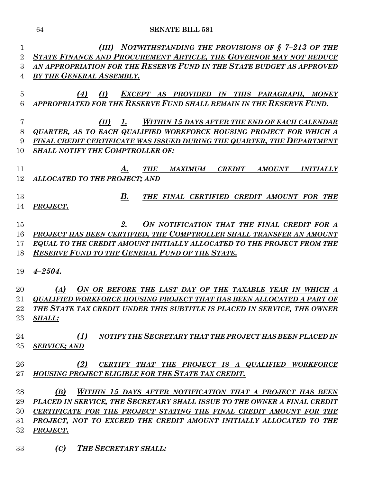| $\mathbf 1$    | NOTWITHSTANDING THE PROVISIONS OF § 7-213 OF THE<br>(III)                          |  |  |  |  |
|----------------|------------------------------------------------------------------------------------|--|--|--|--|
| $\overline{2}$ | STATE FINANCE AND PROCUREMENT ARTICLE, THE GOVERNOR MAY NOT REDUCE                 |  |  |  |  |
| 3              | AN APPROPRIATION FOR THE RESERVE FUND IN THE STATE BUDGET AS APPROVED              |  |  |  |  |
| 4              | BY THE GENERAL ASSEMBLY.                                                           |  |  |  |  |
|                |                                                                                    |  |  |  |  |
| $\overline{5}$ | (4)<br>(I)<br>EXCEPT AS PROVIDED IN THIS PARAGRAPH, MONEY                          |  |  |  |  |
| 6              | APPROPRIATED FOR THE RESERVE FUND SHALL REMAIN IN THE RESERVE FUND.                |  |  |  |  |
|                |                                                                                    |  |  |  |  |
| 7              | <b>WITHIN 15 DAYS AFTER THE END OF EACH CALENDAR</b><br>(II)<br>$\mathbf{I}$ .     |  |  |  |  |
| 8              | QUARTER, AS TO EACH QUALIFIED WORKFORCE HOUSING PROJECT FOR WHICH A                |  |  |  |  |
| 9              | FINAL CREDIT CERTIFICATE WAS ISSUED DURING THE QUARTER, THE DEPARTMENT             |  |  |  |  |
| 10             | <b>SHALL NOTIFY THE COMPTROLLER OF:</b>                                            |  |  |  |  |
|                |                                                                                    |  |  |  |  |
| 11             | <b>MAXIMUM</b><br><b>CREDIT</b><br><b>AMOUNT</b><br><b>THE</b><br><b>INITIALLY</b> |  |  |  |  |
| 12             | <b>ALLOCATED TO THE PROJECT; AND</b>                                               |  |  |  |  |
|                |                                                                                    |  |  |  |  |
| 13             | $\boldsymbol{B}$ .<br>THE FINAL CERTIFIED CREDIT AMOUNT FOR THE                    |  |  |  |  |
| 14             | PROJECT.                                                                           |  |  |  |  |
|                |                                                                                    |  |  |  |  |
| 15             | ON NOTIFICATION THAT THE FINAL CREDIT FOR A<br>2.                                  |  |  |  |  |
| 16             | PROJECT HAS BEEN CERTIFIED, THE COMPTROLLER SHALL TRANSFER AN AMOUNT               |  |  |  |  |
| 17             | EQUAL TO THE CREDIT AMOUNT INITIALLY ALLOCATED TO THE PROJECT FROM THE             |  |  |  |  |
| 18             | <b>RESERVE FUND TO THE GENERAL FUND OF THE STATE.</b>                              |  |  |  |  |
|                |                                                                                    |  |  |  |  |
| 19             | $4 - 2504.$                                                                        |  |  |  |  |
| 20             | ON OR BEFORE THE LAST DAY OF THE TAXABLE YEAR IN WHICH A<br>(A)                    |  |  |  |  |
| 21             | <b>QUALIFIED WORKFORCE HOUSING PROJECT THAT HAS BEEN ALLOCATED A PART OF</b>       |  |  |  |  |
| 22             | THE STATE TAX CREDIT UNDER THIS SUBTITLE IS PLACED IN SERVICE, THE OWNER           |  |  |  |  |
| 23             | <b>SHALL:</b>                                                                      |  |  |  |  |
|                |                                                                                    |  |  |  |  |
| 24             | (1)<br>NOTIFY THE SECRETARY THAT THE PROJECT HAS BEEN PLACED IN                    |  |  |  |  |
| 25             | <b>SERVICE; AND</b>                                                                |  |  |  |  |
|                |                                                                                    |  |  |  |  |
| 26             | (2)<br>CERTIFY THAT THE PROJECT IS A QUALIFIED WORKFORCE                           |  |  |  |  |
| 27             | HOUSING PROJECT ELIGIBLE FOR THE STATE TAX CREDIT.                                 |  |  |  |  |
|                |                                                                                    |  |  |  |  |
| 28             | WITHIN 15 DAYS AFTER NOTIFICATION THAT A PROJECT HAS BEEN<br>(B)                   |  |  |  |  |
| 29             | PLACED IN SERVICE, THE SECRETARY SHALL ISSUE TO THE OWNER A FINAL CREDIT           |  |  |  |  |
| 30             | CERTIFICATE FOR THE PROJECT STATING THE FINAL CREDIT AMOUNT FOR THE                |  |  |  |  |
| 31             | PROJECT, NOT TO EXCEED THE CREDIT AMOUNT INITIALLY ALLOCATED TO THE                |  |  |  |  |
| 32             | PROJECT.                                                                           |  |  |  |  |
|                |                                                                                    |  |  |  |  |
| 33             | (C)<br><b>THE SECRETARY SHALL:</b>                                                 |  |  |  |  |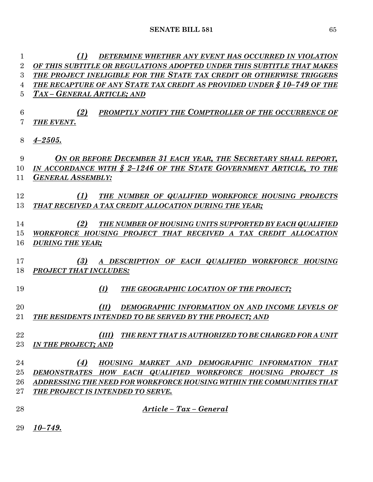*(1) DETERMINE WHETHER ANY EVENT HAS OCCURRED IN VIOLATION OF THIS SUBTITLE OR REGULATIONS ADOPTED UNDER THIS SUBTITLE THAT MAKES THE PROJECT INELIGIBLE FOR THE STATE TAX CREDIT OR OTHERWISE TRIGGERS THE RECAPTURE OF ANY STATE TAX CREDIT AS PROVIDED UNDER § 10–749 OF THE TAX – GENERAL ARTICLE; AND*

 *(2) PROMPTLY NOTIFY THE COMPTROLLER OF THE OCCURRENCE OF THE EVENT.*

*4–2505.*

 *ON OR BEFORE DECEMBER 31 EACH YEAR, THE SECRETARY SHALL REPORT, IN ACCORDANCE WITH § 2–1246 OF THE STATE GOVERNMENT ARTICLE, TO THE GENERAL ASSEMBLY*:

 *(1) THE NUMBER OF QUALIFIED WORKFORCE HOUSING PROJECTS THAT RECEIVED A TAX CREDIT ALLOCATION DURING THE YEAR;*

 *(2) THE NUMBER OF HOUSING UNITS SUPPORTED BY EACH QUALIFIED WORKFORCE HOUSING PROJECT THAT RECEIVED A TAX CREDIT ALLOCATION DURING THE YEAR;*

 *(3) A DESCRIPTION OF EACH QUALIFIED WORKFORCE HOUSING PROJECT THAT INCLUDES:*

*(I) THE GEOGRAPHIC LOCATION OF THE PROJECT;*

 *(II) DEMOGRAPHIC INFORMATION ON AND INCOME LEVELS OF THE RESIDENTS INTENDED TO BE SERVED BY THE PROJECT; AND*

 *(III) THE RENT THAT IS AUTHORIZED TO BE CHARGED FOR A UNIT IN THE PROJECT; AND*

# *(4) HOUSING MARKET AND DEMOGRAPHIC INFORMATION THAT DEMONSTRATES HOW EACH QUALIFIED WORKFORCE HOUSING PROJECT IS ADDRESSING THE NEED FOR WORKFORCE HOUSING WITHIN THE COMMUNITIES THAT THE PROJECT IS INTENDED TO SERVE.*

- 
- *Article – Tax – General*
- *10–749.*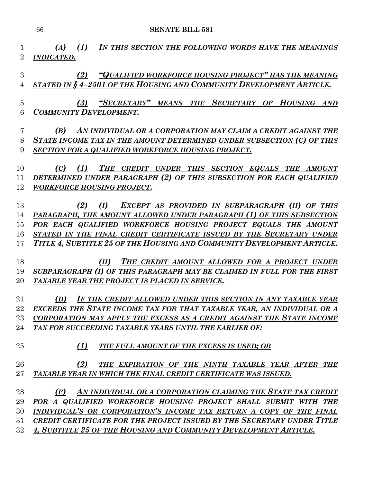*(A) (1) IN THIS SECTION THE FOLLOWING WORDS HAVE THE MEANINGS INDICATED. (2) "QUALIFIED WORKFORCE HOUSING PROJECT" HAS THE MEANING STATED IN § 4–2501 OF THE HOUSING AND COMMUNITY DEVELOPMENT ARTICLE. (3) "SECRETARY" MEANS THE SECRETARY OF HOUSING AND COMMUNITY DEVELOPMENT. (B) AN INDIVIDUAL OR A CORPORATION MAY CLAIM A CREDIT AGAINST THE STATE INCOME TAX IN THE AMOUNT DETERMINED UNDER SUBSECTION (C) OF THIS SECTION FOR A QUALIFIED WORKFORCE HOUSING PROJECT. (C) (1) THE CREDIT UNDER THIS SECTION EQUALS THE AMOUNT DETERMINED UNDER PARAGRAPH (2) OF THIS SUBSECTION FOR EACH QUALIFIED WORKFORCE HOUSING PROJECT. (2) (I) EXCEPT AS PROVIDED IN SUBPARAGRAPH (II) OF THIS PARAGRAPH, THE AMOUNT ALLOWED UNDER PARAGRAPH (1) OF THIS SUBSECTION FOR EACH QUALIFIED WORKFORCE HOUSING PROJECT EQUALS THE AMOUNT STATED IN THE FINAL CREDIT CERTIFICATE ISSUED BY THE SECRETARY UNDER TITLE 4, SUBTITLE 25 OF THE HOUSING AND COMMUNITY DEVELOPMENT ARTICLE. (II) THE CREDIT AMOUNT ALLOWED FOR A PROJECT UNDER SUBPARAGRAPH (I) OF THIS PARAGRAPH MAY BE CLAIMED IN FULL FOR THE FIRST TAXABLE YEAR THE PROJECT IS PLACED IN SERVICE. (D) IF THE CREDIT ALLOWED UNDER THIS SECTION IN ANY TAXABLE YEAR EXCEEDS THE STATE INCOME TAX FOR THAT TAXABLE YEAR, AN INDIVIDUAL OR A CORPORATION MAY APPLY THE EXCESS AS A CREDIT AGAINST THE STATE INCOME TAX FOR SUCCEEDING TAXABLE YEARS UNTIL THE EARLIER OF: (1) THE FULL AMOUNT OF THE EXCESS IS USED; OR (2) THE EXPIRATION OF THE NINTH TAXABLE YEAR AFTER THE TAXABLE YEAR IN WHICH THE FINAL CREDIT CERTIFICATE WAS ISSUED. (E) AN INDIVIDUAL OR A CORPORATION CLAIMING THE STATE TAX CREDIT FOR A QUALIFIED WORKFORCE HOUSING PROJECT SHALL SUBMIT WITH THE INDIVIDUAL'S OR CORPORATION'S INCOME TAX RETURN A COPY OF THE FINAL CREDIT CERTIFICATE FOR THE PROJECT ISSUED BY THE SECRETARY UNDER TITLE 4, SUBTITLE 25 OF THE HOUSING AND COMMUNITY DEVELOPMENT ARTICLE.*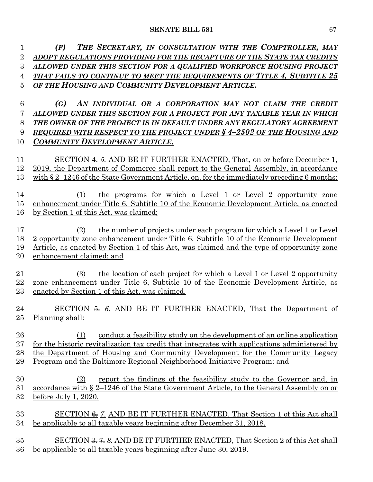*(F) THE SECRETARY, IN CONSULTATION WITH THE COMPTROLLER, MAY ADOPT REGULATIONS PROVIDING FOR THE RECAPTURE OF THE STATE TAX CREDITS ALLOWED UNDER THIS SECTION FOR A QUALIFIED WORKFORCE HOUSING PROJECT THAT FAILS TO CONTINUE TO MEET THE REQUIREMENTS OF TITLE 4, SUBTITLE 25 OF THE HOUSING AND COMMUNITY DEVELOPMENT ARTICLE.*

 *(G) AN INDIVIDUAL OR A CORPORATION MAY NOT CLAIM THE CREDIT ALLOWED UNDER THIS SECTION FOR A PROJECT FOR ANY TAXABLE YEAR IN WHICH THE OWNER OF THE PROJECT IS IN DEFAULT UNDER ANY REGULATORY AGREEMENT REQUIRED WITH RESPECT TO THE PROJECT UNDER § 4–2502 OF THE HOUSING AND COMMUNITY DEVELOPMENT ARTICLE.*

 SECTION 4. *5.* AND BE IT FURTHER ENACTED, That, on or before December 1, 2019, the Department of Commerce shall report to the General Assembly, in accordance 13 with § 2–1246 of the State Government Article, on, for the immediately preceding 6 months:

 (1) the programs for which a Level 1 or Level 2 opportunity zone enhancement under Title 6, Subtitle 10 of the Economic Development Article, as enacted by Section 1 of this Act, was claimed;

 (2) the number of projects under each program for which a Level 1 or Level 2 opportunity zone enhancement under Title 6, Subtitle 10 of the Economic Development Article, as enacted by Section 1 of this Act, was claimed and the type of opportunity zone enhancement claimed; and

 (3) the location of each project for which a Level 1 or Level 2 opportunity zone enhancement under Title 6, Subtitle 10 of the Economic Development Article, as enacted by Section 1 of this Act, was claimed.

24 SECTION  $\frac{2}{3}$  6. AND BE IT FURTHER ENACTED, That the Department of Planning shall:

 (1) conduct a feasibility study on the development of an online application 27 for the historic revitalization tax credit that integrates with applications administered by the Department of Housing and Community Development for the Community Legacy Program and the Baltimore Regional Neighborhood Initiative Program; and

 (2) report the findings of the feasibility study to the Governor and, in accordance with § 2–1246 of the State Government Article, to the General Assembly on or before July 1, 2020.

33 SECTION <del>6.</del> 7. AND BE IT FURTHER ENACTED, That Section 1 of this Act shall be applicable to all taxable years beginning after December 31, 2018.

 SECTION 3. 7. *8.* AND BE IT FURTHER ENACTED, That Section 2 of this Act shall be applicable to all taxable years beginning after June 30, 2019.